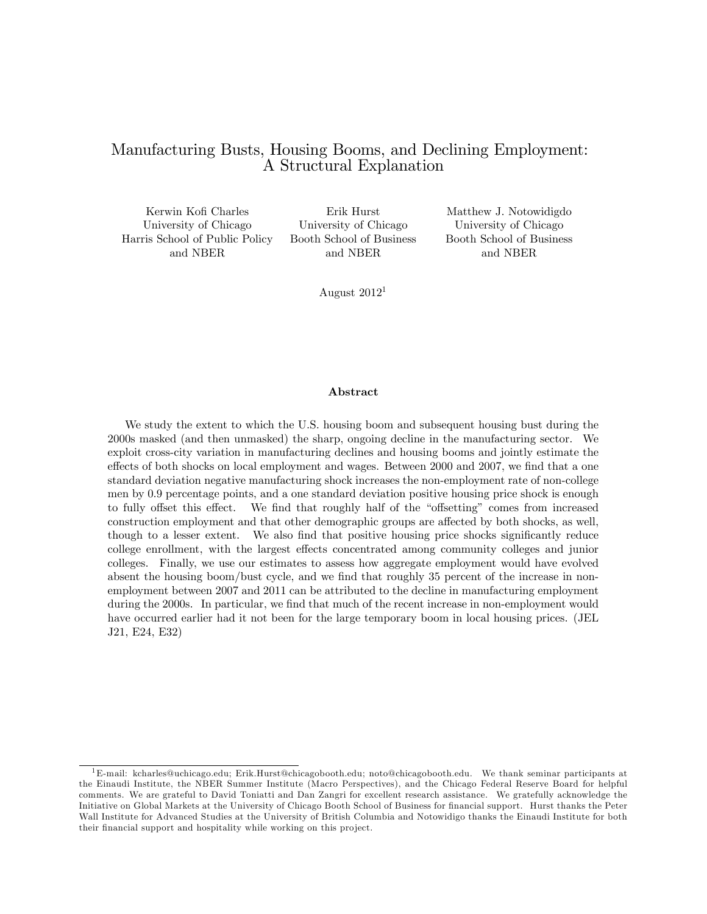## Manufacturing Busts, Housing Booms, and Declining Employment: A Structural Explanation

University of Chicago University of Chicago University of Chicago Harris School of Public Policy Booth School of Business Booth School of Business

Kerwin Kofi Charles Erik Hurst Matthew J. Notowidigdo and NBER and NBER and NBER

August  $2012<sup>1</sup>$ 

#### Abstract

We study the extent to which the U.S. housing boom and subsequent housing bust during the 2000s masked (and then unmasked) the sharp, ongoing decline in the manufacturing sector. We exploit cross-city variation in manufacturing declines and housing booms and jointly estimate the effects of both shocks on local employment and wages. Between 2000 and 2007, we find that a one standard deviation negative manufacturing shock increases the non-employment rate of non-college men by 0:9 percentage points, and a one standard deviation positive housing price shock is enough to fully offset this effect. We find that roughly half of the "offsetting" comes from increased construction employment and that other demographic groups are affected by both shocks, as well, though to a lesser extent. We also find that positive housing price shocks significantly reduce college enrollment, with the largest effects concentrated among community colleges and junior colleges. Finally, we use our estimates to assess how aggregate employment would have evolved absent the housing boom/bust cycle, and we find that roughly 35 percent of the increase in nonemployment between 2007 and 2011 can be attributed to the decline in manufacturing employment during the 2000s. In particular, we find that much of the recent increase in non-employment would have occurred earlier had it not been for the large temporary boom in local housing prices. (JEL J21, E24, E32)

 ${}^{1}E$ -mail: kcharles@uchicago.edu; Erik.Hurst@chicagobooth.edu; noto@chicagobooth.edu. We thank seminar participants at the Einaudi Institute, the NBER Summer Institute (Macro Perspectives), and the Chicago Federal Reserve Board for helpful comments. We are grateful to David Toniatti and Dan Zangri for excellent research assistance. We gratefully acknowledge the Initiative on Global Markets at the University of Chicago Booth School of Business for financial support. Hurst thanks the Peter Wall Institute for Advanced Studies at the University of British Columbia and Notowidigo thanks the Einaudi Institute for both their financial support and hospitality while working on this project.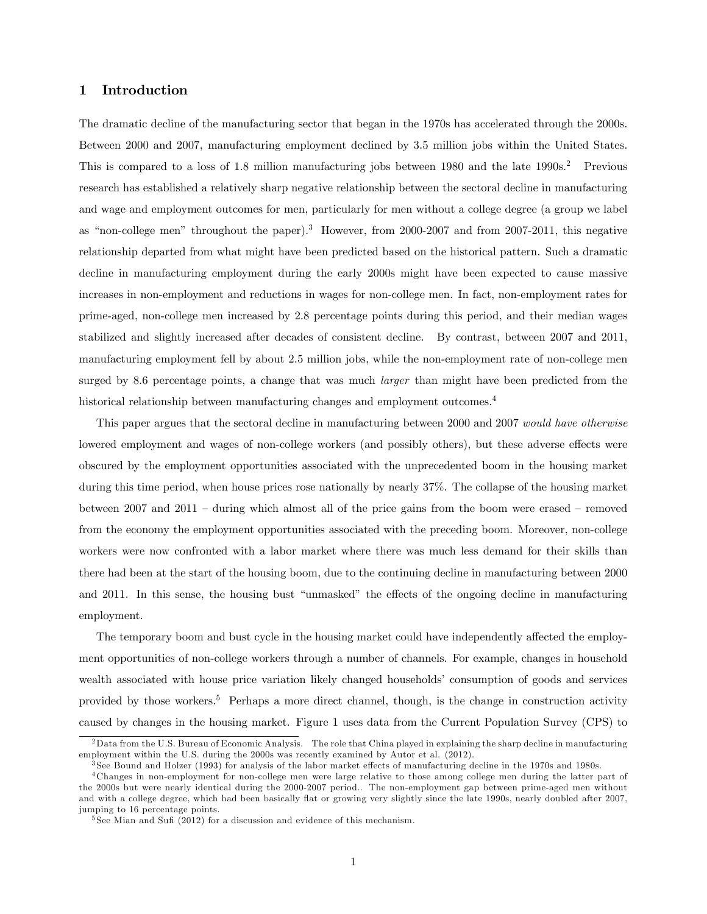## 1 Introduction

The dramatic decline of the manufacturing sector that began in the 1970s has accelerated through the 2000s. Between 2000 and 2007, manufacturing employment declined by 3.5 million jobs within the United States. This is compared to a loss of 1.8 million manufacturing jobs between 1980 and the late 1990s.<sup>2</sup> Previous research has established a relatively sharp negative relationship between the sectoral decline in manufacturing and wage and employment outcomes for men, particularly for men without a college degree (a group we label as "non-college men" throughout the paper).<sup>3</sup> However, from 2000-2007 and from 2007-2011, this negative relationship departed from what might have been predicted based on the historical pattern. Such a dramatic decline in manufacturing employment during the early 2000s might have been expected to cause massive increases in non-employment and reductions in wages for non-college men. In fact, non-employment rates for prime-aged, non-college men increased by 2:8 percentage points during this period, and their median wages stabilized and slightly increased after decades of consistent decline. By contrast, between 2007 and 2011, manufacturing employment fell by about 2.5 million jobs, while the non-employment rate of non-college men surged by 8.6 percentage points, a change that was much *larger* than might have been predicted from the historical relationship between manufacturing changes and employment outcomes.<sup>4</sup>

This paper argues that the sectoral decline in manufacturing between 2000 and 2007 would have otherwise lowered employment and wages of non-college workers (and possibly others), but these adverse effects were obscured by the employment opportunities associated with the unprecedented boom in the housing market during this time period, when house prices rose nationally by nearly 37%. The collapse of the housing market between 2007 and 2011 – during which almost all of the price gains from the boom were erased – removed from the economy the employment opportunities associated with the preceding boom. Moreover, non-college workers were now confronted with a labor market where there was much less demand for their skills than there had been at the start of the housing boom, due to the continuing decline in manufacturing between 2000 and 2011. In this sense, the housing bust "unmasked" the effects of the ongoing decline in manufacturing employment.

The temporary boom and bust cycle in the housing market could have independently affected the employment opportunities of non-college workers through a number of channels. For example, changes in household wealth associated with house price variation likely changed households' consumption of goods and services provided by those workers.<sup>5</sup> Perhaps a more direct channel, though, is the change in construction activity caused by changes in the housing market. Figure 1 uses data from the Current Population Survey (CPS) to

 $2$ Data from the U.S. Bureau of Economic Analysis. The role that China played in explaining the sharp decline in manufacturing employment within the U.S. during the 2000s was recently examined by Autor et al. (2012).

 $3$  See Bound and Holzer (1993) for analysis of the labor market effects of manufacturing decline in the 1970s and 1980s.

<sup>4</sup> Changes in non-employment for non-college men were large relative to those among college men during the latter part of the 2000s but were nearly identical during the 2000-2007 period.. The non-employment gap between prime-aged men without and with a college degree, which had been basically flat or growing very slightly since the late 1990s, nearly doubled after 2007, jumping to 16 percentage points.

 $5$  See Mian and Sufi (2012) for a discussion and evidence of this mechanism.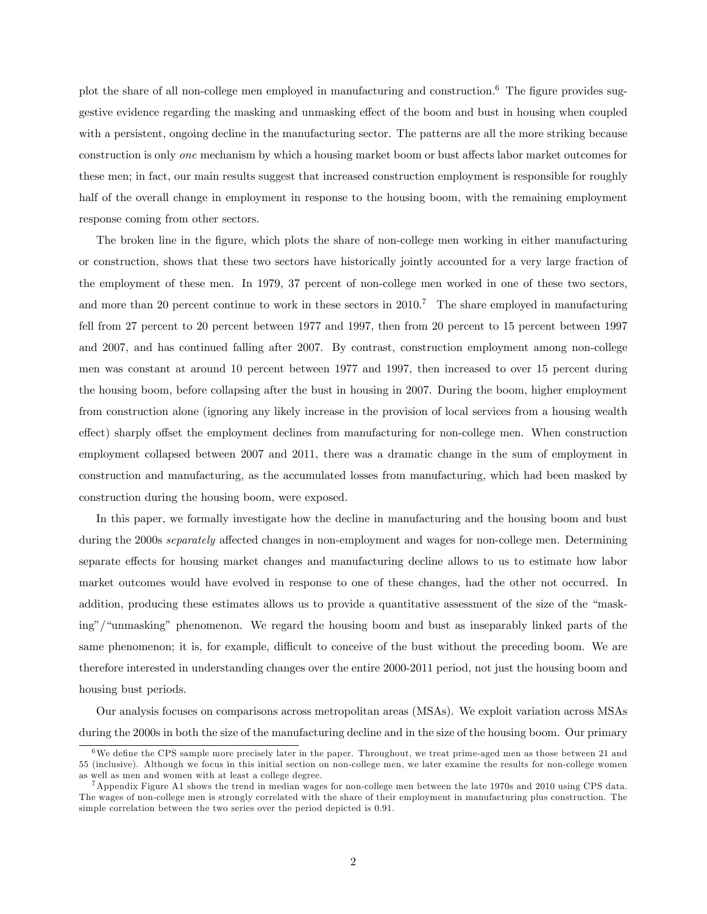plot the share of all non-college men employed in manufacturing and construction.<sup>6</sup> The figure provides suggestive evidence regarding the masking and unmasking effect of the boom and bust in housing when coupled with a persistent, ongoing decline in the manufacturing sector. The patterns are all the more striking because construction is only *one* mechanism by which a housing market boom or bust affects labor market outcomes for these men; in fact, our main results suggest that increased construction employment is responsible for roughly half of the overall change in employment in response to the housing boom, with the remaining employment response coming from other sectors.

The broken line in the Ögure, which plots the share of non-college men working in either manufacturing or construction, shows that these two sectors have historically jointly accounted for a very large fraction of the employment of these men. In 1979, 37 percent of non-college men worked in one of these two sectors, and more than 20 percent continue to work in these sectors in 2010.<sup>7</sup> The share employed in manufacturing fell from 27 percent to 20 percent between 1977 and 1997, then from 20 percent to 15 percent between 1997 and 2007, and has continued falling after 2007. By contrast, construction employment among non-college men was constant at around 10 percent between 1977 and 1997, then increased to over 15 percent during the housing boom, before collapsing after the bust in housing in 2007. During the boom, higher employment from construction alone (ignoring any likely increase in the provision of local services from a housing wealth effect) sharply offset the employment declines from manufacturing for non-college men. When construction employment collapsed between 2007 and 2011, there was a dramatic change in the sum of employment in construction and manufacturing, as the accumulated losses from manufacturing, which had been masked by construction during the housing boom, were exposed.

In this paper, we formally investigate how the decline in manufacturing and the housing boom and bust during the 2000s *separately* affected changes in non-employment and wages for non-college men. Determining separate effects for housing market changes and manufacturing decline allows to us to estimate how labor market outcomes would have evolved in response to one of these changes, had the other not occurred. In addition, producing these estimates allows us to provide a quantitative assessment of the size of the "masking"/"unmasking" phenomenon. We regard the housing boom and bust as inseparably linked parts of the same phenomenon; it is, for example, difficult to conceive of the bust without the preceding boom. We are therefore interested in understanding changes over the entire 2000-2011 period, not just the housing boom and housing bust periods.

Our analysis focuses on comparisons across metropolitan areas (MSAs). We exploit variation across MSAs during the 2000s in both the size of the manufacturing decline and in the size of the housing boom. Our primary

 $6$ We define the CPS sample more precisely later in the paper. Throughout, we treat prime-aged men as those between 21 and 55 (inclusive). Although we focus in this initial section on non-college men, we later examine the results for non-college women as well as men and women with at least a college degree.

 $^7$  Appendix Figure A1 shows the trend in median wages for non-college men between the late 1970s and 2010 using CPS data. The wages of non-college men is strongly correlated with the share of their employment in manufacturing plus construction. The simple correlation between the two series over the period depicted is 0.91.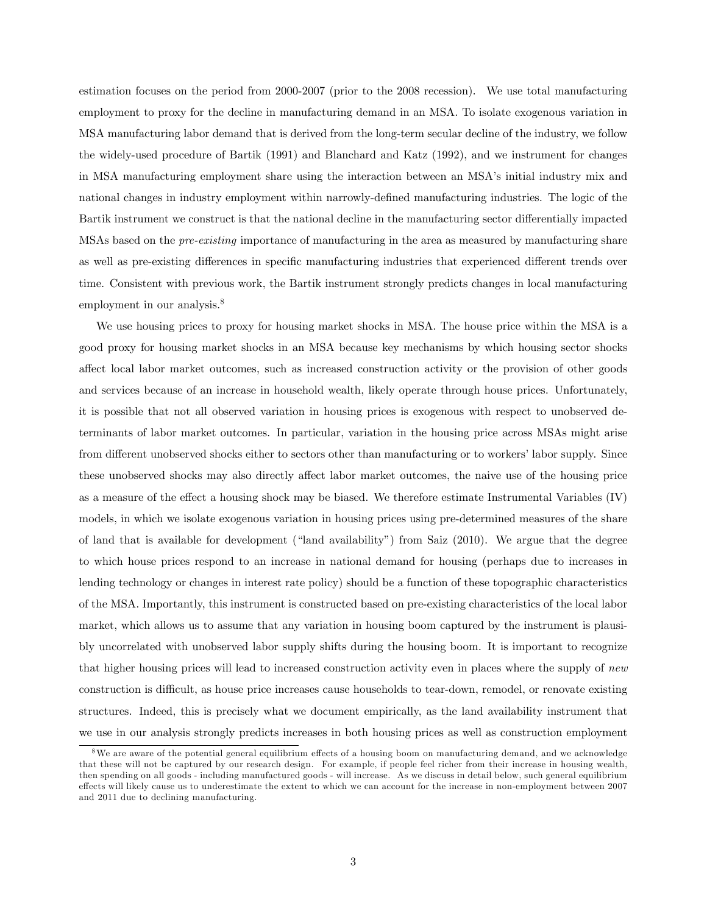estimation focuses on the period from 2000-2007 (prior to the 2008 recession). We use total manufacturing employment to proxy for the decline in manufacturing demand in an MSA. To isolate exogenous variation in MSA manufacturing labor demand that is derived from the long-term secular decline of the industry, we follow the widely-used procedure of Bartik (1991) and Blanchard and Katz (1992), and we instrument for changes in MSA manufacturing employment share using the interaction between an MSA's initial industry mix and national changes in industry employment within narrowly-defined manufacturing industries. The logic of the Bartik instrument we construct is that the national decline in the manufacturing sector differentially impacted MSAs based on the pre-existing importance of manufacturing in the area as measured by manufacturing share as well as pre-existing differences in specific manufacturing industries that experienced different trends over time. Consistent with previous work, the Bartik instrument strongly predicts changes in local manufacturing employment in our analysis. $8$ 

We use housing prices to proxy for housing market shocks in MSA. The house price within the MSA is a good proxy for housing market shocks in an MSA because key mechanisms by which housing sector shocks affect local labor market outcomes, such as increased construction activity or the provision of other goods and services because of an increase in household wealth, likely operate through house prices. Unfortunately, it is possible that not all observed variation in housing prices is exogenous with respect to unobserved determinants of labor market outcomes. In particular, variation in the housing price across MSAs might arise from different unobserved shocks either to sectors other than manufacturing or to workers' labor supply. Since these unobserved shocks may also directly affect labor market outcomes, the naive use of the housing price as a measure of the effect a housing shock may be biased. We therefore estimate Instrumental Variables  $(IV)$ models, in which we isolate exogenous variation in housing prices using pre-determined measures of the share of land that is available for development ("land availability") from Saiz (2010). We argue that the degree to which house prices respond to an increase in national demand for housing (perhaps due to increases in lending technology or changes in interest rate policy) should be a function of these topographic characteristics of the MSA. Importantly, this instrument is constructed based on pre-existing characteristics of the local labor market, which allows us to assume that any variation in housing boom captured by the instrument is plausibly uncorrelated with unobserved labor supply shifts during the housing boom. It is important to recognize that higher housing prices will lead to increased construction activity even in places where the supply of new construction is difficult, as house price increases cause households to tear-down, remodel, or renovate existing structures. Indeed, this is precisely what we document empirically, as the land availability instrument that we use in our analysis strongly predicts increases in both housing prices as well as construction employment

<sup>&</sup>lt;sup>8</sup>We are aware of the potential general equilibrium effects of a housing boom on manufacturing demand, and we acknowledge that these will not be captured by our research design. For example, if people feel richer from their increase in housing wealth, then spending on all goods - including manufactured goods - will increase. As we discuss in detail below, such general equilibrium effects will likely cause us to underestimate the extent to which we can account for the increase in non-employment between 2007 and 2011 due to declining manufacturing.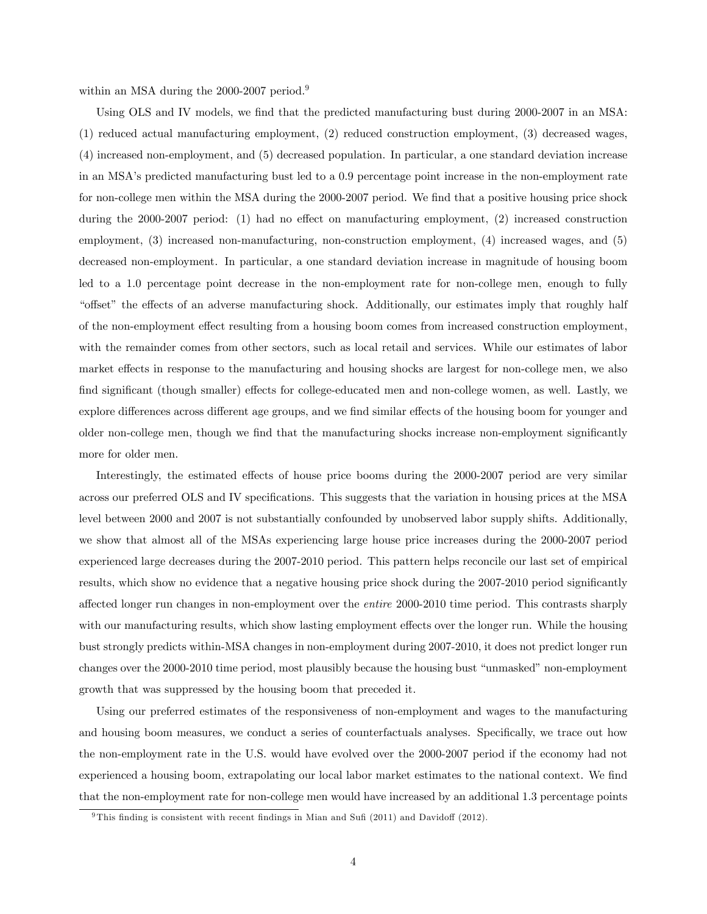within an MSA during the 2000-2007 period.<sup>9</sup>

Using OLS and IV models, we find that the predicted manufacturing bust during 2000-2007 in an MSA: (1) reduced actual manufacturing employment, (2) reduced construction employment, (3) decreased wages, (4) increased non-employment, and (5) decreased population. In particular, a one standard deviation increase in an MSAís predicted manufacturing bust led to a 0:9 percentage point increase in the non-employment rate for non-college men within the MSA during the 2000-2007 period. We find that a positive housing price shock during the 2000-2007 period: (1) had no effect on manufacturing employment, (2) increased construction employment, (3) increased non-manufacturing, non-construction employment, (4) increased wages, and (5) decreased non-employment. In particular, a one standard deviation increase in magnitude of housing boom led to a 1.0 percentage point decrease in the non-employment rate for non-college men, enough to fully ìo§setî the e§ects of an adverse manufacturing shock. Additionally, our estimates imply that roughly half of the non-employment effect resulting from a housing boom comes from increased construction employment, with the remainder comes from other sectors, such as local retail and services. While our estimates of labor market effects in response to the manufacturing and housing shocks are largest for non-college men, we also find significant (though smaller) effects for college-educated men and non-college women, as well. Lastly, we explore differences across different age groups, and we find similar effects of the housing boom for younger and older non-college men, though we find that the manufacturing shocks increase non-employment significantly more for older men.

Interestingly, the estimated effects of house price booms during the 2000-2007 period are very similar across our preferred OLS and IV specifications. This suggests that the variation in housing prices at the MSA level between 2000 and 2007 is not substantially confounded by unobserved labor supply shifts. Additionally, we show that almost all of the MSAs experiencing large house price increases during the 2000-2007 period experienced large decreases during the 2007-2010 period. This pattern helps reconcile our last set of empirical results, which show no evidence that a negative housing price shock during the 2007-2010 period significantly affected longer run changes in non-employment over the *entire* 2000-2010 time period. This contrasts sharply with our manufacturing results, which show lasting employment effects over the longer run. While the housing bust strongly predicts within-MSA changes in non-employment during 2007-2010, it does not predict longer run changes over the 2000-2010 time period, most plausibly because the housing bust "unmasked" non-employment growth that was suppressed by the housing boom that preceded it.

Using our preferred estimates of the responsiveness of non-employment and wages to the manufacturing and housing boom measures, we conduct a series of counterfactuals analyses. Specifically, we trace out how the non-employment rate in the U.S. would have evolved over the 2000-2007 period if the economy had not experienced a housing boom, extrapolating our local labor market estimates to the national context. We find that the non-employment rate for non-college men would have increased by an additional 1:3 percentage points

 $9$ This finding is consistent with recent findings in Mian and Sufi (2011) and Davidoff (2012).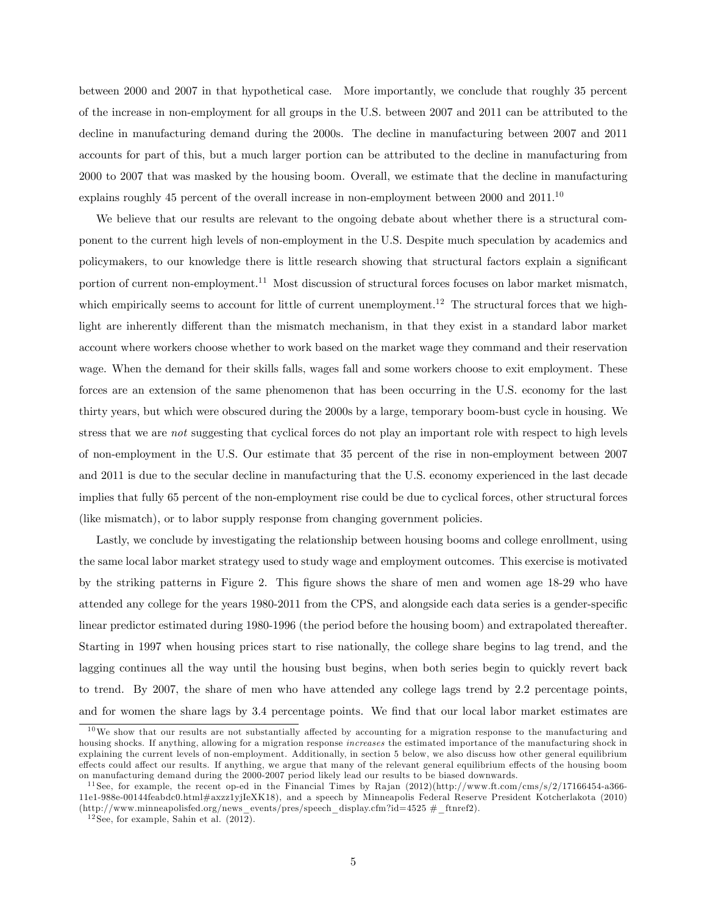between 2000 and 2007 in that hypothetical case. More importantly, we conclude that roughly 35 percent of the increase in non-employment for all groups in the U.S. between 2007 and 2011 can be attributed to the decline in manufacturing demand during the 2000s. The decline in manufacturing between 2007 and 2011 accounts for part of this, but a much larger portion can be attributed to the decline in manufacturing from 2000 to 2007 that was masked by the housing boom. Overall, we estimate that the decline in manufacturing explains roughly 45 percent of the overall increase in non-employment between 2000 and 2011.<sup>10</sup>

We believe that our results are relevant to the ongoing debate about whether there is a structural component to the current high levels of non-employment in the U.S. Despite much speculation by academics and policymakers, to our knowledge there is little research showing that structural factors explain a significant portion of current non-employment.<sup>11</sup> Most discussion of structural forces focuses on labor market mismatch, which empirically seems to account for little of current unemployment.<sup>12</sup> The structural forces that we highlight are inherently different than the mismatch mechanism, in that they exist in a standard labor market account where workers choose whether to work based on the market wage they command and their reservation wage. When the demand for their skills falls, wages fall and some workers choose to exit employment. These forces are an extension of the same phenomenon that has been occurring in the U.S. economy for the last thirty years, but which were obscured during the 2000s by a large, temporary boom-bust cycle in housing. We stress that we are not suggesting that cyclical forces do not play an important role with respect to high levels of non-employment in the U.S. Our estimate that 35 percent of the rise in non-employment between 2007 and 2011 is due to the secular decline in manufacturing that the U.S. economy experienced in the last decade implies that fully 65 percent of the non-employment rise could be due to cyclical forces, other structural forces (like mismatch), or to labor supply response from changing government policies.

Lastly, we conclude by investigating the relationship between housing booms and college enrollment, using the same local labor market strategy used to study wage and employment outcomes. This exercise is motivated by the striking patterns in Figure 2. This Ögure shows the share of men and women age 18-29 who have attended any college for the years 1980-2011 from the CPS, and alongside each data series is a gender-specific linear predictor estimated during 1980-1996 (the period before the housing boom) and extrapolated thereafter. Starting in 1997 when housing prices start to rise nationally, the college share begins to lag trend, and the lagging continues all the way until the housing bust begins, when both series begin to quickly revert back to trend. By 2007, the share of men who have attended any college lags trend by 2.2 percentage points, and for women the share lags by 3.4 percentage points. We find that our local labor market estimates are

 $10\,\text{We show that our results are not substantially affected by accounting for a migration response to the manufacturing and$ housing shocks. If anything, allowing for a migration response increases the estimated importance of the manufacturing shock in explaining the current levels of non-employment. Additionally, in section 5 below, we also discuss how other general equilibrium effects could affect our results. If anything, we argue that many of the relevant general equilibrium effects of the housing boom on manufacturing demand during the 2000-2007 period likely lead our results to be biased downwards.

<sup>&</sup>lt;sup>11</sup> See, for example, the recent op-ed in the Financial Times by Rajan (2012)(http://www.ft.com/cms/s/2/17166454-a366-11e1-988e-00144feabdc0.html#axzz1yjIeXK18), and a speech by Minneapolis Federal Reserve President Kotcherlakota (2010) (http://www.minneapolisfed.org/news\_events/pres/speech\_display.cfm?id=4525 #\_ftnref2).

 $12$  See, for example, Sahin et al.  $(2012)$ .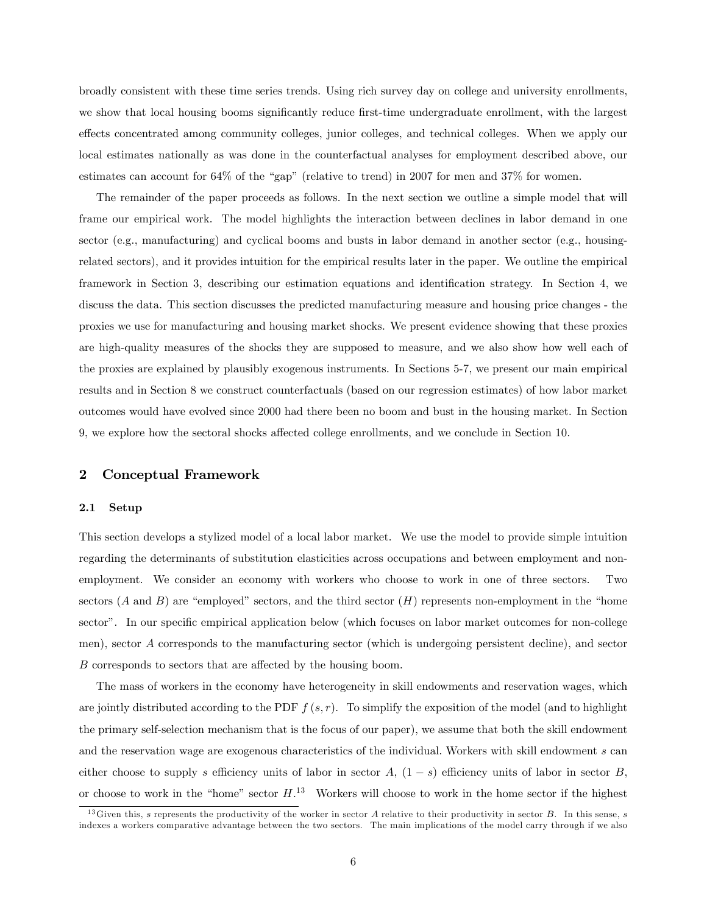broadly consistent with these time series trends. Using rich survey day on college and university enrollments, we show that local housing booms significantly reduce first-time undergraduate enrollment, with the largest effects concentrated among community colleges, junior colleges, and technical colleges. When we apply our local estimates nationally as was done in the counterfactual analyses for employment described above, our estimates can account for  $64\%$  of the "gap" (relative to trend) in 2007 for men and  $37\%$  for women.

The remainder of the paper proceeds as follows. In the next section we outline a simple model that will frame our empirical work. The model highlights the interaction between declines in labor demand in one sector (e.g., manufacturing) and cyclical booms and busts in labor demand in another sector (e.g., housingrelated sectors), and it provides intuition for the empirical results later in the paper. We outline the empirical framework in Section 3, describing our estimation equations and identification strategy. In Section 4, we discuss the data. This section discusses the predicted manufacturing measure and housing price changes - the proxies we use for manufacturing and housing market shocks. We present evidence showing that these proxies are high-quality measures of the shocks they are supposed to measure, and we also show how well each of the proxies are explained by plausibly exogenous instruments. In Sections 5-7, we present our main empirical results and in Section 8 we construct counterfactuals (based on our regression estimates) of how labor market outcomes would have evolved since 2000 had there been no boom and bust in the housing market. In Section 9, we explore how the sectoral shocks affected college enrollments, and we conclude in Section 10.

## 2 Conceptual Framework

#### 2.1 Setup

This section develops a stylized model of a local labor market. We use the model to provide simple intuition regarding the determinants of substitution elasticities across occupations and between employment and nonemployment. We consider an economy with workers who choose to work in one of three sectors. Two sectors  $(A \text{ and } B)$  are "employed" sectors, and the third sector  $(H)$  represents non-employment in the "home sector". In our specific empirical application below (which focuses on labor market outcomes for non-college men), sector A corresponds to the manufacturing sector (which is undergoing persistent decline), and sector B corresponds to sectors that are affected by the housing boom.

The mass of workers in the economy have heterogeneity in skill endowments and reservation wages, which are jointly distributed according to the PDF  $f(s, r)$ . To simplify the exposition of the model (and to highlight the primary self-selection mechanism that is the focus of our paper), we assume that both the skill endowment and the reservation wage are exogenous characteristics of the individual. Workers with skill endowment s can either choose to supply s efficiency units of labor in sector A,  $(1-s)$  efficiency units of labor in sector B, or choose to work in the "home" sector  $H^{13}$  Workers will choose to work in the home sector if the highest

<sup>&</sup>lt;sup>13</sup>Given this, s represents the productivity of the worker in sector A relative to their productivity in sector B. In this sense, s indexes a workers comparative advantage between the two sectors. The main implications of the model carry through if we also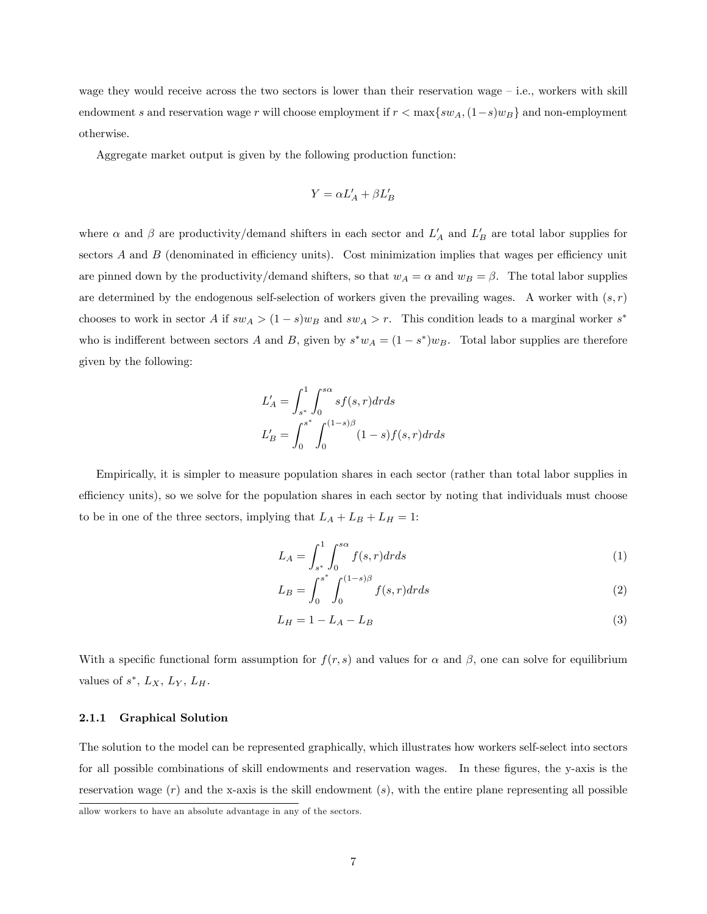wage they would receive across the two sectors is lower than their reservation wage  $-$  i.e., workers with skill endowment s and reservation wage r will choose employment if  $r < \max\{sw_A,(1-s)w_B\}$  and non-employment otherwise.

Aggregate market output is given by the following production function:

$$
Y = \alpha L_A' + \beta L_B'
$$

where  $\alpha$  and  $\beta$  are productivity/demand shifters in each sector and  $L'_A$  and  $L'_B$  are total labor supplies for sectors  $A$  and  $B$  (denominated in efficiency units). Cost minimization implies that wages per efficiency unit are pinned down by the productivity/demand shifters, so that  $w_A = \alpha$  and  $w_B = \beta$ . The total labor supplies are determined by the endogenous self-selection of workers given the prevailing wages. A worker with  $(s, r)$ chooses to work in sector A if  $sw_A > (1-s)w_B$  and  $sw_A > r$ . This condition leads to a marginal worker  $s^*$ who is indifferent between sectors A and B, given by  $s^*w_A = (1 - s^*)w_B$ . Total labor supplies are therefore given by the following:

$$
L'_{A} = \int_{s^{*}}^{1} \int_{0}^{s\alpha} s f(s, r) dr ds
$$
  

$$
L'_{B} = \int_{0}^{s^{*}} \int_{0}^{(1-s)\beta} (1 - s) f(s, r) dr ds
$$

Empirically, it is simpler to measure population shares in each sector (rather than total labor supplies in efficiency units), so we solve for the population shares in each sector by noting that individuals must choose to be in one of the three sectors, implying that  $L_A + L_B + L_H = 1$ :

$$
L_A = \int_{s^*}^1 \int_0^{s\alpha} f(s, r) dr ds \tag{1}
$$

$$
L_B = \int_0^{s^*} \int_0^{(1-s)\beta} f(s, r) dr ds
$$
 (2)

$$
L_H = 1 - L_A - L_B \tag{3}
$$

With a specific functional form assumption for  $f(r, s)$  and values for  $\alpha$  and  $\beta$ , one can solve for equilibrium values of  $s^*$ ,  $L_X$ ,  $L_Y$ ,  $L_H$ .

#### 2.1.1 Graphical Solution

The solution to the model can be represented graphically, which illustrates how workers self-select into sectors for all possible combinations of skill endowments and reservation wages. In these figures, the y-axis is the reservation wage  $(r)$  and the x-axis is the skill endowment  $(s)$ , with the entire plane representing all possible

allow workers to have an absolute advantage in any of the sectors.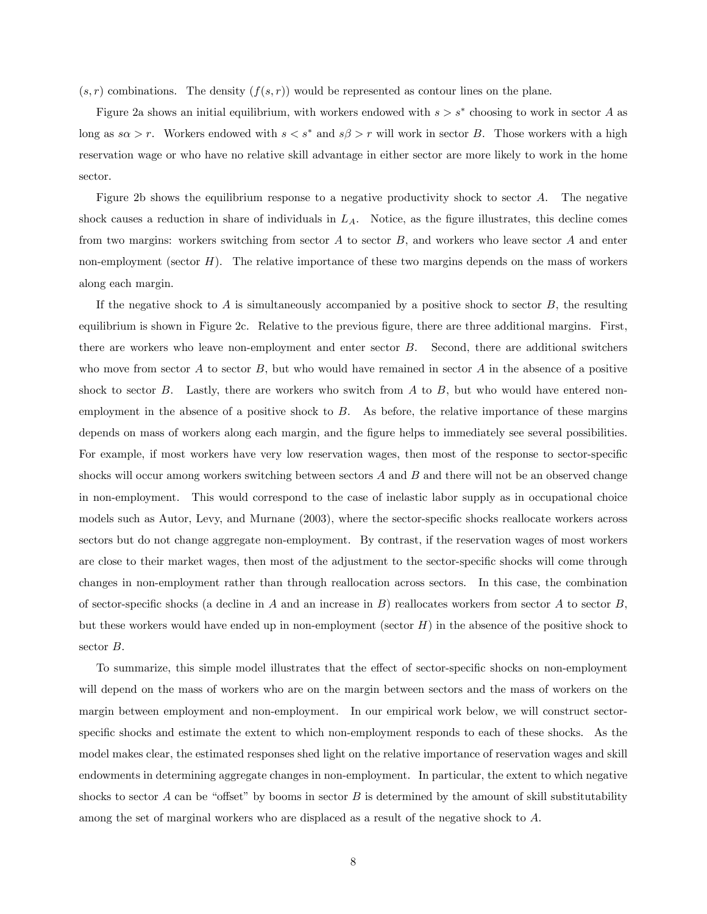$(s, r)$  combinations. The density  $(f(s, r))$  would be represented as contour lines on the plane.

Figure 2a shows an initial equilibrium, with workers endowed with  $s > s^*$  choosing to work in sector A as long as  $s\alpha > r$ . Workers endowed with  $s < s^*$  and  $s\beta > r$  will work in sector B. Those workers with a high reservation wage or who have no relative skill advantage in either sector are more likely to work in the home sector.

Figure 2b shows the equilibrium response to a negative productivity shock to sector A. The negative shock causes a reduction in share of individuals in  $L_A$ . Notice, as the figure illustrates, this decline comes from two margins: workers switching from sector  $A$  to sector  $B$ , and workers who leave sector  $A$  and enter non-employment (sector  $H$ ). The relative importance of these two margins depends on the mass of workers along each margin.

If the negative shock to  $A$  is simultaneously accompanied by a positive shock to sector  $B$ , the resulting equilibrium is shown in Figure 2c. Relative to the previous figure, there are three additional margins. First, there are workers who leave non-employment and enter sector B. Second, there are additional switchers who move from sector  $A$  to sector  $B$ , but who would have remained in sector  $A$  in the absence of a positive shock to sector  $B$ . Lastly, there are workers who switch from  $A$  to  $B$ , but who would have entered nonemployment in the absence of a positive shock to  $B$ . As before, the relative importance of these margins depends on mass of workers along each margin, and the figure helps to immediately see several possibilities. For example, if most workers have very low reservation wages, then most of the response to sector-specific shocks will occur among workers switching between sectors  $A$  and  $B$  and there will not be an observed change in non-employment. This would correspond to the case of inelastic labor supply as in occupational choice models such as Autor, Levy, and Murnane (2003), where the sector-specific shocks reallocate workers across sectors but do not change aggregate non-employment. By contrast, if the reservation wages of most workers are close to their market wages, then most of the adjustment to the sector-specific shocks will come through changes in non-employment rather than through reallocation across sectors. In this case, the combination of sector-specific shocks (a decline in A and an increase in B) reallocates workers from sector A to sector  $B$ , but these workers would have ended up in non-employment (sector  $H$ ) in the absence of the positive shock to sector B.

To summarize, this simple model illustrates that the effect of sector-specific shocks on non-employment will depend on the mass of workers who are on the margin between sectors and the mass of workers on the margin between employment and non-employment. In our empirical work below, we will construct sectorspecific shocks and estimate the extent to which non-employment responds to each of these shocks. As the model makes clear, the estimated responses shed light on the relative importance of reservation wages and skill endowments in determining aggregate changes in non-employment. In particular, the extent to which negative shocks to sector A can be "offset" by booms in sector B is determined by the amount of skill substitutability among the set of marginal workers who are displaced as a result of the negative shock to A.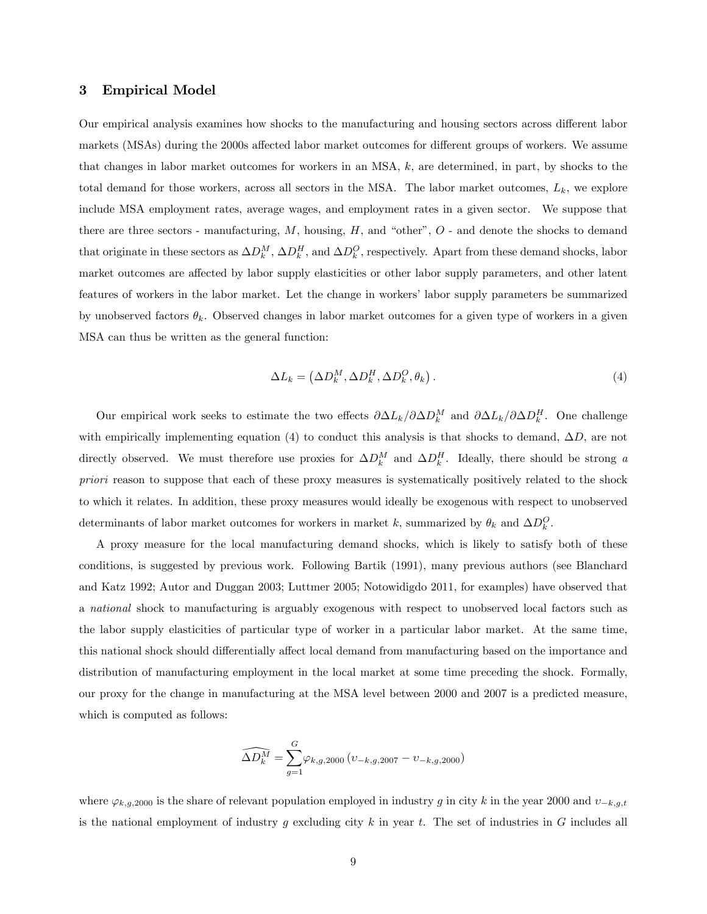## 3 Empirical Model

Our empirical analysis examines how shocks to the manufacturing and housing sectors across different labor markets (MSAs) during the 2000s affected labor market outcomes for different groups of workers. We assume that changes in labor market outcomes for workers in an MSA, k, are determined, in part, by shocks to the total demand for those workers, across all sectors in the MSA. The labor market outcomes,  $L_k$ , we explore include MSA employment rates, average wages, and employment rates in a given sector. We suppose that there are three sectors - manufacturing,  $M$ , housing,  $H$ , and "other",  $O$  - and denote the shocks to demand that originate in these sectors as  $\Delta D_k^M$ ,  $\Delta D_k^H$ , and  $\Delta D_k^Q$ , respectively. Apart from these demand shocks, labor market outcomes are affected by labor supply elasticities or other labor supply parameters, and other latent features of workers in the labor market. Let the change in workers' labor supply parameters be summarized by unobserved factors  $\theta_k$ . Observed changes in labor market outcomes for a given type of workers in a given MSA can thus be written as the general function:

$$
\Delta L_k = \left(\Delta D_k^M, \Delta D_k^H, \Delta D_k^O, \theta_k\right). \tag{4}
$$

Our empirical work seeks to estimate the two effects  $\partial \Delta L_k/\partial \Delta D_k^M$  and  $\partial \Delta L_k/\partial \Delta D_k^H$ . One challenge with empirically implementing equation (4) to conduct this analysis is that shocks to demand,  $\Delta D$ , are not directly observed. We must therefore use proxies for  $\Delta D_k^M$  and  $\Delta D_k^H$ . Ideally, there should be strong a priori reason to suppose that each of these proxy measures is systematically positively related to the shock to which it relates. In addition, these proxy measures would ideally be exogenous with respect to unobserved determinants of labor market outcomes for workers in market k, summarized by  $\theta_k$  and  $\Delta D_k^O$ .

A proxy measure for the local manufacturing demand shocks, which is likely to satisfy both of these conditions, is suggested by previous work. Following Bartik (1991), many previous authors (see Blanchard and Katz 1992; Autor and Duggan 2003; Luttmer 2005; Notowidigdo 2011, for examples) have observed that a national shock to manufacturing is arguably exogenous with respect to unobserved local factors such as the labor supply elasticities of particular type of worker in a particular labor market. At the same time, this national shock should differentially affect local demand from manufacturing based on the importance and distribution of manufacturing employment in the local market at some time preceding the shock. Formally, our proxy for the change in manufacturing at the MSA level between 2000 and 2007 is a predicted measure, which is computed as follows:

$$
\widehat{\Delta D_k^M} = \sum_{g=1}^G \varphi_{k,g,2000} (v_{-k,g,2007} - v_{-k,g,2000})
$$

where  $\varphi_{k,g,2000}$  is the share of relevant population employed in industry g in city k in the year 2000 and  $v_{-k,g,t}$ is the national employment of industry q excluding city k in year t. The set of industries in G includes all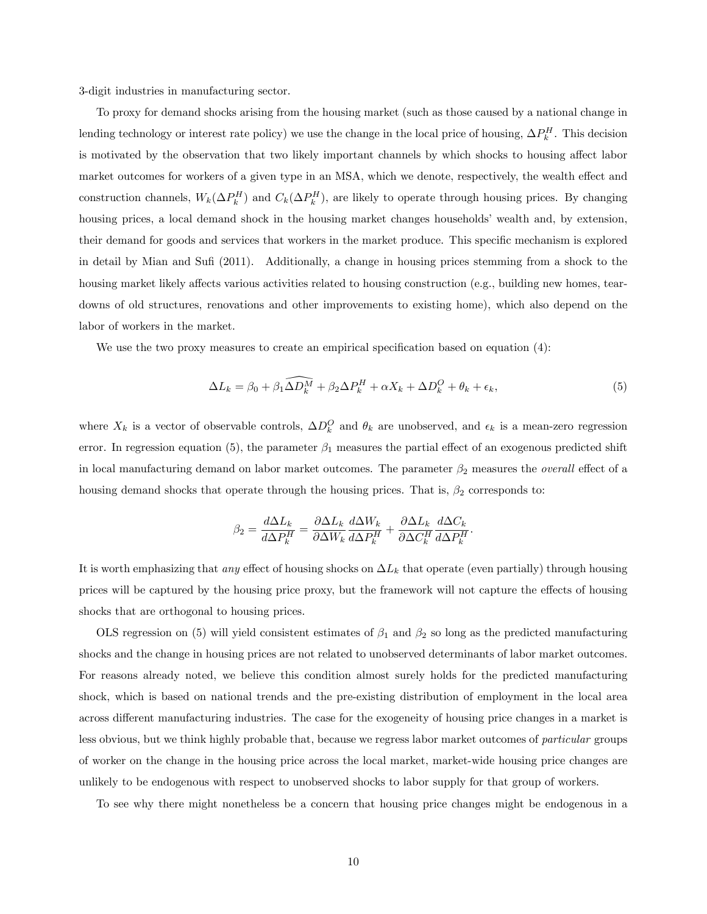3-digit industries in manufacturing sector.

To proxy for demand shocks arising from the housing market (such as those caused by a national change in lending technology or interest rate policy) we use the change in the local price of housing,  $\Delta P_k^H$ . This decision is motivated by the observation that two likely important channels by which shocks to housing affect labor market outcomes for workers of a given type in an MSA, which we denote, respectively, the wealth effect and construction channels,  $W_k(\Delta P_k^H)$  and  $C_k(\Delta P_k^H)$ , are likely to operate through housing prices. By changing housing prices, a local demand shock in the housing market changes households' wealth and, by extension, their demand for goods and services that workers in the market produce. This specific mechanism is explored in detail by Mian and Sufi (2011). Additionally, a change in housing prices stemming from a shock to the housing market likely affects various activities related to housing construction (e.g., building new homes, teardowns of old structures, renovations and other improvements to existing home), which also depend on the labor of workers in the market.

We use the two proxy measures to create an empirical specification based on equation  $(4)$ :

$$
\Delta L_k = \beta_0 + \beta_1 \widehat{\Delta D_k^M} + \beta_2 \Delta P_k^H + \alpha X_k + \Delta D_k^O + \theta_k + \epsilon_k,\tag{5}
$$

where  $X_k$  is a vector of observable controls,  $\Delta D_k^O$  and  $\theta_k$  are unobserved, and  $\epsilon_k$  is a mean-zero regression error. In regression equation (5), the parameter  $\beta_1$  measures the partial effect of an exogenous predicted shift in local manufacturing demand on labor market outcomes. The parameter  $\beta_2$  measures the *overall* effect of a housing demand shocks that operate through the housing prices. That is,  $\beta_2$  corresponds to:

$$
\beta_2 = \frac{d\Delta L_k}{d\Delta P_k^H} = \frac{\partial \Delta L_k}{\partial \Delta W_k} \frac{d\Delta W_k}{d\Delta P_k^H} + \frac{\partial \Delta L_k}{\partial \Delta C_k^H} \frac{d\Delta C_k}{d\Delta P_k^H}.
$$

It is worth emphasizing that any effect of housing shocks on  $\Delta L_k$  that operate (even partially) through housing prices will be captured by the housing price proxy, but the framework will not capture the effects of housing shocks that are orthogonal to housing prices.

OLS regression on (5) will yield consistent estimates of  $\beta_1$  and  $\beta_2$  so long as the predicted manufacturing shocks and the change in housing prices are not related to unobserved determinants of labor market outcomes. For reasons already noted, we believe this condition almost surely holds for the predicted manufacturing shock, which is based on national trends and the pre-existing distribution of employment in the local area across different manufacturing industries. The case for the exogeneity of housing price changes in a market is less obvious, but we think highly probable that, because we regress labor market outcomes of particular groups of worker on the change in the housing price across the local market, market-wide housing price changes are unlikely to be endogenous with respect to unobserved shocks to labor supply for that group of workers.

To see why there might nonetheless be a concern that housing price changes might be endogenous in a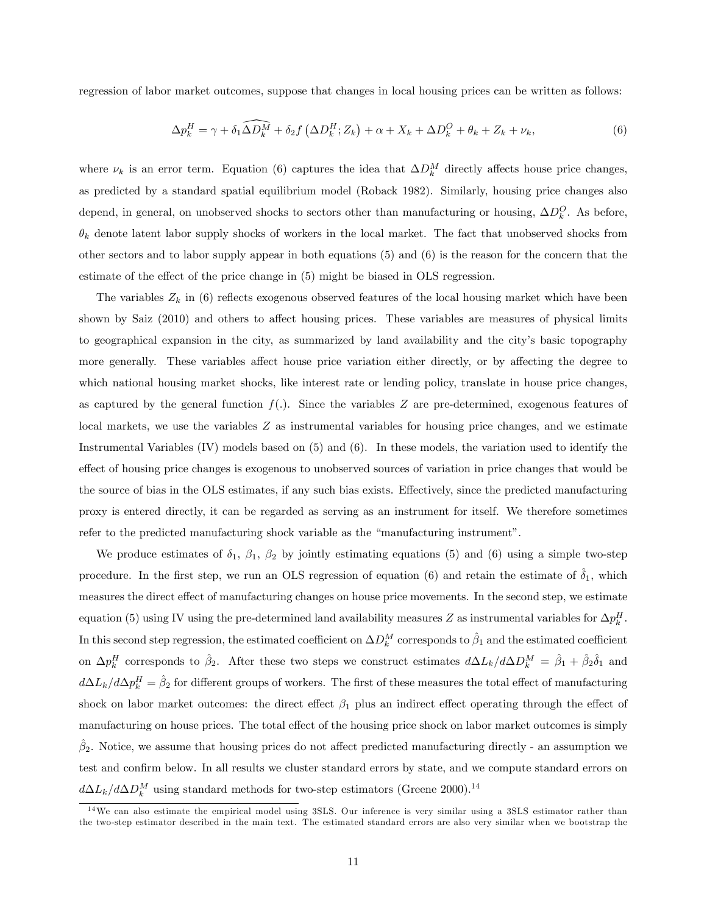regression of labor market outcomes, suppose that changes in local housing prices can be written as follows:

$$
\Delta p_k^H = \gamma + \delta_1 \widehat{\Delta D_k^M} + \delta_2 f \left( \Delta D_k^H; Z_k \right) + \alpha + X_k + \Delta D_k^O + \theta_k + Z_k + \nu_k, \tag{6}
$$

where  $\nu_k$  is an error term. Equation (6) captures the idea that  $\Delta D_k^M$  directly affects house price changes, as predicted by a standard spatial equilibrium model (Roback 1982). Similarly, housing price changes also depend, in general, on unobserved shocks to sectors other than manufacturing or housing,  $\Delta D_k^Q$ . As before,  $\theta_k$  denote latent labor supply shocks of workers in the local market. The fact that unobserved shocks from other sectors and to labor supply appear in both equations (5) and (6) is the reason for the concern that the estimate of the effect of the price change in  $(5)$  might be biased in OLS regression.

The variables  $Z_k$  in (6) reflects exogenous observed features of the local housing market which have been shown by Saiz (2010) and others to affect housing prices. These variables are measures of physical limits to geographical expansion in the city, as summarized by land availability and the city's basic topography more generally. These variables affect house price variation either directly, or by affecting the degree to which national housing market shocks, like interest rate or lending policy, translate in house price changes, as captured by the general function  $f(.)$ . Since the variables Z are pre-determined, exogenous features of local markets, we use the variables Z as instrumental variables for housing price changes, and we estimate Instrumental Variables (IV) models based on (5) and (6). In these models, the variation used to identify the effect of housing price changes is exogenous to unobserved sources of variation in price changes that would be the source of bias in the OLS estimates, if any such bias exists. Effectively, since the predicted manufacturing proxy is entered directly, it can be regarded as serving as an instrument for itself. We therefore sometimes refer to the predicted manufacturing shock variable as the "manufacturing instrument".

We produce estimates of  $\delta_1$ ,  $\beta_1$ ,  $\beta_2$  by jointly estimating equations (5) and (6) using a simple two-step procedure. In the first step, we run an OLS regression of equation (6) and retain the estimate of  $\delta_1$ , which measures the direct effect of manufacturing changes on house price movements. In the second step, we estimate equation (5) using IV using the pre-determined land availability measures Z as instrumental variables for  $\Delta p_k^H$ . In this second step regression, the estimated coefficient on  $\Delta D^M_k$  corresponds to  $\hat{\beta}_1$  and the estimated coefficient on  $\Delta p_k^H$  corresponds to  $\hat{\beta}_2$ . After these two steps we construct estimates  $d\Delta L_k/d\Delta D_k^M = \hat{\beta}_1 + \hat{\beta}_2 \hat{\delta}_1$  and  $d\Delta L_k/d\Delta p_k^H = \hat{\beta}_2$  for different groups of workers. The first of these measures the total effect of manufacturing shock on labor market outcomes: the direct effect  $\beta_1$  plus an indirect effect operating through the effect of manufacturing on house prices. The total effect of the housing price shock on labor market outcomes is simply  $\hat{\beta}_2$ . Notice, we assume that housing prices do not affect predicted manufacturing directly - an assumption we test and confirm below. In all results we cluster standard errors by state, and we compute standard errors on  $d\Delta L_k/d\Delta D_k^M$  using standard methods for two-step estimators (Greene 2000).<sup>14</sup>

<sup>&</sup>lt;sup>14</sup>We can also estimate the empirical model using 3SLS. Our inference is very similar using a 3SLS estimator rather than the two-step estimator described in the main text. The estimated standard errors are also very similar when we bootstrap the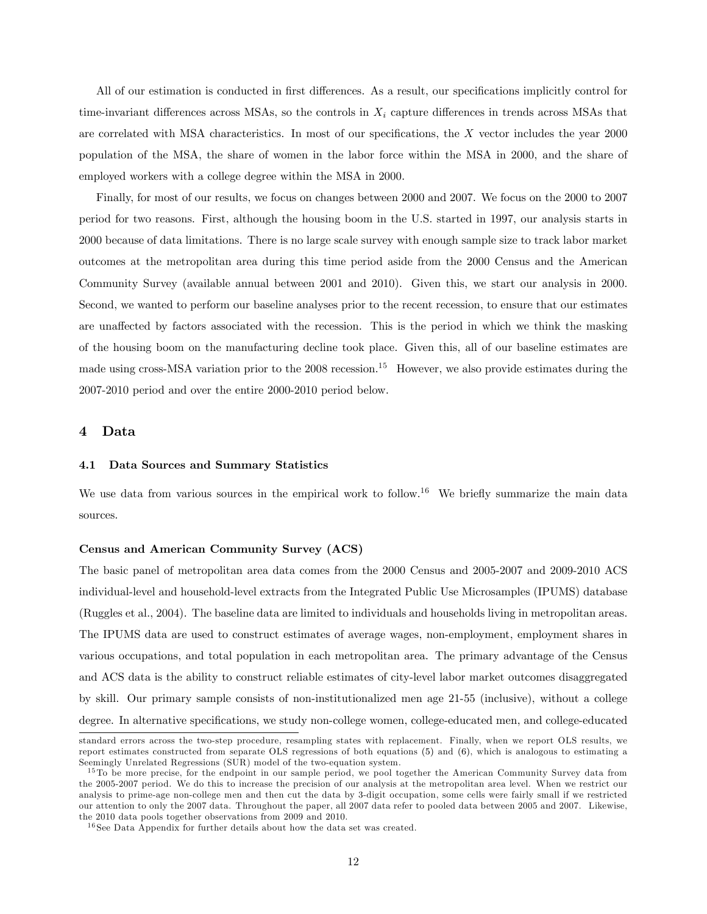All of our estimation is conducted in first differences. As a result, our specifications implicitly control for time-invariant differences across MSAs, so the controls in  $X_i$  capture differences in trends across MSAs that are correlated with MSA characteristics. In most of our specifications, the  $X$  vector includes the year 2000 population of the MSA, the share of women in the labor force within the MSA in 2000, and the share of employed workers with a college degree within the MSA in 2000.

Finally, for most of our results, we focus on changes between 2000 and 2007. We focus on the 2000 to 2007 period for two reasons. First, although the housing boom in the U.S. started in 1997, our analysis starts in 2000 because of data limitations. There is no large scale survey with enough sample size to track labor market outcomes at the metropolitan area during this time period aside from the 2000 Census and the American Community Survey (available annual between 2001 and 2010). Given this, we start our analysis in 2000. Second, we wanted to perform our baseline analyses prior to the recent recession, to ensure that our estimates are unaffected by factors associated with the recession. This is the period in which we think the masking of the housing boom on the manufacturing decline took place. Given this, all of our baseline estimates are made using cross-MSA variation prior to the  $2008$  recession.<sup>15</sup> However, we also provide estimates during the 2007-2010 period and over the entire 2000-2010 period below.

## 4 Data

#### 4.1 Data Sources and Summary Statistics

We use data from various sources in the empirical work to follow.<sup>16</sup> We briefly summarize the main data sources.

#### Census and American Community Survey (ACS)

The basic panel of metropolitan area data comes from the 2000 Census and 2005-2007 and 2009-2010 ACS individual-level and household-level extracts from the Integrated Public Use Microsamples (IPUMS) database (Ruggles et al., 2004). The baseline data are limited to individuals and households living in metropolitan areas. The IPUMS data are used to construct estimates of average wages, non-employment, employment shares in various occupations, and total population in each metropolitan area. The primary advantage of the Census and ACS data is the ability to construct reliable estimates of city-level labor market outcomes disaggregated by skill. Our primary sample consists of non-institutionalized men age 21-55 (inclusive), without a college degree. In alternative specifications, we study non-college women, college-educated men, and college-educated

standard errors across the two-step procedure, resampling states with replacement. Finally, when we report OLS results, we report estimates constructed from separate OLS regressions of both equations (5) and (6), which is analogous to estimating a Seemingly Unrelated Regressions (SUR) model of the two-equation system.

<sup>&</sup>lt;sup>15</sup> To be more precise, for the endpoint in our sample period, we pool together the American Community Survey data from the 2005-2007 period. We do this to increase the precision of our analysis at the metropolitan area level. When we restrict our analysis to prime-age non-college men and then cut the data by 3-digit occupation, some cells were fairly small if we restricted our attention to only the 2007 data. Throughout the paper, all 2007 data refer to pooled data between 2005 and 2007. Likewise, the 2010 data pools together observations from 2009 and 2010.

<sup>16</sup> See Data Appendix for further details about how the data set was created.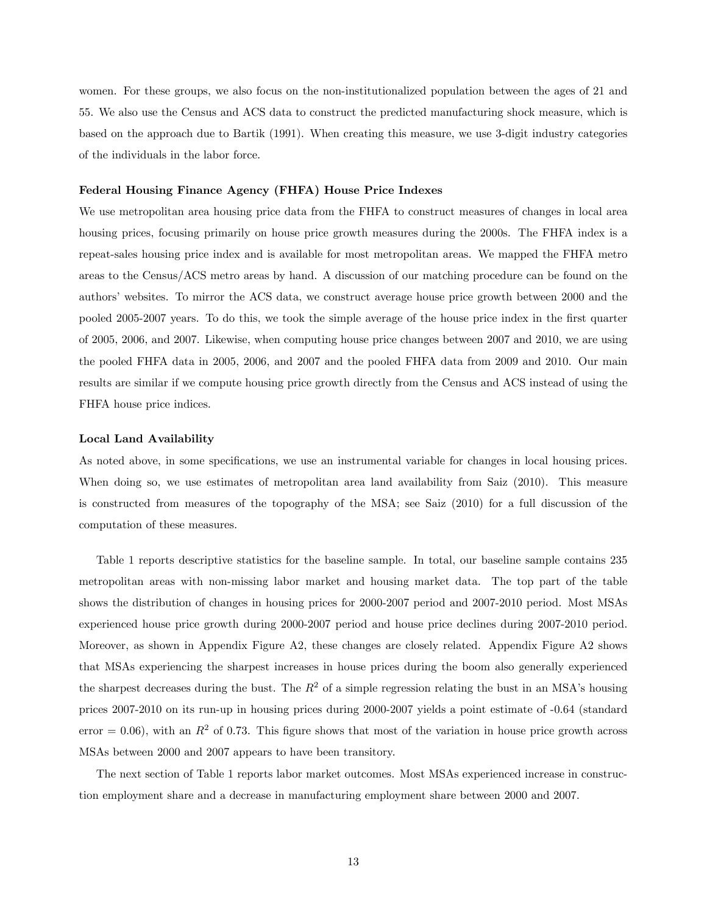women. For these groups, we also focus on the non-institutionalized population between the ages of 21 and 55. We also use the Census and ACS data to construct the predicted manufacturing shock measure, which is based on the approach due to Bartik (1991). When creating this measure, we use 3-digit industry categories of the individuals in the labor force.

## Federal Housing Finance Agency (FHFA) House Price Indexes

We use metropolitan area housing price data from the FHFA to construct measures of changes in local area housing prices, focusing primarily on house price growth measures during the 2000s. The FHFA index is a repeat-sales housing price index and is available for most metropolitan areas. We mapped the FHFA metro areas to the Census/ACS metro areas by hand. A discussion of our matching procedure can be found on the authors' websites. To mirror the ACS data, we construct average house price growth between 2000 and the pooled 2005-2007 years. To do this, we took the simple average of the house price index in the Örst quarter of 2005, 2006, and 2007. Likewise, when computing house price changes between 2007 and 2010, we are using the pooled FHFA data in 2005, 2006, and 2007 and the pooled FHFA data from 2009 and 2010. Our main results are similar if we compute housing price growth directly from the Census and ACS instead of using the FHFA house price indices.

#### Local Land Availability

As noted above, in some specifications, we use an instrumental variable for changes in local housing prices. When doing so, we use estimates of metropolitan area land availability from Saiz (2010). This measure is constructed from measures of the topography of the MSA; see Saiz (2010) for a full discussion of the computation of these measures.

Table 1 reports descriptive statistics for the baseline sample. In total, our baseline sample contains 235 metropolitan areas with non-missing labor market and housing market data. The top part of the table shows the distribution of changes in housing prices for 2000-2007 period and 2007-2010 period. Most MSAs experienced house price growth during 2000-2007 period and house price declines during 2007-2010 period. Moreover, as shown in Appendix Figure A2, these changes are closely related. Appendix Figure A2 shows that MSAs experiencing the sharpest increases in house prices during the boom also generally experienced the sharpest decreases during the bust. The  $R^2$  of a simple regression relating the bust in an MSA's housing prices 2007-2010 on its run-up in housing prices during 2000-2007 yields a point estimate of -0.64 (standard error = 0.06), with an  $R^2$  of 0.73. This figure shows that most of the variation in house price growth across MSAs between 2000 and 2007 appears to have been transitory.

The next section of Table 1 reports labor market outcomes. Most MSAs experienced increase in construction employment share and a decrease in manufacturing employment share between 2000 and 2007.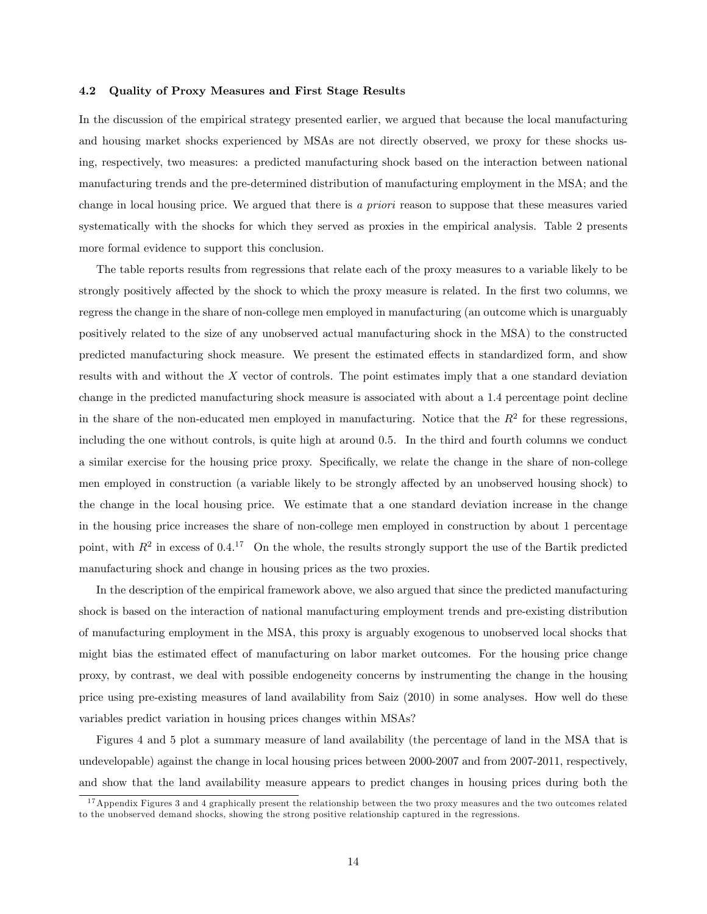#### 4.2 Quality of Proxy Measures and First Stage Results

In the discussion of the empirical strategy presented earlier, we argued that because the local manufacturing and housing market shocks experienced by MSAs are not directly observed, we proxy for these shocks using, respectively, two measures: a predicted manufacturing shock based on the interaction between national manufacturing trends and the pre-determined distribution of manufacturing employment in the MSA; and the change in local housing price. We argued that there is a priori reason to suppose that these measures varied systematically with the shocks for which they served as proxies in the empirical analysis. Table 2 presents more formal evidence to support this conclusion.

The table reports results from regressions that relate each of the proxy measures to a variable likely to be strongly positively affected by the shock to which the proxy measure is related. In the first two columns, we regress the change in the share of non-college men employed in manufacturing (an outcome which is unarguably positively related to the size of any unobserved actual manufacturing shock in the MSA) to the constructed predicted manufacturing shock measure. We present the estimated effects in standardized form, and show results with and without the X vector of controls. The point estimates imply that a one standard deviation change in the predicted manufacturing shock measure is associated with about a 1.4 percentage point decline in the share of the non-educated men employed in manufacturing. Notice that the  $R^2$  for these regressions, including the one without controls, is quite high at around 0.5. In the third and fourth columns we conduct a similar exercise for the housing price proxy. Specifically, we relate the change in the share of non-college men employed in construction (a variable likely to be strongly affected by an unobserved housing shock) to the change in the local housing price. We estimate that a one standard deviation increase in the change in the housing price increases the share of non-college men employed in construction by about 1 percentage point, with  $R^2$  in excess of 0.4.<sup>17</sup> On the whole, the results strongly support the use of the Bartik predicted manufacturing shock and change in housing prices as the two proxies.

In the description of the empirical framework above, we also argued that since the predicted manufacturing shock is based on the interaction of national manufacturing employment trends and pre-existing distribution of manufacturing employment in the MSA, this proxy is arguably exogenous to unobserved local shocks that might bias the estimated effect of manufacturing on labor market outcomes. For the housing price change proxy, by contrast, we deal with possible endogeneity concerns by instrumenting the change in the housing price using pre-existing measures of land availability from Saiz (2010) in some analyses. How well do these variables predict variation in housing prices changes within MSAs?

Figures 4 and 5 plot a summary measure of land availability (the percentage of land in the MSA that is undevelopable) against the change in local housing prices between 2000-2007 and from 2007-2011, respectively, and show that the land availability measure appears to predict changes in housing prices during both the

 $17$  Appendix Figures 3 and 4 graphically present the relationship between the two proxy measures and the two outcomes related to the unobserved demand shocks, showing the strong positive relationship captured in the regressions.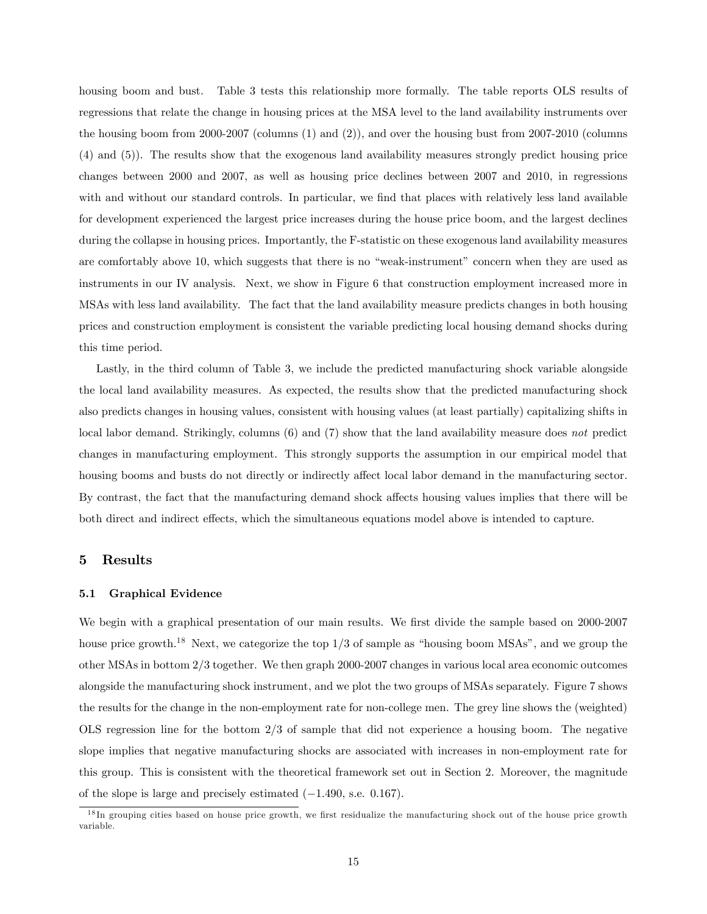housing boom and bust. Table 3 tests this relationship more formally. The table reports OLS results of regressions that relate the change in housing prices at the MSA level to the land availability instruments over the housing boom from 2000-2007 (columns (1) and (2)), and over the housing bust from 2007-2010 (columns (4) and (5)). The results show that the exogenous land availability measures strongly predict housing price changes between 2000 and 2007, as well as housing price declines between 2007 and 2010, in regressions with and without our standard controls. In particular, we find that places with relatively less land available for development experienced the largest price increases during the house price boom, and the largest declines during the collapse in housing prices. Importantly, the F-statistic on these exogenous land availability measures are comfortably above 10, which suggests that there is no "weak-instrument" concern when they are used as instruments in our IV analysis. Next, we show in Figure 6 that construction employment increased more in MSAs with less land availability. The fact that the land availability measure predicts changes in both housing prices and construction employment is consistent the variable predicting local housing demand shocks during this time period.

Lastly, in the third column of Table 3, we include the predicted manufacturing shock variable alongside the local land availability measures. As expected, the results show that the predicted manufacturing shock also predicts changes in housing values, consistent with housing values (at least partially) capitalizing shifts in local labor demand. Strikingly, columns (6) and (7) show that the land availability measure does not predict changes in manufacturing employment. This strongly supports the assumption in our empirical model that housing booms and busts do not directly or indirectly affect local labor demand in the manufacturing sector. By contrast, the fact that the manufacturing demand shock affects housing values implies that there will be both direct and indirect effects, which the simultaneous equations model above is intended to capture.

## 5 Results

#### 5.1 Graphical Evidence

We begin with a graphical presentation of our main results. We first divide the sample based on 2000-2007 house price growth.<sup>18</sup> Next, we categorize the top  $1/3$  of sample as "housing boom MSAs", and we group the other MSAs in bottom 2/3 together. We then graph 2000-2007 changes in various local area economic outcomes alongside the manufacturing shock instrument, and we plot the two groups of MSAs separately. Figure 7 shows the results for the change in the non-employment rate for non-college men. The grey line shows the (weighted) OLS regression line for the bottom 2/3 of sample that did not experience a housing boom. The negative slope implies that negative manufacturing shocks are associated with increases in non-employment rate for this group. This is consistent with the theoretical framework set out in Section 2. Moreover, the magnitude of the slope is large and precisely estimated  $(-1.490, \text{ s.e. } 0.167)$ .

 $18$  In grouping cities based on house price growth, we first residualize the manufacturing shock out of the house price growth variable.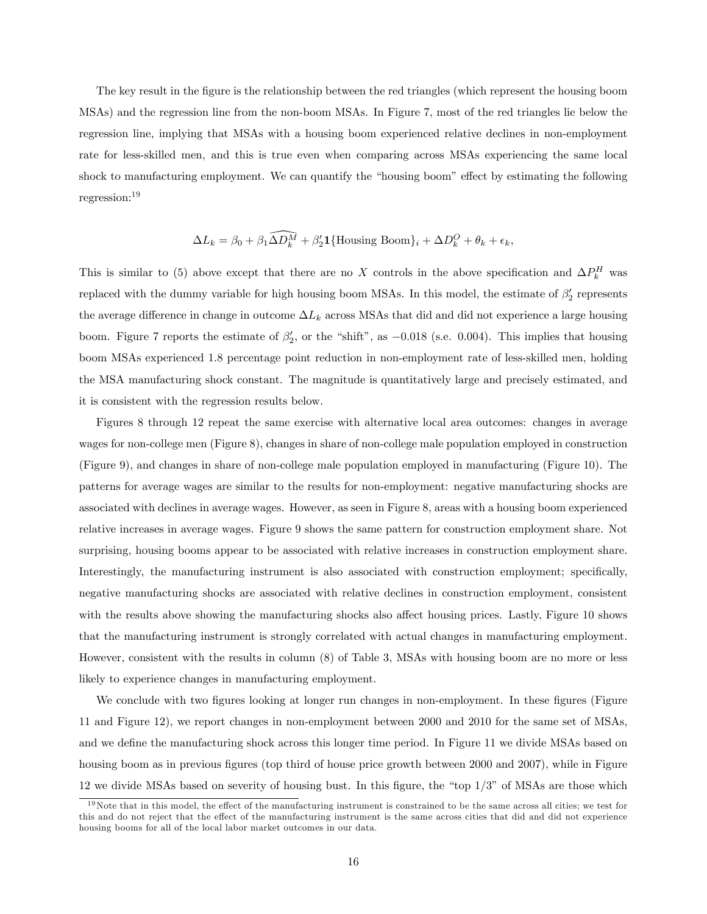The key result in the figure is the relationship between the red triangles (which represent the housing boom MSAs) and the regression line from the non-boom MSAs. In Figure 7, most of the red triangles lie below the regression line, implying that MSAs with a housing boom experienced relative declines in non-employment rate for less-skilled men, and this is true even when comparing across MSAs experiencing the same local shock to manufacturing employment. We can quantify the "housing boom" effect by estimating the following regression:<sup>19</sup>

$$
\Delta L_k = \beta_0 + \beta_1 \widehat{\Delta D_k^M} + \beta_2' \mathbf{1} \{\text{Housing Boom}\}_i + \Delta D_k^O + \theta_k + \epsilon_k,
$$

This is similar to (5) above except that there are no X controls in the above specification and  $\Delta P_k^H$  was replaced with the dummy variable for high housing boom MSAs. In this model, the estimate of  $\beta_2'$  represents the average difference in change in outcome  $\Delta L_k$  across MSAs that did and did not experience a large housing boom. Figure 7 reports the estimate of  $\beta'_2$ , or the "shift", as  $-0.018$  (s.e. 0.004). This implies that housing boom MSAs experienced 1:8 percentage point reduction in non-employment rate of less-skilled men, holding the MSA manufacturing shock constant. The magnitude is quantitatively large and precisely estimated, and it is consistent with the regression results below.

Figures 8 through 12 repeat the same exercise with alternative local area outcomes: changes in average wages for non-college men (Figure 8), changes in share of non-college male population employed in construction (Figure 9), and changes in share of non-college male population employed in manufacturing (Figure 10). The patterns for average wages are similar to the results for non-employment: negative manufacturing shocks are associated with declines in average wages. However, as seen in Figure 8, areas with a housing boom experienced relative increases in average wages. Figure 9 shows the same pattern for construction employment share. Not surprising, housing booms appear to be associated with relative increases in construction employment share. Interestingly, the manufacturing instrument is also associated with construction employment; specifically, negative manufacturing shocks are associated with relative declines in construction employment, consistent with the results above showing the manufacturing shocks also affect housing prices. Lastly, Figure 10 shows that the manufacturing instrument is strongly correlated with actual changes in manufacturing employment. However, consistent with the results in column (8) of Table 3, MSAs with housing boom are no more or less likely to experience changes in manufacturing employment.

We conclude with two figures looking at longer run changes in non-employment. In these figures (Figure 11 and Figure 12), we report changes in non-employment between 2000 and 2010 for the same set of MSAs, and we define the manufacturing shock across this longer time period. In Figure 11 we divide MSAs based on housing boom as in previous figures (top third of house price growth between 2000 and 2007), while in Figure 12 we divide MSAs based on severity of housing bust. In this figure, the "top  $1/3$ " of MSAs are those which

 $19$ Note that in this model, the effect of the manufacturing instrument is constrained to be the same across all cities; we test for this and do not reject that the effect of the manufacturing instrument is the same across cities that did and did not experience housing booms for all of the local labor market outcomes in our data.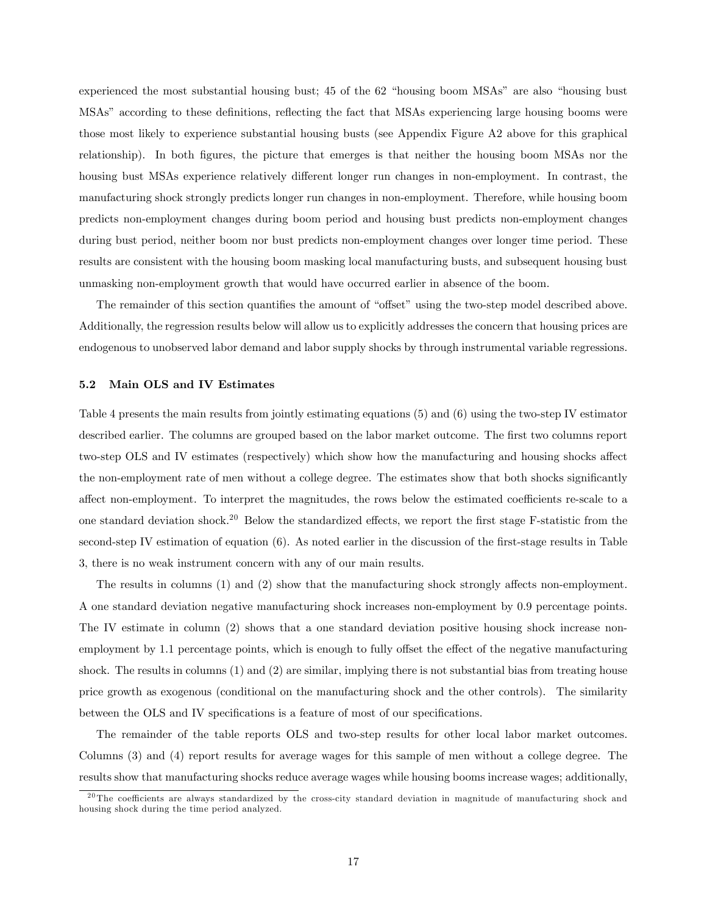experienced the most substantial housing bust; 45 of the 62 "housing boom MSAs" are also "housing bust" MSAs" according to these definitions, reflecting the fact that MSAs experiencing large housing booms were those most likely to experience substantial housing busts (see Appendix Figure A2 above for this graphical relationship). In both figures, the picture that emerges is that neither the housing boom MSAs nor the housing bust MSAs experience relatively different longer run changes in non-employment. In contrast, the manufacturing shock strongly predicts longer run changes in non-employment. Therefore, while housing boom predicts non-employment changes during boom period and housing bust predicts non-employment changes during bust period, neither boom nor bust predicts non-employment changes over longer time period. These results are consistent with the housing boom masking local manufacturing busts, and subsequent housing bust unmasking non-employment growth that would have occurred earlier in absence of the boom.

The remainder of this section quantifies the amount of "offset" using the two-step model described above. Additionally, the regression results below will allow us to explicitly addresses the concern that housing prices are endogenous to unobserved labor demand and labor supply shocks by through instrumental variable regressions.

#### 5.2 Main OLS and IV Estimates

Table 4 presents the main results from jointly estimating equations (5) and (6) using the two-step IV estimator described earlier. The columns are grouped based on the labor market outcome. The first two columns report two-step OLS and IV estimates (respectively) which show how the manufacturing and housing shocks affect the non-employment rate of men without a college degree. The estimates show that both shocks significantly affect non-employment. To interpret the magnitudes, the rows below the estimated coefficients re-scale to a one standard deviation shock.<sup>20</sup> Below the standardized effects, we report the first stage F-statistic from the second-step IV estimation of equation  $(6)$ . As noted earlier in the discussion of the first-stage results in Table 3, there is no weak instrument concern with any of our main results.

The results in columns  $(1)$  and  $(2)$  show that the manufacturing shock strongly affects non-employment. A one standard deviation negative manufacturing shock increases non-employment by 0:9 percentage points. The IV estimate in column (2) shows that a one standard deviation positive housing shock increase nonemployment by 1.1 percentage points, which is enough to fully offset the effect of the negative manufacturing shock. The results in columns (1) and (2) are similar, implying there is not substantial bias from treating house price growth as exogenous (conditional on the manufacturing shock and the other controls). The similarity between the OLS and IV specifications is a feature of most of our specifications.

The remainder of the table reports OLS and two-step results for other local labor market outcomes. Columns (3) and (4) report results for average wages for this sample of men without a college degree. The results show that manufacturing shocks reduce average wages while housing booms increase wages; additionally,

 $20$  The coefficients are always standardized by the cross-city standard deviation in magnitude of manufacturing shock and housing shock during the time period analyzed.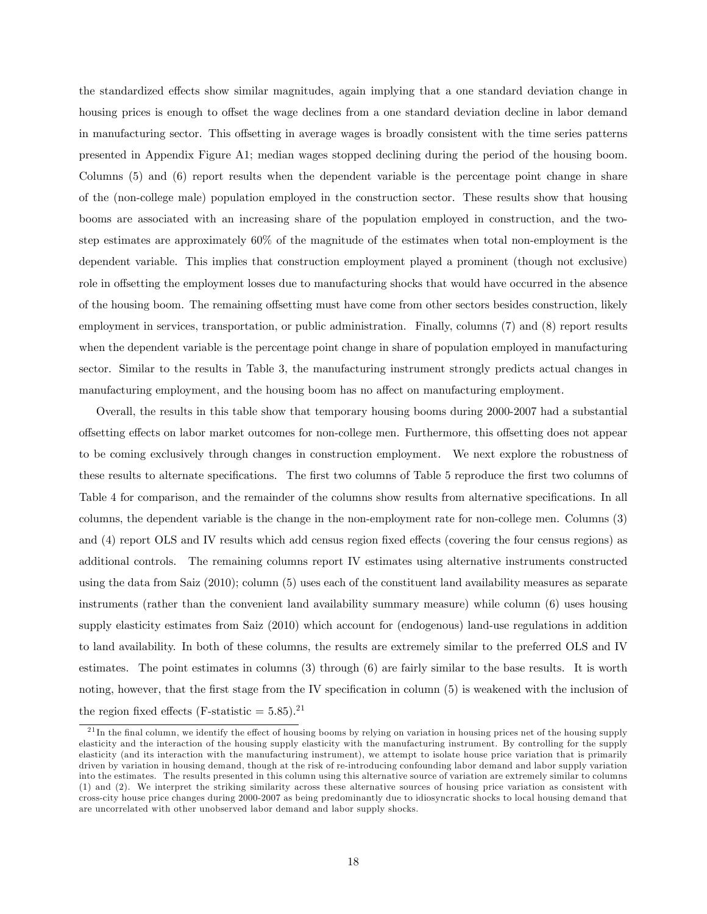the standardized effects show similar magnitudes, again implying that a one standard deviation change in housing prices is enough to offset the wage declines from a one standard deviation decline in labor demand in manufacturing sector. This offsetting in average wages is broadly consistent with the time series patterns presented in Appendix Figure A1; median wages stopped declining during the period of the housing boom. Columns (5) and (6) report results when the dependent variable is the percentage point change in share of the (non-college male) population employed in the construction sector. These results show that housing booms are associated with an increasing share of the population employed in construction, and the twostep estimates are approximately 60% of the magnitude of the estimates when total non-employment is the dependent variable. This implies that construction employment played a prominent (though not exclusive) role in offsetting the employment losses due to manufacturing shocks that would have occurred in the absence of the housing boom. The remaining offsetting must have come from other sectors besides construction, likely employment in services, transportation, or public administration. Finally, columns (7) and (8) report results when the dependent variable is the percentage point change in share of population employed in manufacturing sector. Similar to the results in Table 3, the manufacturing instrument strongly predicts actual changes in manufacturing employment, and the housing boom has no affect on manufacturing employment.

Overall, the results in this table show that temporary housing booms during 2000-2007 had a substantial offsetting effects on labor market outcomes for non-college men. Furthermore, this offsetting does not appear to be coming exclusively through changes in construction employment. We next explore the robustness of these results to alternate specifications. The first two columns of Table 5 reproduce the first two columns of Table 4 for comparison, and the remainder of the columns show results from alternative specifications. In all columns, the dependent variable is the change in the non-employment rate for non-college men. Columns (3) and (4) report OLS and IV results which add census region fixed effects (covering the four census regions) as additional controls. The remaining columns report IV estimates using alternative instruments constructed using the data from Saiz (2010); column (5) uses each of the constituent land availability measures as separate instruments (rather than the convenient land availability summary measure) while column (6) uses housing supply elasticity estimates from Saiz (2010) which account for (endogenous) land-use regulations in addition to land availability. In both of these columns, the results are extremely similar to the preferred OLS and IV estimates. The point estimates in columns (3) through (6) are fairly similar to the base results. It is worth noting, however, that the first stage from the IV specification in column (5) is weakened with the inclusion of the region fixed effects (F-statistic  $= 5.85$ ).<sup>21</sup>

 $^{21}$ In the final column, we identify the effect of housing booms by relying on variation in housing prices net of the housing supply elasticity and the interaction of the housing supply elasticity with the manufacturing instrument. By controlling for the supply elasticity (and its interaction with the manufacturing instrument), we attempt to isolate house price variation that is primarily driven by variation in housing demand, though at the risk of re-introducing confounding labor demand and labor supply variation into the estimates. The results presented in this column using this alternative source of variation are extremely similar to columns (1) and (2). We interpret the striking similarity across these alternative sources of housing price variation as consistent with cross-city house price changes during 2000-2007 as being predominantly due to idiosyncratic shocks to local housing demand that are uncorrelated with other unobserved labor demand and labor supply shocks.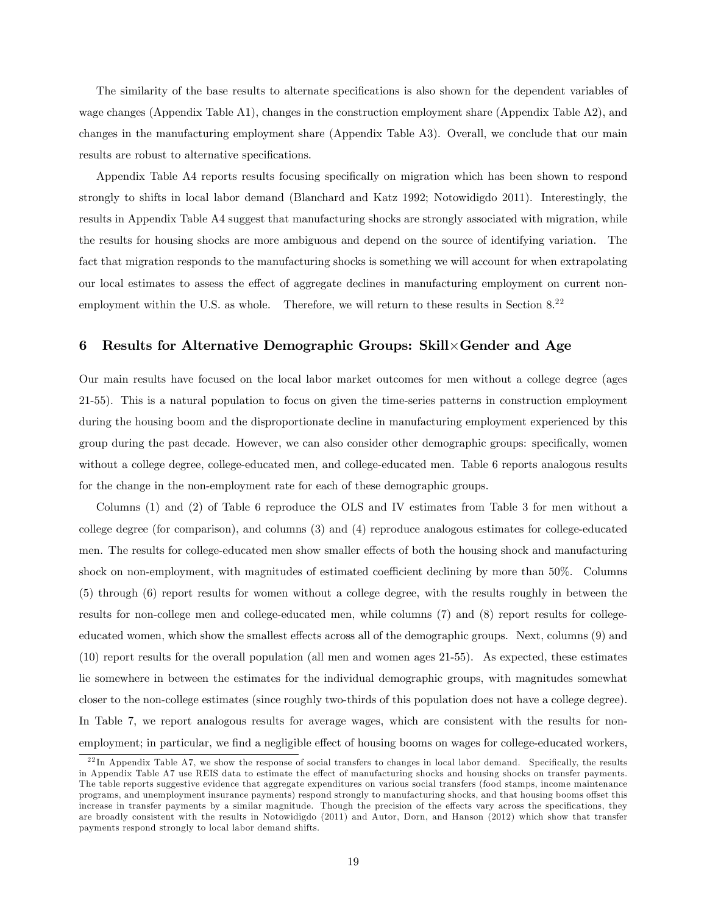The similarity of the base results to alternate specifications is also shown for the dependent variables of wage changes (Appendix Table A1), changes in the construction employment share (Appendix Table A2), and changes in the manufacturing employment share (Appendix Table A3). Overall, we conclude that our main results are robust to alternative specifications.

Appendix Table A4 reports results focusing specifically on migration which has been shown to respond strongly to shifts in local labor demand (Blanchard and Katz 1992; Notowidigdo 2011). Interestingly, the results in Appendix Table A4 suggest that manufacturing shocks are strongly associated with migration, while the results for housing shocks are more ambiguous and depend on the source of identifying variation. The fact that migration responds to the manufacturing shocks is something we will account for when extrapolating our local estimates to assess the effect of aggregate declines in manufacturing employment on current nonemployment within the U.S. as whole. Therefore, we will return to these results in Section 8.<sup>22</sup>

# 6 Results for Alternative Demographic Groups: Skill×Gender and Age

Our main results have focused on the local labor market outcomes for men without a college degree (ages 21-55). This is a natural population to focus on given the time-series patterns in construction employment during the housing boom and the disproportionate decline in manufacturing employment experienced by this group during the past decade. However, we can also consider other demographic groups: specifically, women without a college degree, college-educated men, and college-educated men. Table 6 reports analogous results for the change in the non-employment rate for each of these demographic groups.

Columns (1) and (2) of Table 6 reproduce the OLS and IV estimates from Table 3 for men without a college degree (for comparison), and columns (3) and (4) reproduce analogous estimates for college-educated men. The results for college-educated men show smaller effects of both the housing shock and manufacturing shock on non-employment, with magnitudes of estimated coefficient declining by more than 50%. Columns (5) through (6) report results for women without a college degree, with the results roughly in between the results for non-college men and college-educated men, while columns (7) and (8) report results for collegeeducated women, which show the smallest effects across all of the demographic groups. Next, columns (9) and (10) report results for the overall population (all men and women ages 21-55). As expected, these estimates lie somewhere in between the estimates for the individual demographic groups, with magnitudes somewhat closer to the non-college estimates (since roughly two-thirds of this population does not have a college degree). In Table 7, we report analogous results for average wages, which are consistent with the results for nonemployment; in particular, we find a negligible effect of housing booms on wages for college-educated workers,

 $^{22}$ In Appendix Table A7, we show the response of social transfers to changes in local labor demand. Specifically, the results in Appendix Table A7 use REIS data to estimate the effect of manufacturing shocks and housing shocks on transfer payments. The table reports suggestive evidence that aggregate expenditures on various social transfers (food stamps, income maintenance programs, and unemployment insurance payments) respond strongly to manufacturing shocks, and that housing booms offset this increase in transfer payments by a similar magnitude. Though the precision of the effects vary across the specifications, they are broadly consistent with the results in Notowidigdo (2011) and Autor, Dorn, and Hanson (2012) which show that transfer payments respond strongly to local labor demand shifts.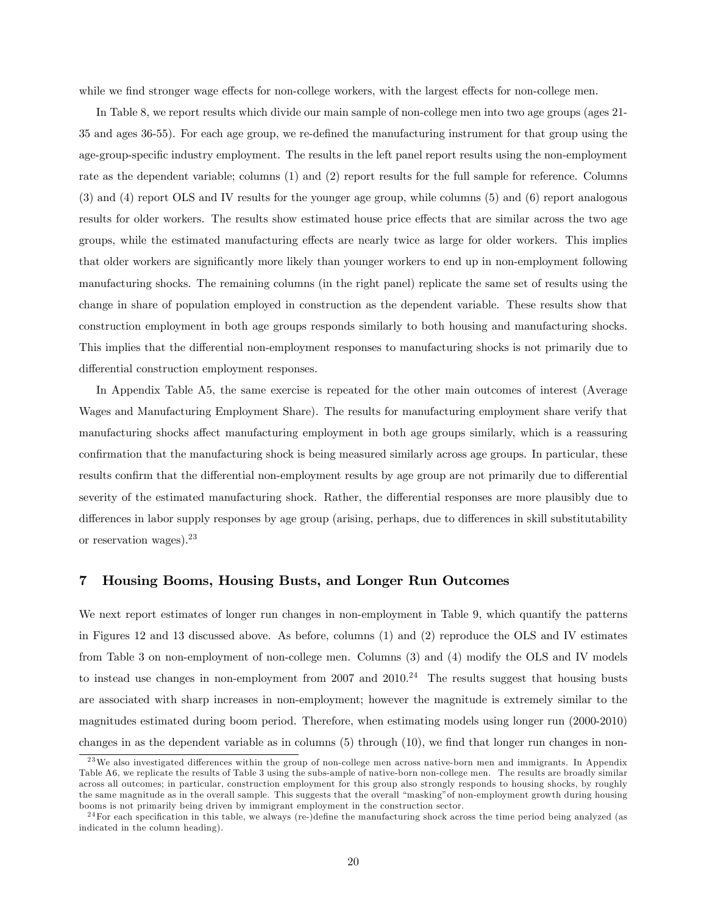while we find stronger wage effects for non-college workers, with the largest effects for non-college men.

In Table 8, we report results which divide our main sample of non-college men into two age groups (ages 21- 35 and ages 36-55). For each age group, we re-deÖned the manufacturing instrument for that group using the age-group-specific industry employment. The results in the left panel report results using the non-employment rate as the dependent variable; columns (1) and (2) report results for the full sample for reference. Columns (3) and (4) report OLS and IV results for the younger age group, while columns (5) and (6) report analogous results for older workers. The results show estimated house price effects that are similar across the two age groups, while the estimated manufacturing effects are nearly twice as large for older workers. This implies that older workers are signiÖcantly more likely than younger workers to end up in non-employment following manufacturing shocks. The remaining columns (in the right panel) replicate the same set of results using the change in share of population employed in construction as the dependent variable. These results show that construction employment in both age groups responds similarly to both housing and manufacturing shocks. This implies that the differential non-employment responses to manufacturing shocks is not primarily due to differential construction employment responses.

In Appendix Table A5, the same exercise is repeated for the other main outcomes of interest (Average Wages and Manufacturing Employment Share). The results for manufacturing employment share verify that manufacturing shocks affect manufacturing employment in both age groups similarly, which is a reassuring confirmation that the manufacturing shock is being measured similarly across age groups. In particular, these results confirm that the differential non-employment results by age group are not primarily due to differential severity of the estimated manufacturing shock. Rather, the differential responses are more plausibly due to differences in labor supply responses by age group (arising, perhaps, due to differences in skill substitutability or reservation wages).<sup>23</sup>

## 7 Housing Booms, Housing Busts, and Longer Run Outcomes

We next report estimates of longer run changes in non-employment in Table 9, which quantify the patterns in Figures 12 and 13 discussed above. As before, columns (1) and (2) reproduce the OLS and IV estimates from Table 3 on non-employment of non-college men. Columns (3) and (4) modify the OLS and IV models to instead use changes in non-employment from  $2007$  and  $2010<sup>24</sup>$ . The results suggest that housing busts are associated with sharp increases in non-employment; however the magnitude is extremely similar to the magnitudes estimated during boom period. Therefore, when estimating models using longer run (2000-2010) changes in as the dependent variable as in columns  $(5)$  through  $(10)$ , we find that longer run changes in non-

 $^{23}$ We also investigated differences within the group of non-college men across native-born men and immigrants. In Appendix Table A6, we replicate the results of Table 3 using the subs-ample of native-born non-college men. The results are broadly similar across all outcomes; in particular, construction employment for this group also strongly responds to housing shocks, by roughly the same magnitude as in the overall sample. This suggests that the overall "masking" of non-employment growth during housing booms is not primarily being driven by immigrant employment in the construction sector.

 $^{24}$ For each specification in this table, we always (re-)define the manufacturing shock across the time period being analyzed (as indicated in the column heading).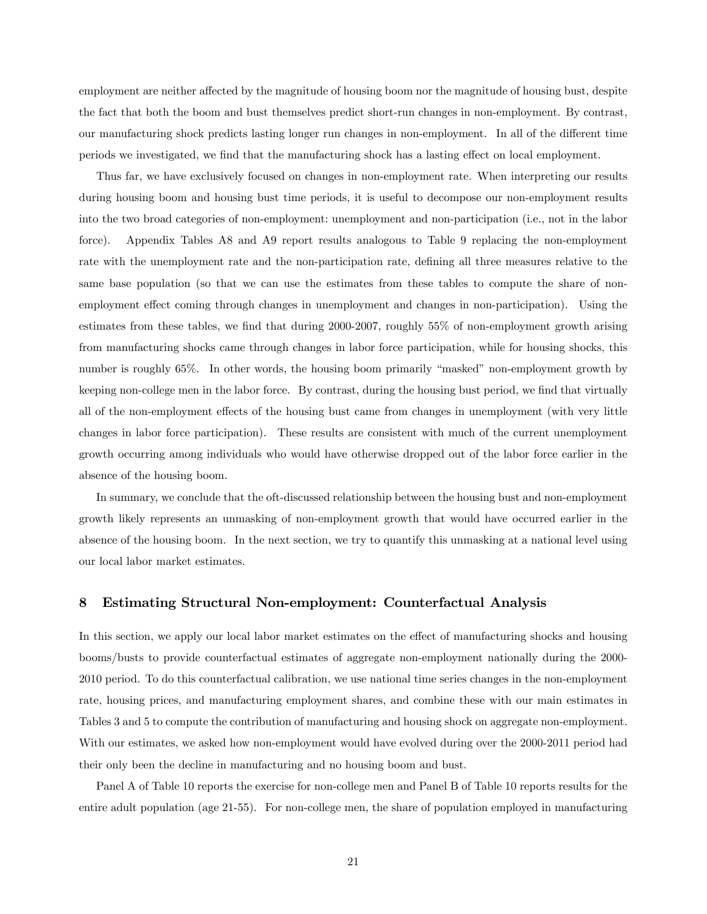employment are neither affected by the magnitude of housing boom nor the magnitude of housing bust, despite the fact that both the boom and bust themselves predict short-run changes in non-employment. By contrast, our manufacturing shock predicts lasting longer run changes in non-employment. In all of the different time periods we investigated, we find that the manufacturing shock has a lasting effect on local employment.

Thus far, we have exclusively focused on changes in non-employment rate. When interpreting our results during housing boom and housing bust time periods, it is useful to decompose our non-employment results into the two broad categories of non-employment: unemployment and non-participation (i.e., not in the labor force). Appendix Tables A8 and A9 report results analogous to Table 9 replacing the non-employment rate with the unemployment rate and the non-participation rate, defining all three measures relative to the same base population (so that we can use the estimates from these tables to compute the share of nonemployment effect coming through changes in unemployment and changes in non-participation). Using the estimates from these tables, we find that during  $2000-2007$ , roughly  $55\%$  of non-employment growth arising from manufacturing shocks came through changes in labor force participation, while for housing shocks, this number is roughly 65%. In other words, the housing boom primarily "masked" non-employment growth by keeping non-college men in the labor force. By contrast, during the housing bust period, we find that virtually all of the non-employment effects of the housing bust came from changes in unemployment (with very little changes in labor force participation). These results are consistent with much of the current unemployment growth occurring among individuals who would have otherwise dropped out of the labor force earlier in the absence of the housing boom.

In summary, we conclude that the oft-discussed relationship between the housing bust and non-employment growth likely represents an unmasking of non-employment growth that would have occurred earlier in the absence of the housing boom. In the next section, we try to quantify this unmasking at a national level using our local labor market estimates.

## 8 Estimating Structural Non-employment: Counterfactual Analysis

In this section, we apply our local labor market estimates on the effect of manufacturing shocks and housing booms/busts to provide counterfactual estimates of aggregate non-employment nationally during the 2000- 2010 period. To do this counterfactual calibration, we use national time series changes in the non-employment rate, housing prices, and manufacturing employment shares, and combine these with our main estimates in Tables 3 and 5 to compute the contribution of manufacturing and housing shock on aggregate non-employment. With our estimates, we asked how non-employment would have evolved during over the 2000-2011 period had their only been the decline in manufacturing and no housing boom and bust.

Panel A of Table 10 reports the exercise for non-college men and Panel B of Table 10 reports results for the entire adult population (age 21-55). For non-college men, the share of population employed in manufacturing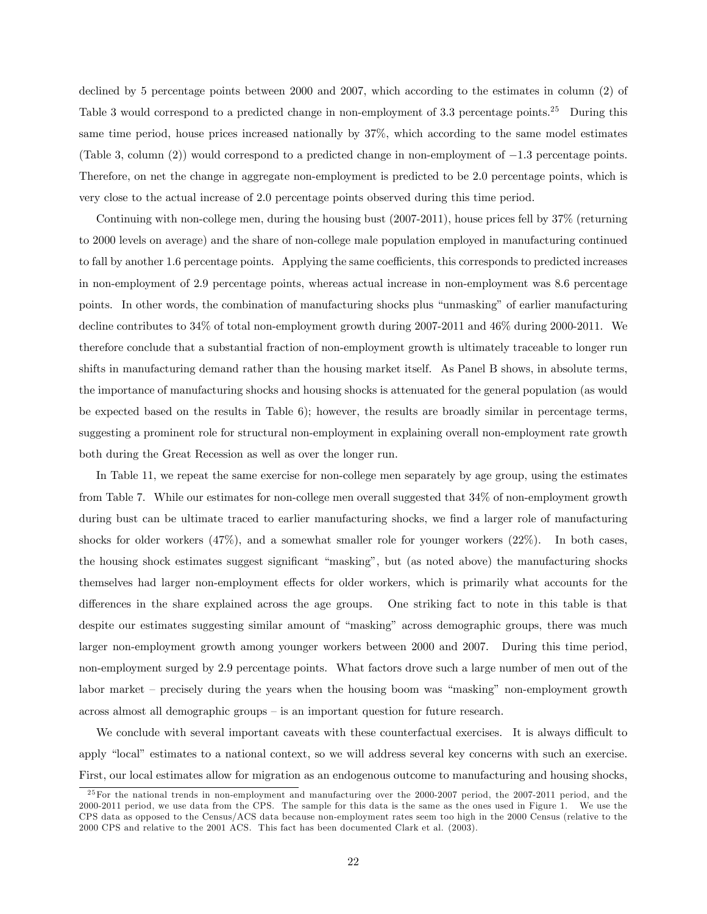declined by 5 percentage points between 2000 and 2007, which according to the estimates in column (2) of Table 3 would correspond to a predicted change in non-employment of 3.3 percentage points.<sup>25</sup> During this same time period, house prices increased nationally by 37%, which according to the same model estimates (Table 3, column (2)) would correspond to a predicted change in non-employment of  $-1.3$  percentage points. Therefore, on net the change in aggregate non-employment is predicted to be 2:0 percentage points, which is very close to the actual increase of 2:0 percentage points observed during this time period.

Continuing with non-college men, during the housing bust (2007-2011), house prices fell by 37% (returning to 2000 levels on average) and the share of non-college male population employed in manufacturing continued to fall by another 1.6 percentage points. Applying the same coefficients, this corresponds to predicted increases in non-employment of 2:9 percentage points, whereas actual increase in non-employment was 8:6 percentage points. In other words, the combination of manufacturing shocks plus "unmasking" of earlier manufacturing decline contributes to 34% of total non-employment growth during 2007-2011 and 46% during 2000-2011. We therefore conclude that a substantial fraction of non-employment growth is ultimately traceable to longer run shifts in manufacturing demand rather than the housing market itself. As Panel B shows, in absolute terms, the importance of manufacturing shocks and housing shocks is attenuated for the general population (as would be expected based on the results in Table 6); however, the results are broadly similar in percentage terms, suggesting a prominent role for structural non-employment in explaining overall non-employment rate growth both during the Great Recession as well as over the longer run.

In Table 11, we repeat the same exercise for non-college men separately by age group, using the estimates from Table 7. While our estimates for non-college men overall suggested that 34% of non-employment growth during bust can be ultimate traced to earlier manufacturing shocks, we find a larger role of manufacturing shocks for older workers (47%), and a somewhat smaller role for younger workers (22%). In both cases, the housing shock estimates suggest significant "masking", but (as noted above) the manufacturing shocks themselves had larger non-employment effects for older workers, which is primarily what accounts for the differences in the share explained across the age groups. One striking fact to note in this table is that despite our estimates suggesting similar amount of "masking" across demographic groups, there was much larger non-employment growth among younger workers between 2000 and 2007. During this time period, non-employment surged by 2:9 percentage points. What factors drove such a large number of men out of the labor market  $-$  precisely during the years when the housing boom was "masking" non-employment growth  $across$  almost all demographic groups  $-$  is an important question for future research.

We conclude with several important caveats with these counterfactual exercises. It is always difficult to apply "local" estimates to a national context, so we will address several key concerns with such an exercise. First, our local estimates allow for migration as an endogenous outcome to manufacturing and housing shocks,

<sup>&</sup>lt;sup>25</sup> For the national trends in non-employment and manufacturing over the 2000-2007 period, the 2007-2011 period, and the 2000-2011 period, we use data from the CPS. The sample for this data is the same as the ones used in Figure 1. We use the CPS data as opposed to the Census/ACS data because non-employment rates seem too high in the 2000 Census (relative to the 2000 CPS and relative to the 2001 ACS. This fact has been documented Clark et al. (2003).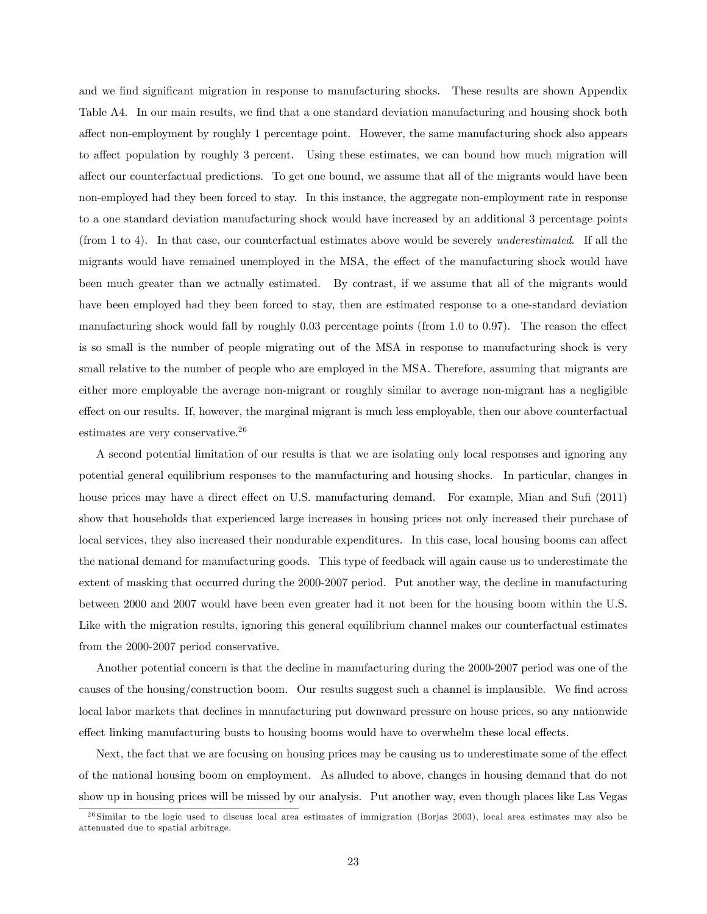and we find significant migration in response to manufacturing shocks. These results are shown Appendix Table A4. In our main results, we find that a one standard deviation manufacturing and housing shock both affect non-employment by roughly 1 percentage point. However, the same manufacturing shock also appears to affect population by roughly 3 percent. Using these estimates, we can bound how much migration will affect our counterfactual predictions. To get one bound, we assume that all of the migrants would have been non-employed had they been forced to stay. In this instance, the aggregate non-employment rate in response to a one standard deviation manufacturing shock would have increased by an additional 3 percentage points (from 1 to 4). In that case, our counterfactual estimates above would be severely underestimated. If all the migrants would have remained unemployed in the MSA, the effect of the manufacturing shock would have been much greater than we actually estimated. By contrast, if we assume that all of the migrants would have been employed had they been forced to stay, then are estimated response to a one-standard deviation manufacturing shock would fall by roughly  $0.03$  percentage points (from 1.0 to 0.97). The reason the effect is so small is the number of people migrating out of the MSA in response to manufacturing shock is very small relative to the number of people who are employed in the MSA. Therefore, assuming that migrants are either more employable the average non-migrant or roughly similar to average non-migrant has a negligible effect on our results. If, however, the marginal migrant is much less employable, then our above counterfactual estimates are very conservative.<sup>26</sup>

A second potential limitation of our results is that we are isolating only local responses and ignoring any potential general equilibrium responses to the manufacturing and housing shocks. In particular, changes in house prices may have a direct effect on U.S. manufacturing demand. For example, Mian and Sufi (2011) show that households that experienced large increases in housing prices not only increased their purchase of local services, they also increased their nondurable expenditures. In this case, local housing booms can affect the national demand for manufacturing goods. This type of feedback will again cause us to underestimate the extent of masking that occurred during the 2000-2007 period. Put another way, the decline in manufacturing between 2000 and 2007 would have been even greater had it not been for the housing boom within the U.S. Like with the migration results, ignoring this general equilibrium channel makes our counterfactual estimates from the 2000-2007 period conservative.

Another potential concern is that the decline in manufacturing during the 2000-2007 period was one of the causes of the housing/construction boom. Our results suggest such a channel is implausible. We find across local labor markets that declines in manufacturing put downward pressure on house prices, so any nationwide effect linking manufacturing busts to housing booms would have to overwhelm these local effects.

Next, the fact that we are focusing on housing prices may be causing us to underestimate some of the effect of the national housing boom on employment. As alluded to above, changes in housing demand that do not show up in housing prices will be missed by our analysis. Put another way, even though places like Las Vegas

 $^{26}$  Similar to the logic used to discuss local area estimates of immigration (Borjas 2003), local area estimates may also be attenuated due to spatial arbitrage.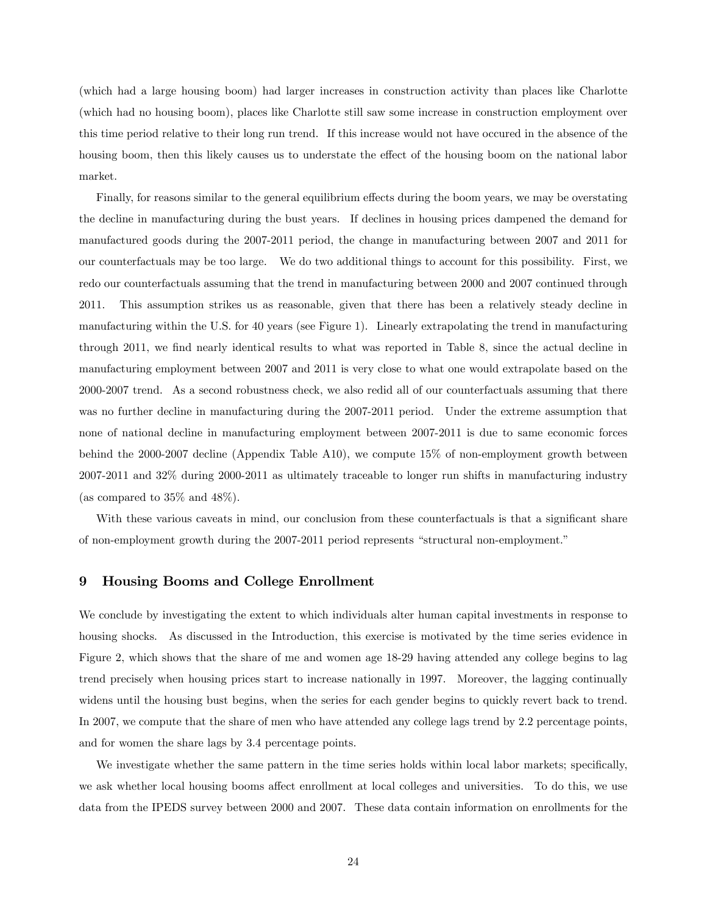(which had a large housing boom) had larger increases in construction activity than places like Charlotte (which had no housing boom), places like Charlotte still saw some increase in construction employment over this time period relative to their long run trend. If this increase would not have occured in the absence of the housing boom, then this likely causes us to understate the effect of the housing boom on the national labor market.

Finally, for reasons similar to the general equilibrium effects during the boom years, we may be overstating the decline in manufacturing during the bust years. If declines in housing prices dampened the demand for manufactured goods during the 2007-2011 period, the change in manufacturing between 2007 and 2011 for our counterfactuals may be too large. We do two additional things to account for this possibility. First, we redo our counterfactuals assuming that the trend in manufacturing between 2000 and 2007 continued through 2011. This assumption strikes us as reasonable, given that there has been a relatively steady decline in manufacturing within the U.S. for 40 years (see Figure 1). Linearly extrapolating the trend in manufacturing through 2011, we find nearly identical results to what was reported in Table 8, since the actual decline in manufacturing employment between 2007 and 2011 is very close to what one would extrapolate based on the 2000-2007 trend. As a second robustness check, we also redid all of our counterfactuals assuming that there was no further decline in manufacturing during the 2007-2011 period. Under the extreme assumption that none of national decline in manufacturing employment between 2007-2011 is due to same economic forces behind the 2000-2007 decline (Appendix Table A10), we compute 15% of non-employment growth between 2007-2011 and 32% during 2000-2011 as ultimately traceable to longer run shifts in manufacturing industry (as compared to 35% and 48%).

With these various caveats in mind, our conclusion from these counterfactuals is that a significant share of non-employment growth during the 2007-2011 period represents "structural non-employment."

## 9 Housing Booms and College Enrollment

We conclude by investigating the extent to which individuals alter human capital investments in response to housing shocks. As discussed in the Introduction, this exercise is motivated by the time series evidence in Figure 2, which shows that the share of me and women age 18-29 having attended any college begins to lag trend precisely when housing prices start to increase nationally in 1997. Moreover, the lagging continually widens until the housing bust begins, when the series for each gender begins to quickly revert back to trend. In 2007, we compute that the share of men who have attended any college lags trend by 2:2 percentage points, and for women the share lags by 3:4 percentage points.

We investigate whether the same pattern in the time series holds within local labor markets; specifically, we ask whether local housing booms affect enrollment at local colleges and universities. To do this, we use data from the IPEDS survey between 2000 and 2007. These data contain information on enrollments for the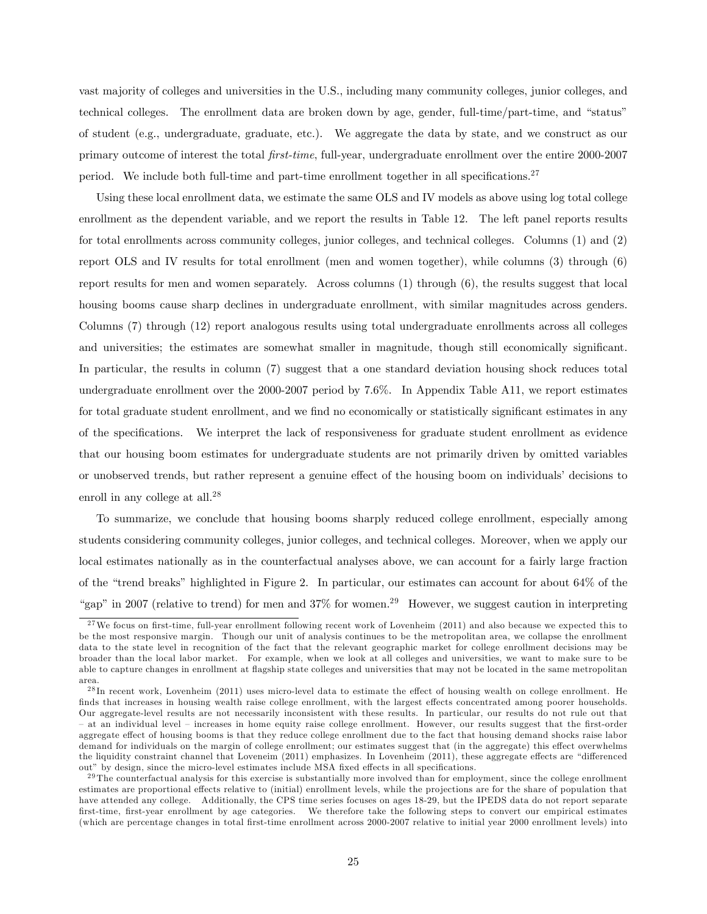vast majority of colleges and universities in the U.S., including many community colleges, junior colleges, and technical colleges. The enrollment data are broken down by age, gender, full-time/part-time, and "status" of student (e.g., undergraduate, graduate, etc.). We aggregate the data by state, and we construct as our primary outcome of interest the total Örst-time, full-year, undergraduate enrollment over the entire 2000-2007 period. We include both full-time and part-time enrollment together in all specifications.<sup>27</sup>

Using these local enrollment data, we estimate the same OLS and IV models as above using log total college enrollment as the dependent variable, and we report the results in Table 12. The left panel reports results for total enrollments across community colleges, junior colleges, and technical colleges. Columns (1) and (2) report OLS and IV results for total enrollment (men and women together), while columns (3) through (6) report results for men and women separately. Across columns (1) through (6), the results suggest that local housing booms cause sharp declines in undergraduate enrollment, with similar magnitudes across genders. Columns (7) through (12) report analogous results using total undergraduate enrollments across all colleges and universities; the estimates are somewhat smaller in magnitude, though still economically significant. In particular, the results in column (7) suggest that a one standard deviation housing shock reduces total undergraduate enrollment over the 2000-2007 period by 7:6%. In Appendix Table A11, we report estimates for total graduate student enrollment, and we find no economically or statistically significant estimates in any of the specifications. We interpret the lack of responsiveness for graduate student enrollment as evidence that our housing boom estimates for undergraduate students are not primarily driven by omitted variables or unobserved trends, but rather represent a genuine effect of the housing boom on individuals' decisions to enroll in any college at all.<sup>28</sup>

To summarize, we conclude that housing booms sharply reduced college enrollment, especially among students considering community colleges, junior colleges, and technical colleges. Moreover, when we apply our local estimates nationally as in the counterfactual analyses above, we can account for a fairly large fraction of the "trend breaks" highlighted in Figure 2. In particular, our estimates can account for about  $64\%$  of the "gap" in 2007 (relative to trend) for men and  $37\%$  for women.<sup>29</sup> However, we suggest caution in interpreting

<sup>&</sup>lt;sup>27</sup>We focus on first-time, full-year enrollment following recent work of Lovenheim (2011) and also because we expected this to be the most responsive margin. Though our unit of analysis continues to be the metropolitan area, we collapse the enrollment data to the state level in recognition of the fact that the relevant geographic market for college enrollment decisions may be broader than the local labor market. For example, when we look at all colleges and universities, we want to make sure to be able to capture changes in enrollment at flagship state colleges and universities that may not be located in the same metropolitan area.

 $^{28}$ In recent work, Lovenheim (2011) uses micro-level data to estimate the effect of housing wealth on college enrollment. He finds that increases in housing wealth raise college enrollment, with the largest effects concentrated among poorer households. Our aggregate-level results are not necessarily inconsistent with these results. In particular, our results do not rule out that at an individual level – increases in home equity raise college enrollment. However, our results suggest that the first-order aggregate effect of housing booms is that they reduce college enrollment due to the fact that housing demand shocks raise labor demand for individuals on the margin of college enrollment; our estimates suggest that (in the aggregate) this effect overwhelms the liquidity constraint channel that Loveneim (2011) emphasizes. In Lovenheim (2011), these aggregate effects are "differenced out" by design, since the micro-level estimates include MSA fixed effects in all specifications.

 $29$  The counterfactual analysis for this exercise is substantially more involved than for employment, since the college enrollment estimates are proportional effects relative to (initial) enrollment levels, while the projections are for the share of population that have attended any college. Additionally, the CPS time series focuses on ages 18-29, but the IPEDS data do not report separate Örst-time, Örst-year enrollment by age categories. We therefore take the following steps to convert our empirical estimates (which are percentage changes in total Örst-time enrollment across 2000-2007 relative to initial year 2000 enrollment levels) into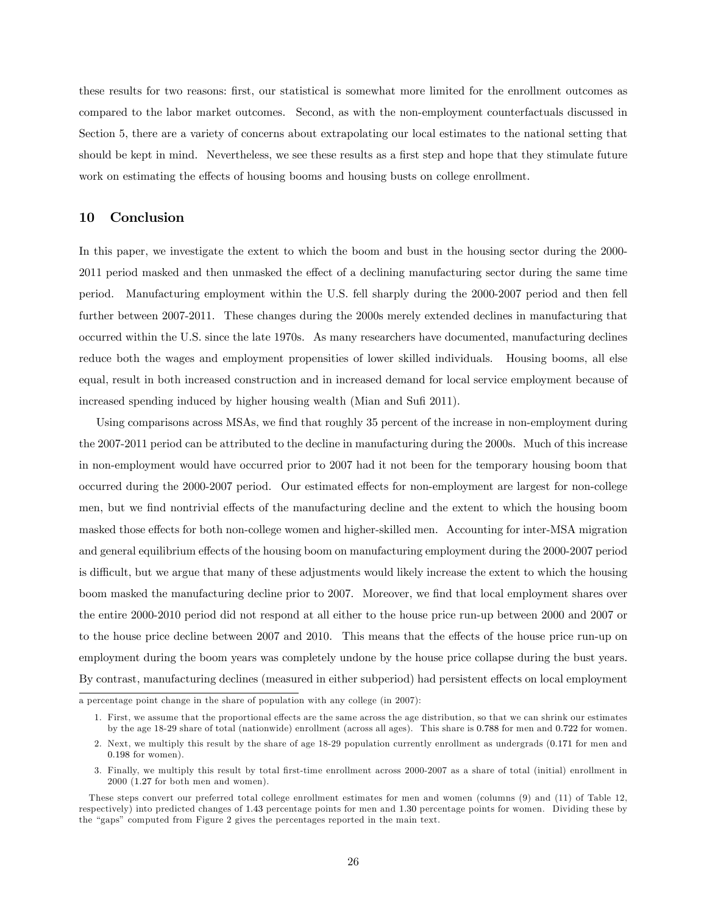these results for two reasons: first, our statistical is somewhat more limited for the enrollment outcomes as compared to the labor market outcomes. Second, as with the non-employment counterfactuals discussed in Section 5, there are a variety of concerns about extrapolating our local estimates to the national setting that should be kept in mind. Nevertheless, we see these results as a first step and hope that they stimulate future work on estimating the effects of housing booms and housing busts on college enrollment.

## 10 Conclusion

In this paper, we investigate the extent to which the boom and bust in the housing sector during the 2000- 2011 period masked and then unmasked the effect of a declining manufacturing sector during the same time period. Manufacturing employment within the U.S. fell sharply during the 2000-2007 period and then fell further between 2007-2011. These changes during the 2000s merely extended declines in manufacturing that occurred within the U.S. since the late 1970s. As many researchers have documented, manufacturing declines reduce both the wages and employment propensities of lower skilled individuals. Housing booms, all else equal, result in both increased construction and in increased demand for local service employment because of increased spending induced by higher housing wealth (Mian and Sufi 2011).

Using comparisons across MSAs, we find that roughly 35 percent of the increase in non-employment during the 2007-2011 period can be attributed to the decline in manufacturing during the 2000s. Much of this increase in non-employment would have occurred prior to 2007 had it not been for the temporary housing boom that occurred during the 2000-2007 period. Our estimated effects for non-employment are largest for non-college men, but we find nontrivial effects of the manufacturing decline and the extent to which the housing boom masked those effects for both non-college women and higher-skilled men. Accounting for inter-MSA migration and general equilibrium effects of the housing boom on manufacturing employment during the 2000-2007 period is difficult, but we argue that many of these adjustments would likely increase the extent to which the housing boom masked the manufacturing decline prior to 2007. Moreover, we find that local employment shares over the entire 2000-2010 period did not respond at all either to the house price run-up between 2000 and 2007 or to the house price decline between 2007 and 2010. This means that the effects of the house price run-up on employment during the boom years was completely undone by the house price collapse during the bust years. By contrast, manufacturing declines (measured in either subperiod) had persistent effects on local employment

a percentage point change in the share of population with any college (in 2007):

<sup>1.</sup> First, we assume that the proportional effects are the same across the age distribution, so that we can shrink our estimates by the age 18-29 share of total (nationwide) enrollment (across all ages). This share is 0:788 for men and 0:722 for women.

<sup>2.</sup> Next, we multiply this result by the share of age 18-29 population currently enrollment as undergrads (0:171 for men and 0:198 for women).

<sup>3.</sup> Finally, we multiply this result by total Örst-time enrollment across 2000-2007 as a share of total (initial) enrollment in 2000 (1:27 for both men and women).

These steps convert our preferred total college enrollment estimates for men and women (columns (9) and (11) of Table 12, respectively) into predicted changes of 1:43 percentage points for men and 1:30 percentage points for women. Dividing these by the "gaps" computed from Figure 2 gives the percentages reported in the main text.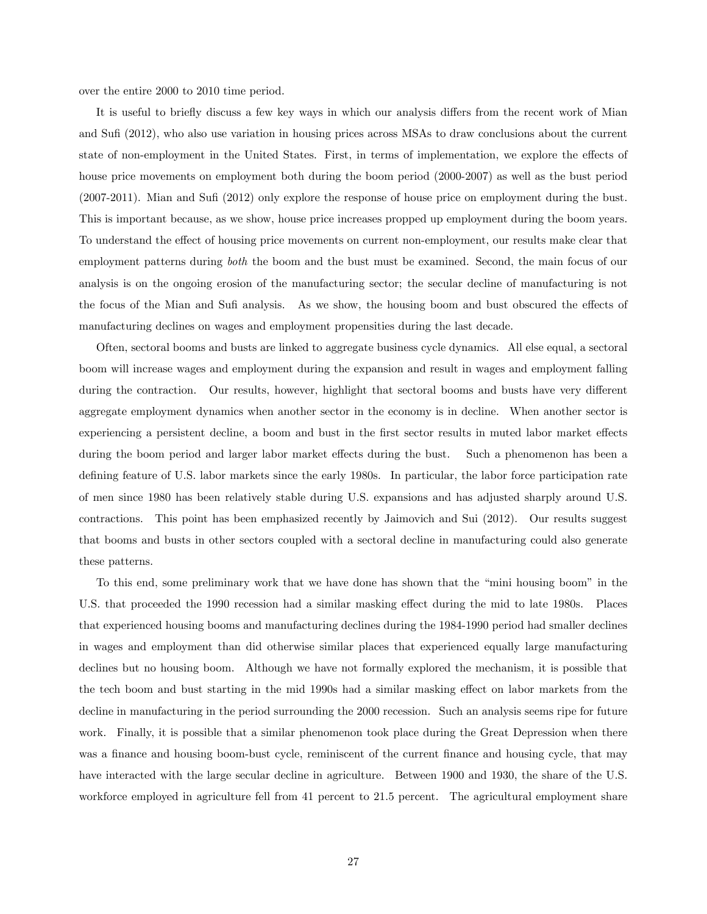over the entire 2000 to 2010 time period.

It is useful to briefly discuss a few key ways in which our analysis differs from the recent work of Mian and Sufi (2012), who also use variation in housing prices across MSAs to draw conclusions about the current state of non-employment in the United States. First, in terms of implementation, we explore the effects of house price movements on employment both during the boom period (2000-2007) as well as the bust period (2007-2011). Mian and SuÖ (2012) only explore the response of house price on employment during the bust. This is important because, as we show, house price increases propped up employment during the boom years. To understand the effect of housing price movements on current non-employment, our results make clear that employment patterns during both the boom and the bust must be examined. Second, the main focus of our analysis is on the ongoing erosion of the manufacturing sector; the secular decline of manufacturing is not the focus of the Mian and Sufi analysis. As we show, the housing boom and bust obscured the effects of manufacturing declines on wages and employment propensities during the last decade.

Often, sectoral booms and busts are linked to aggregate business cycle dynamics. All else equal, a sectoral boom will increase wages and employment during the expansion and result in wages and employment falling during the contraction. Our results, however, highlight that sectoral booms and busts have very different aggregate employment dynamics when another sector in the economy is in decline. When another sector is experiencing a persistent decline, a boom and bust in the first sector results in muted labor market effects during the boom period and larger labor market effects during the bust. Such a phenomenon has been a defining feature of U.S. labor markets since the early 1980s. In particular, the labor force participation rate of men since 1980 has been relatively stable during U.S. expansions and has adjusted sharply around U.S. contractions. This point has been emphasized recently by Jaimovich and Sui (2012). Our results suggest that booms and busts in other sectors coupled with a sectoral decline in manufacturing could also generate these patterns.

To this end, some preliminary work that we have done has shown that the "mini housing boom" in the U.S. that proceeded the 1990 recession had a similar masking effect during the mid to late 1980s. Places that experienced housing booms and manufacturing declines during the 1984-1990 period had smaller declines in wages and employment than did otherwise similar places that experienced equally large manufacturing declines but no housing boom. Although we have not formally explored the mechanism, it is possible that the tech boom and bust starting in the mid 1990s had a similar masking effect on labor markets from the decline in manufacturing in the period surrounding the 2000 recession. Such an analysis seems ripe for future work. Finally, it is possible that a similar phenomenon took place during the Great Depression when there was a finance and housing boom-bust cycle, reminiscent of the current finance and housing cycle, that may have interacted with the large secular decline in agriculture. Between 1900 and 1930, the share of the U.S. workforce employed in agriculture fell from 41 percent to 21.5 percent. The agricultural employment share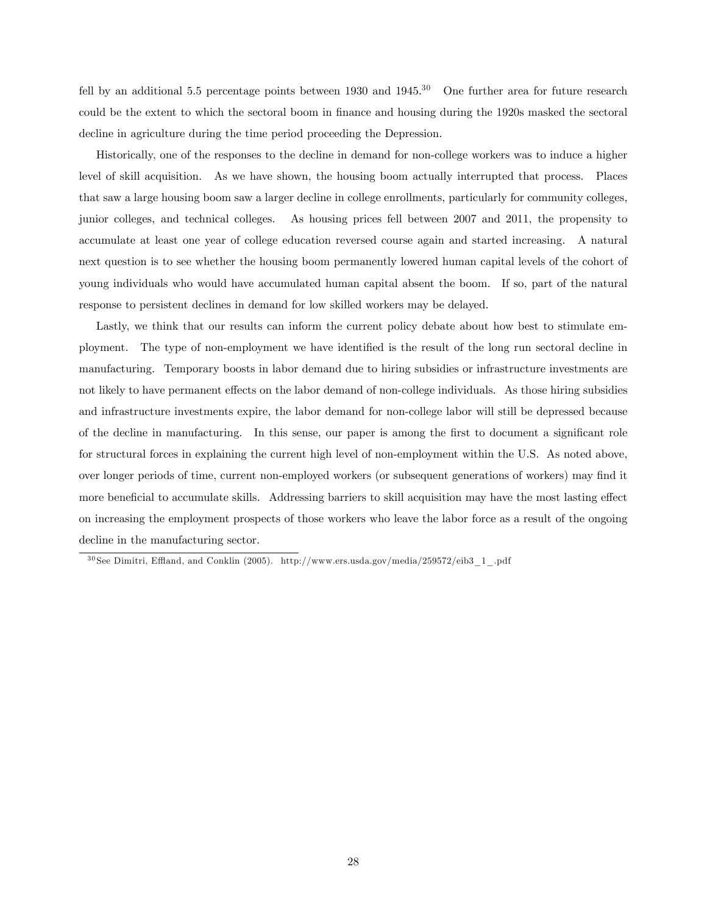fell by an additional 5.5 percentage points between 1930 and  $1945$ .<sup>30</sup> One further area for future research could be the extent to which the sectoral boom in finance and housing during the 1920s masked the sectoral decline in agriculture during the time period proceeding the Depression.

Historically, one of the responses to the decline in demand for non-college workers was to induce a higher level of skill acquisition. As we have shown, the housing boom actually interrupted that process. Places that saw a large housing boom saw a larger decline in college enrollments, particularly for community colleges, junior colleges, and technical colleges. As housing prices fell between 2007 and 2011, the propensity to accumulate at least one year of college education reversed course again and started increasing. A natural next question is to see whether the housing boom permanently lowered human capital levels of the cohort of young individuals who would have accumulated human capital absent the boom. If so, part of the natural response to persistent declines in demand for low skilled workers may be delayed.

Lastly, we think that our results can inform the current policy debate about how best to stimulate employment. The type of non-employment we have identified is the result of the long run sectoral decline in manufacturing. Temporary boosts in labor demand due to hiring subsidies or infrastructure investments are not likely to have permanent effects on the labor demand of non-college individuals. As those hiring subsidies and infrastructure investments expire, the labor demand for non-college labor will still be depressed because of the decline in manufacturing. In this sense, our paper is among the first to document a significant role for structural forces in explaining the current high level of non-employment within the U.S. As noted above, over longer periods of time, current non-employed workers (or subsequent generations of workers) may find it more beneficial to accumulate skills. Addressing barriers to skill acquisition may have the most lasting effect on increasing the employment prospects of those workers who leave the labor force as a result of the ongoing decline in the manufacturing sector.

 $30$  See Dimitri, Effland, and Conklin (2005). http://www.ers.usda.gov/media/259572/eib3\_1\_.pdf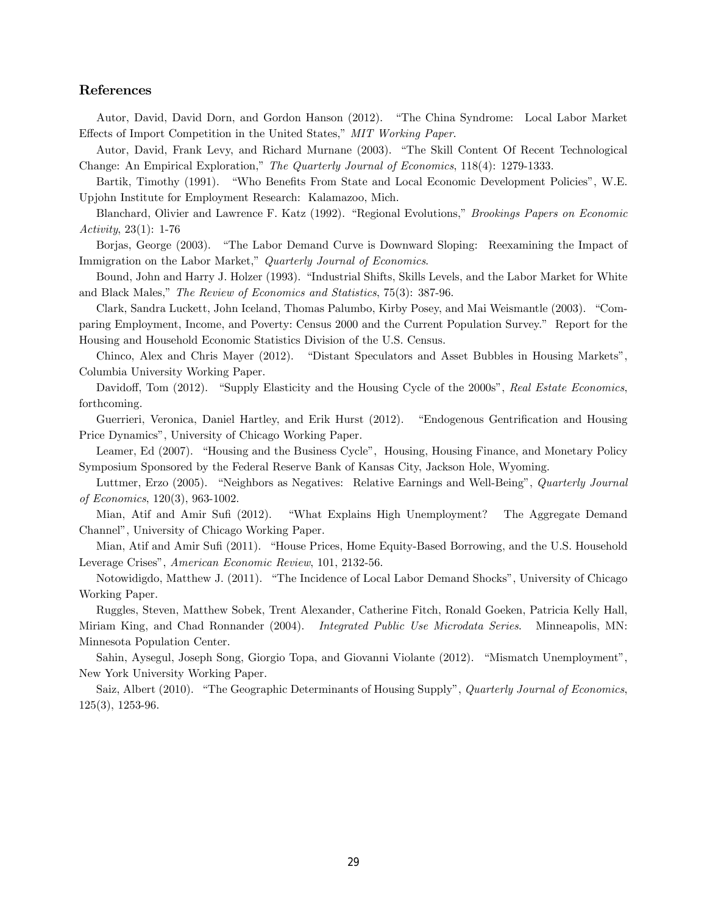## References

Autor, David, David Dorn, and Gordon Hanson (2012). "The China Syndrome: Local Labor Market Effects of Import Competition in the United States," MIT Working Paper.

Autor, David, Frank Levy, and Richard Murnane (2003). "The Skill Content Of Recent Technological Change: An Empirical Exploration," The Quarterly Journal of Economics, 118(4): 1279-1333.

Bartik, Timothy (1991). "Who Benefits From State and Local Economic Development Policies", W.E. Upjohn Institute for Employment Research: Kalamazoo, Mich.

Blanchard, Olivier and Lawrence F. Katz (1992). "Regional Evolutions," *Brookings Papers on Economic* Activity, 23(1): 1-76

Borjas, George (2003). "The Labor Demand Curve is Downward Sloping: Reexamining the Impact of Immigration on the Labor Market," Quarterly Journal of Economics.

Bound, John and Harry J. Holzer (1993). "Industrial Shifts, Skills Levels, and the Labor Market for White and Black Males," The Review of Economics and Statistics, 75(3): 387-96.

Clark, Sandra Luckett, John Iceland, Thomas Palumbo, Kirby Posey, and Mai Weismantle (2003). "Comparing Employment, Income, and Poverty: Census 2000 and the Current Population Survey.î Report for the Housing and Household Economic Statistics Division of the U.S. Census.

Chinco, Alex and Chris Mayer (2012). "Distant Speculators and Asset Bubbles in Housing Markets", Columbia University Working Paper.

Davidoff, Tom (2012). "Supply Elasticity and the Housing Cycle of the 2000s", Real Estate Economics, forthcoming.

Guerrieri, Veronica, Daniel Hartley, and Erik Hurst (2012). "Endogenous Gentrification and Housing Price Dynamics", University of Chicago Working Paper.

Leamer, Ed (2007). "Housing and the Business Cycle", Housing, Housing Finance, and Monetary Policy Symposium Sponsored by the Federal Reserve Bank of Kansas City, Jackson Hole, Wyoming.

Luttmer, Erzo (2005). "Neighbors as Negatives: Relative Earnings and Well-Being", Quarterly Journal of Economics, 120(3), 963-1002.

Mian, Atif and Amir Sufi (2012). "What Explains High Unemployment? The Aggregate Demand Channelî, University of Chicago Working Paper.

Mian, Atif and Amir Sufi (2011). "House Prices, Home Equity-Based Borrowing, and the U.S. Household Leverage Crises", American Economic Review, 101, 2132-56.

Notowidigdo, Matthew J. (2011). "The Incidence of Local Labor Demand Shocks", University of Chicago Working Paper.

Ruggles, Steven, Matthew Sobek, Trent Alexander, Catherine Fitch, Ronald Goeken, Patricia Kelly Hall, Miriam King, and Chad Ronnander (2004). Integrated Public Use Microdata Series. Minneapolis, MN: Minnesota Population Center.

Sahin, Aysegul, Joseph Song, Giorgio Topa, and Giovanni Violante (2012). "Mismatch Unemployment", New York University Working Paper.

Saiz, Albert (2010). "The Geographic Determinants of Housing Supply", Quarterly Journal of Economics, 125(3), 1253-96.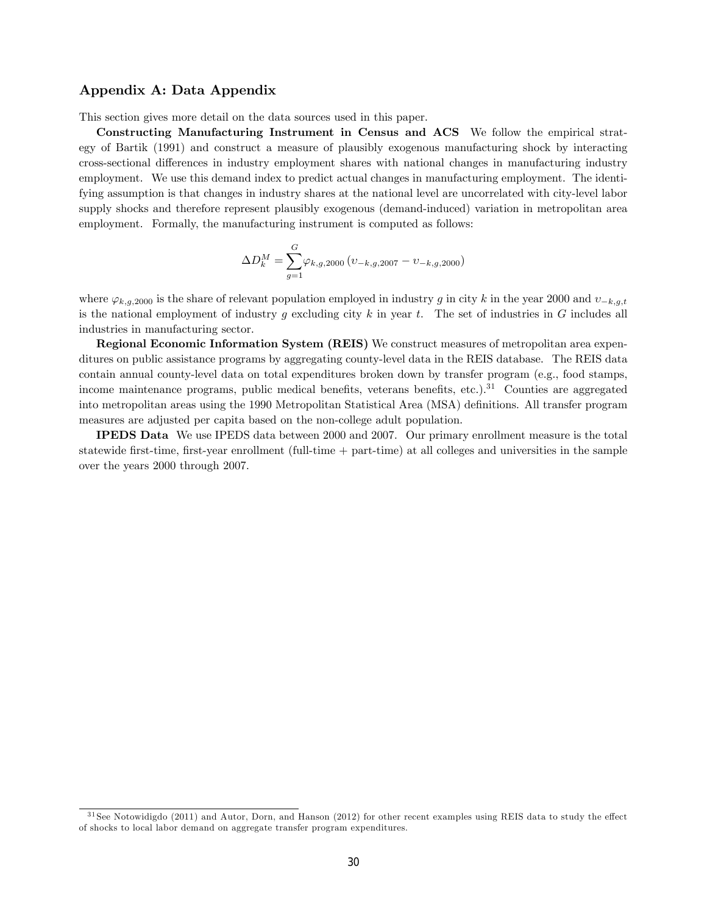## Appendix A: Data Appendix

This section gives more detail on the data sources used in this paper.

Constructing Manufacturing Instrument in Census and ACS We follow the empirical strategy of Bartik (1991) and construct a measure of plausibly exogenous manufacturing shock by interacting cross-sectional differences in industry employment shares with national changes in manufacturing industry employment. We use this demand index to predict actual changes in manufacturing employment. The identifying assumption is that changes in industry shares at the national level are uncorrelated with city-level labor supply shocks and therefore represent plausibly exogenous (demand-induced) variation in metropolitan area employment. Formally, the manufacturing instrument is computed as follows:

$$
\Delta D_k^M = \sum_{g=1}^G \varphi_{k,g,2000} (v_{-k,g,2007} - v_{-k,g,2000})
$$

where  $\varphi_{k,q,2000}$  is the share of relevant population employed in industry g in city k in the year 2000 and  $v_{-k,q,t}$ is the national employment of industry g excluding city k in year t. The set of industries in G includes all industries in manufacturing sector.

Regional Economic Information System (REIS) We construct measures of metropolitan area expenditures on public assistance programs by aggregating county-level data in the REIS database. The REIS data contain annual county-level data on total expenditures broken down by transfer program (e.g., food stamps, income maintenance programs, public medical benefits, veterans benefits, etc.).<sup>31</sup> Counties are aggregated into metropolitan areas using the 1990 Metropolitan Statistical Area (MSA) definitions. All transfer program measures are adjusted per capita based on the non-college adult population.

IPEDS Data We use IPEDS data between 2000 and 2007. Our primary enrollment measure is the total statewide Örst-time, Örst-year enrollment (full-time + part-time) at all colleges and universities in the sample over the years 2000 through 2007.

 $31$  See Notowidigdo (2011) and Autor, Dorn, and Hanson (2012) for other recent examples using REIS data to study the effect of shocks to local labor demand on aggregate transfer program expenditures.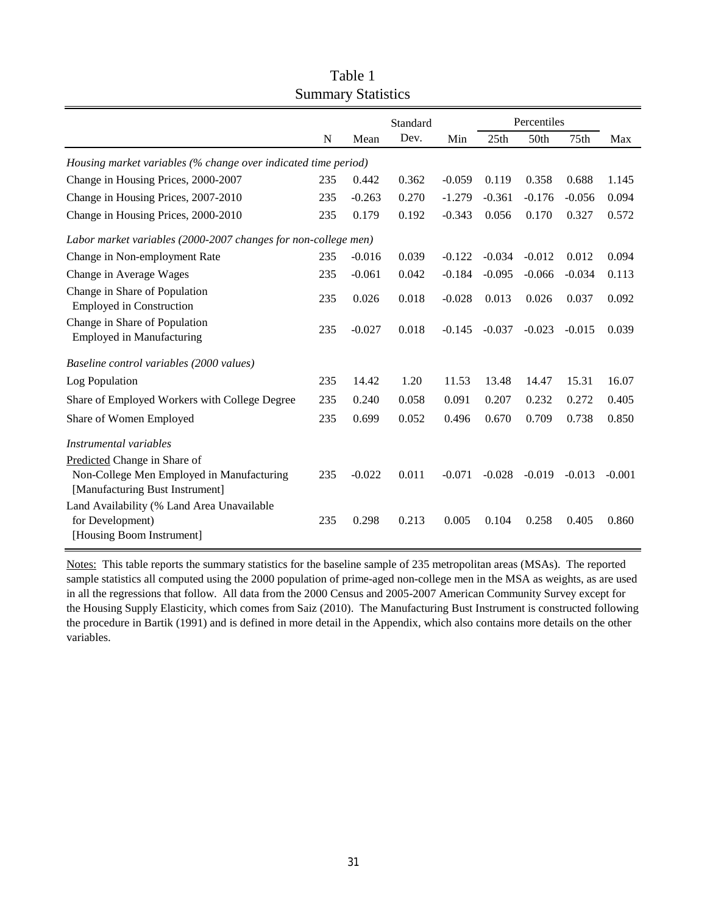|                                                                              |     | Standard |       |          | Percentiles |          |                  |          |  |
|------------------------------------------------------------------------------|-----|----------|-------|----------|-------------|----------|------------------|----------|--|
|                                                                              | N   | Mean     | Dev.  | Min      | 25th        | 50th     | 75 <sub>th</sub> | Max      |  |
| Housing market variables (% change over indicated time period)               |     |          |       |          |             |          |                  |          |  |
| Change in Housing Prices, 2000-2007                                          | 235 | 0.442    | 0.362 | $-0.059$ | 0.119       | 0.358    | 0.688            | 1.145    |  |
| Change in Housing Prices, 2007-2010                                          | 235 | $-0.263$ | 0.270 | $-1.279$ | $-0.361$    | $-0.176$ | $-0.056$         | 0.094    |  |
| Change in Housing Prices, 2000-2010                                          | 235 | 0.179    | 0.192 | $-0.343$ | 0.056       | 0.170    | 0.327            | 0.572    |  |
| Labor market variables (2000-2007 changes for non-college men)               |     |          |       |          |             |          |                  |          |  |
| Change in Non-employment Rate                                                | 235 | $-0.016$ | 0.039 | $-0.122$ | $-0.034$    | $-0.012$ | 0.012            | 0.094    |  |
| Change in Average Wages                                                      | 235 | $-0.061$ | 0.042 | $-0.184$ | $-0.095$    | $-0.066$ | $-0.034$         | 0.113    |  |
| Change in Share of Population<br><b>Employed in Construction</b>             | 235 | 0.026    | 0.018 | $-0.028$ | 0.013       | 0.026    | 0.037            | 0.092    |  |
| Change in Share of Population<br><b>Employed in Manufacturing</b>            | 235 | $-0.027$ | 0.018 | $-0.145$ | $-0.037$    | $-0.023$ | $-0.015$         | 0.039    |  |
| Baseline control variables (2000 values)                                     |     |          |       |          |             |          |                  |          |  |
| Log Population                                                               | 235 | 14.42    | 1.20  | 11.53    | 13.48       | 14.47    | 15.31            | 16.07    |  |
| Share of Employed Workers with College Degree                                | 235 | 0.240    | 0.058 | 0.091    | 0.207       | 0.232    | 0.272            | 0.405    |  |
| Share of Women Employed                                                      | 235 | 0.699    | 0.052 | 0.496    | 0.670       | 0.709    | 0.738            | 0.850    |  |
| Instrumental variables                                                       |     |          |       |          |             |          |                  |          |  |
| Predicted Change in Share of                                                 |     |          |       |          |             |          |                  |          |  |
| Non-College Men Employed in Manufacturing<br>[Manufacturing Bust Instrument] | 235 | $-0.022$ | 0.011 | $-0.071$ | $-0.028$    | $-0.019$ | $-0.013$         | $-0.001$ |  |
| Land Availability (% Land Area Unavailable                                   |     |          |       |          |             |          |                  |          |  |
| for Development)                                                             | 235 | 0.298    | 0.213 | 0.005    | 0.104       | 0.258    | 0.405            | 0.860    |  |
| [Housing Boom Instrument]                                                    |     |          |       |          |             |          |                  |          |  |

Table 1 Summary Statistics

Notes: This table reports the summary statistics for the baseline sample of 235 metropolitan areas (MSAs). The reported sample statistics all computed using the 2000 population of prime-aged non-college men in the MSA as weights, as are used in all the regressions that follow. All data from the 2000 Census and 2005-2007 American Community Survey except for the Housing Supply Elasticity, which comes from Saiz (2010). The Manufacturing Bust Instrument is constructed following the procedure in Bartik (1991) and is defined in more detail in the Appendix, which also contains more details on the other variables.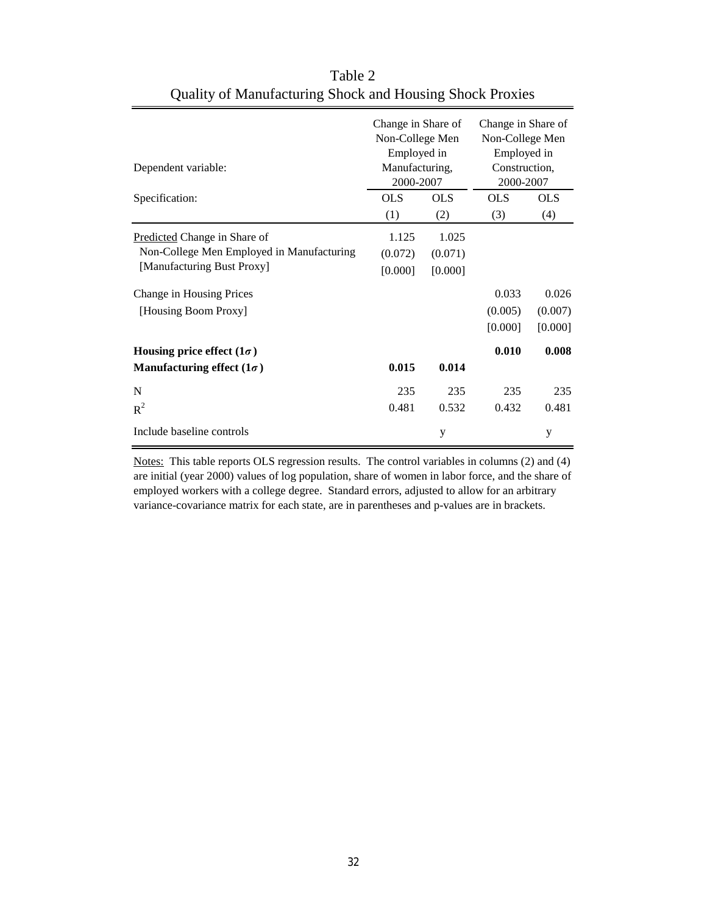| Dependent variable:                       | Change in Share of<br>Non-College Men<br>Employed in<br>Manufacturing,<br>2000-2007 |            | Change in Share of<br>Non-College Men<br>Employed in<br>Construction,<br>2000-2007 |            |  |
|-------------------------------------------|-------------------------------------------------------------------------------------|------------|------------------------------------------------------------------------------------|------------|--|
| Specification:                            | <b>OLS</b>                                                                          | <b>OLS</b> | OLS                                                                                | <b>OLS</b> |  |
|                                           | (1)                                                                                 | (2)        | (3)                                                                                | (4)        |  |
| Predicted Change in Share of              | 1.125                                                                               | 1.025      |                                                                                    |            |  |
| Non-College Men Employed in Manufacturing | (0.072)                                                                             | (0.071)    |                                                                                    |            |  |
| [Manufacturing Bust Proxy]                | [0.000]                                                                             | [0.000]    |                                                                                    |            |  |
| Change in Housing Prices                  |                                                                                     |            | 0.033                                                                              | 0.026      |  |
| [Housing Boom Proxy]                      |                                                                                     |            | (0.005)                                                                            | (0.007)    |  |
|                                           |                                                                                     |            | [0.000]                                                                            | [0.000]    |  |
| Housing price effect $(1\sigma)$          |                                                                                     |            | 0.010                                                                              | 0.008      |  |
| Manufacturing effect $(1\sigma)$          | 0.015                                                                               | 0.014      |                                                                                    |            |  |
| N                                         | 235                                                                                 | 235        | 235                                                                                | 235        |  |
| $R^2$                                     | 0.481                                                                               | 0.532      | 0.432                                                                              | 0.481      |  |
| Include baseline controls                 |                                                                                     | у          |                                                                                    | у          |  |

Table 2 Quality of Manufacturing Shock and Housing Shock Proxies

Notes: This table reports OLS regression results. The control variables in columns (2) and (4) are initial (year 2000) values of log population, share of women in labor force, and the share of employed workers with a college degree. Standard errors, adjusted to allow for an arbitrary variance-covariance matrix for each state, are in parentheses and p-values are in brackets.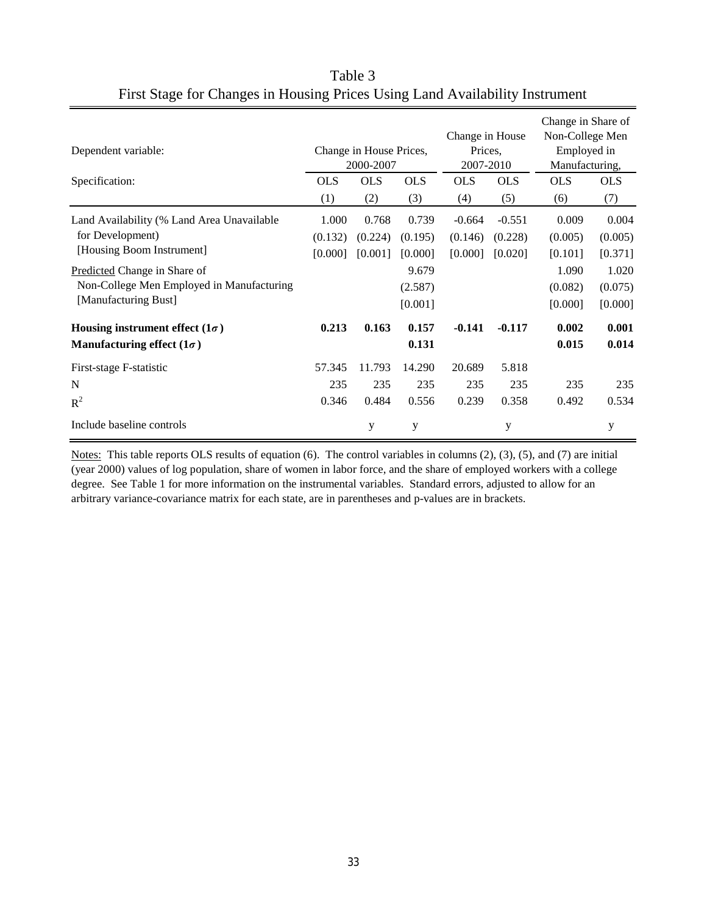| Dependent variable:<br>Specification:                                                                    | <b>OLS</b><br>(1) | Change in House Prices,<br>2000-2007<br><b>OLS</b><br>(2) | <b>OLS</b><br>(3) | Change in House<br>Prices.<br>2007-2010<br><b>OLS</b><br><b>OLS</b><br>(5)<br>(4) |          | Change in Share of<br>Non-College Men<br>Employed in<br>Manufacturing,<br><b>OLS</b><br><b>OLS</b><br>(6)<br>(7) |         |
|----------------------------------------------------------------------------------------------------------|-------------------|-----------------------------------------------------------|-------------------|-----------------------------------------------------------------------------------|----------|------------------------------------------------------------------------------------------------------------------|---------|
|                                                                                                          |                   |                                                           |                   |                                                                                   |          |                                                                                                                  |         |
| Land Availability (% Land Area Unavailable                                                               | 1.000             | 0.768                                                     | 0.739             | $-0.664$                                                                          | $-0.551$ | 0.009                                                                                                            | 0.004   |
| for Development)                                                                                         | (0.132)           | (0.224)                                                   | (0.195)           | (0.146)                                                                           | (0.228)  | (0.005)                                                                                                          | (0.005) |
| [Housing Boom Instrument]                                                                                | [0.000]           | [0.001]                                                   | [0.000]           | [0.000]                                                                           | [0.020]  | [0.101]                                                                                                          | [0.371] |
| <b>Predicted Change in Share of</b><br>Non-College Men Employed in Manufacturing<br>[Manufacturing Bust] |                   |                                                           | 9.679             |                                                                                   |          | 1.090                                                                                                            | 1.020   |
|                                                                                                          |                   |                                                           | (2.587)           |                                                                                   |          | (0.082)                                                                                                          | (0.075) |
|                                                                                                          |                   |                                                           | [0.001]           |                                                                                   |          | [0.000]                                                                                                          | [0.000] |
| Housing instrument effect $(1\sigma)$                                                                    | 0.213             | 0.163                                                     | 0.157             | $-0.141$                                                                          | $-0.117$ | 0.002                                                                                                            | 0.001   |
| Manufacturing effect $(1\sigma)$                                                                         |                   |                                                           | 0.131             |                                                                                   |          | 0.015                                                                                                            | 0.014   |
| First-stage F-statistic                                                                                  | 57.345            | 11.793                                                    | 14.290            | 20.689                                                                            | 5.818    |                                                                                                                  |         |
| N                                                                                                        | 235               | 235                                                       | 235               | 235                                                                               | 235      | 235                                                                                                              | 235     |
| $R^2$                                                                                                    | 0.346             | 0.484                                                     | 0.556             | 0.239                                                                             | 0.358    | 0.492                                                                                                            | 0.534   |
| Include baseline controls                                                                                |                   | y                                                         | y                 |                                                                                   | y        |                                                                                                                  | у       |

Table 3 First Stage for Changes in Housing Prices Using Land Availability Instrument

Notes: This table reports OLS results of equation (6). The control variables in columns (2), (3), (5), and (7) are initial (year 2000) values of log population, share of women in labor force, and the share of employed workers with a college degree. See Table 1 for more information on the instrumental variables. Standard errors, adjusted to allow for an arbitrary variance-covariance matrix for each state, are in parentheses and p-values are in brackets.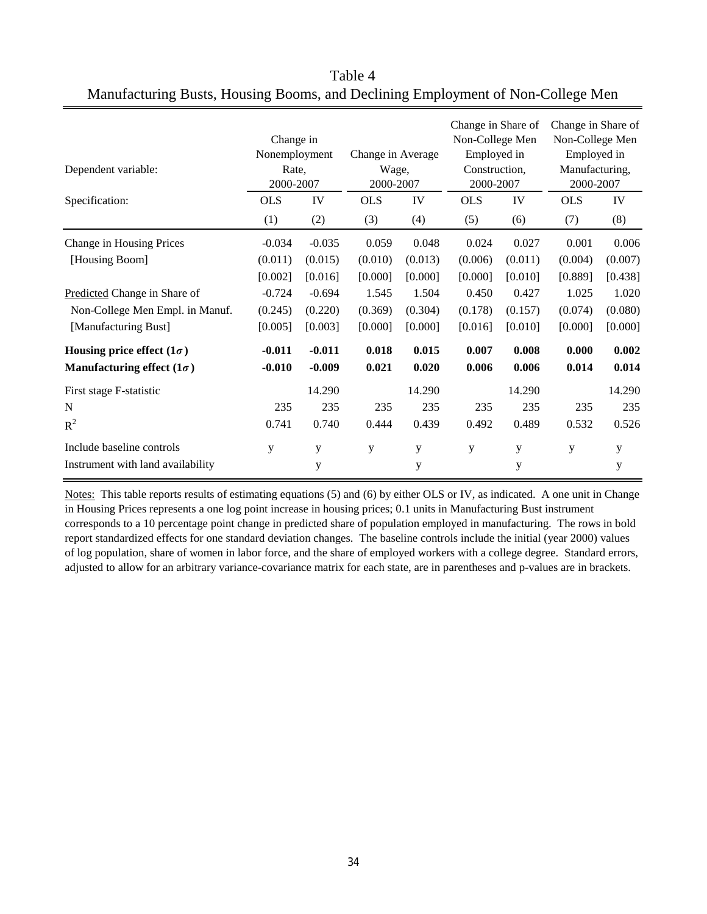| Dependent variable:               | Change in<br>Nonemployment<br>Rate,<br>2000-2007 |          | Change in Average<br>Wage,<br>2000-2007 |         | Change in Share of<br>Non-College Men<br>Employed in<br>Construction,<br>2000-2007 |         | Change in Share of<br>Non-College Men<br>Employed in<br>Manufacturing,<br>2000-2007 |         |
|-----------------------------------|--------------------------------------------------|----------|-----------------------------------------|---------|------------------------------------------------------------------------------------|---------|-------------------------------------------------------------------------------------|---------|
| Specification:                    | <b>OLS</b>                                       | IV       | <b>OLS</b>                              | IV      | <b>OLS</b>                                                                         | IV      | <b>OLS</b>                                                                          | IV      |
|                                   | (1)                                              | (2)      | (3)                                     | (4)     | (5)                                                                                | (6)     | (7)                                                                                 | (8)     |
| Change in Housing Prices          | $-0.034$                                         | $-0.035$ | 0.059                                   | 0.048   | 0.024                                                                              | 0.027   | 0.001                                                                               | 0.006   |
| [Housing Boom]                    | (0.011)                                          | (0.015)  | (0.010)                                 | (0.013) | (0.006)                                                                            | (0.011) | (0.004)                                                                             | (0.007) |
|                                   | [0.002]                                          | [0.016]  | [0.000]                                 | [0.000] | [0.000]                                                                            | [0.010] | [0.889]                                                                             | [0.438] |
| Predicted Change in Share of      | $-0.724$                                         | $-0.694$ | 1.545                                   | 1.504   | 0.450                                                                              | 0.427   | 1.025                                                                               | 1.020   |
| Non-College Men Empl. in Manuf.   | (0.245)                                          | (0.220)  | (0.369)                                 | (0.304) | (0.178)                                                                            | (0.157) | (0.074)                                                                             | (0.080) |
| [Manufacturing Bust]              | [0.005]                                          | [0.003]  | [0.000]                                 | [0.000] | [0.016]                                                                            | [0.010] | [0.000]                                                                             | [0.000] |
| Housing price effect $(1\sigma)$  | $-0.011$                                         | $-0.011$ | 0.018                                   | 0.015   | 0.007                                                                              | 0.008   | 0.000                                                                               | 0.002   |
| Manufacturing effect $(1\sigma)$  | $-0.010$                                         | $-0.009$ | 0.021                                   | 0.020   | 0.006                                                                              | 0.006   | 0.014                                                                               | 0.014   |
| First stage F-statistic           |                                                  | 14.290   |                                         | 14.290  |                                                                                    | 14.290  |                                                                                     | 14.290  |
| N                                 | 235                                              | 235      | 235                                     | 235     | 235                                                                                | 235     | 235                                                                                 | 235     |
| $R^2$                             | 0.741                                            | 0.740    | 0.444                                   | 0.439   | 0.492                                                                              | 0.489   | 0.532                                                                               | 0.526   |
| Include baseline controls         | y                                                | y        | y                                       | y       | y                                                                                  | y       | y                                                                                   | y       |
| Instrument with land availability |                                                  | y        |                                         | y       |                                                                                    | y       |                                                                                     | y       |

Table 4 Manufacturing Busts, Housing Booms, and Declining Employment of Non-College Men

Notes: This table reports results of estimating equations (5) and (6) by either OLS or IV, as indicated. A one unit in Change in Housing Prices represents a one log point increase in housing prices; 0.1 units in Manufacturing Bust instrument corresponds to a 10 percentage point change in predicted share of population employed in manufacturing. The rows in bold report standardized effects for one standard deviation changes. The baseline controls include the initial (year 2000) values of log population, share of women in labor force, and the share of employed workers with a college degree. Standard errors, adjusted to allow for an arbitrary variance-covariance matrix for each state, are in parentheses and p-values are in brackets.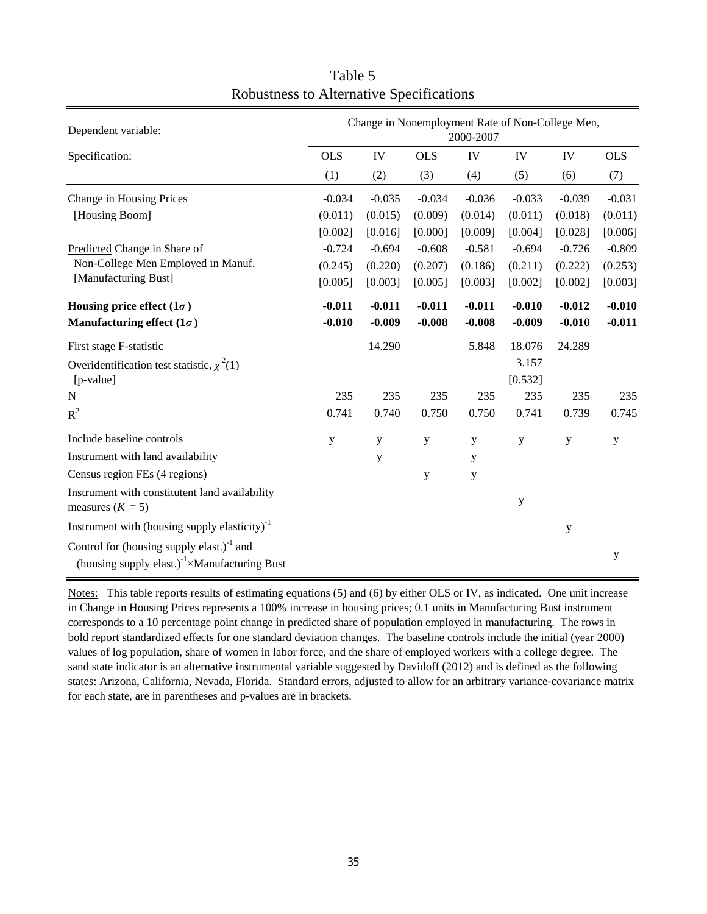| Dependent variable:                                                                                                        | Change in Nonemployment Rate of Non-College Men,<br>2000-2007 |          |            |          |                  |          |             |
|----------------------------------------------------------------------------------------------------------------------------|---------------------------------------------------------------|----------|------------|----------|------------------|----------|-------------|
| Specification:                                                                                                             | <b>OLS</b>                                                    | IV       | <b>OLS</b> | IV       | IV               | IV       | <b>OLS</b>  |
|                                                                                                                            | (1)                                                           | (2)      | (3)        | (4)      | (5)              | (6)      | (7)         |
| Change in Housing Prices                                                                                                   | $-0.034$                                                      | $-0.035$ | $-0.034$   | $-0.036$ | $-0.033$         | $-0.039$ | $-0.031$    |
| [Housing Boom]                                                                                                             | (0.011)                                                       | (0.015)  | (0.009)    | (0.014)  | (0.011)          | (0.018)  | (0.011)     |
|                                                                                                                            | [0.002]                                                       | [0.016]  | [0.000]    | [0.009]  | [0.004]          | [0.028]  | [0.006]     |
| Predicted Change in Share of                                                                                               | $-0.724$                                                      | $-0.694$ | $-0.608$   | $-0.581$ | $-0.694$         | $-0.726$ | $-0.809$    |
| Non-College Men Employed in Manuf.                                                                                         | (0.245)                                                       | (0.220)  | (0.207)    | (0.186)  | (0.211)          | (0.222)  | (0.253)     |
| [Manufacturing Bust]                                                                                                       | [0.005]                                                       | [0.003]  | [0.005]    | [0.003]  | [0.002]          | [0.002]  | [0.003]     |
| Housing price effect $(1\sigma)$                                                                                           | $-0.011$                                                      | $-0.011$ | $-0.011$   | $-0.011$ | $-0.010$         | $-0.012$ | $-0.010$    |
| Manufacturing effect $(1\sigma)$                                                                                           | $-0.010$                                                      | $-0.009$ | $-0.008$   | $-0.008$ | $-0.009$         | $-0.010$ | $-0.011$    |
| First stage F-statistic                                                                                                    |                                                               | 14.290   |            | 5.848    | 18.076           | 24.289   |             |
| Overidentification test statistic, $\chi^2(1)$<br>[p-value]                                                                |                                                               |          |            |          | 3.157<br>[0.532] |          |             |
| $\mathbf N$                                                                                                                | 235                                                           | 235      | 235        | 235      | 235              | 235      | 235         |
| $R^2$                                                                                                                      | 0.741                                                         | 0.740    | 0.750      | 0.750    | 0.741            | 0.739    | 0.745       |
| Include baseline controls                                                                                                  | y                                                             | y        | y          | y        | y                | y        | $\mathbf y$ |
| Instrument with land availability                                                                                          |                                                               | y        |            | y        |                  |          |             |
| Census region FEs (4 regions)                                                                                              |                                                               |          | y          | y        |                  |          |             |
| Instrument with constitutent land availability<br>measures $(K = 5)$                                                       |                                                               |          |            |          | y                |          |             |
| Instrument with (housing supply elasticity) $^{-1}$                                                                        |                                                               |          |            |          |                  | y        |             |
| Control for (housing supply elast.) <sup>-1</sup> and<br>(housing supply elast.) <sup>-1</sup> $\times$ Manufacturing Bust |                                                               |          |            |          |                  |          | y           |

Table 5 Robustness to Alternative Specifications

Notes: This table reports results of estimating equations (5) and (6) by either OLS or IV, as indicated. One unit increase in Change in Housing Prices represents a 100% increase in housing prices; 0.1 units in Manufacturing Bust instrument corresponds to a 10 percentage point change in predicted share of population employed in manufacturing. The rows in bold report standardized effects for one standard deviation changes. The baseline controls include the initial (year 2000) values of log population, share of women in labor force, and the share of employed workers with a college degree. The sand state indicator is an alternative instrumental variable suggested by Davidoff (2012) and is defined as the following states: Arizona, California, Nevada, Florida. Standard errors, adjusted to allow for an arbitrary variance-covariance matrix for each state, are in parentheses and p-values are in brackets.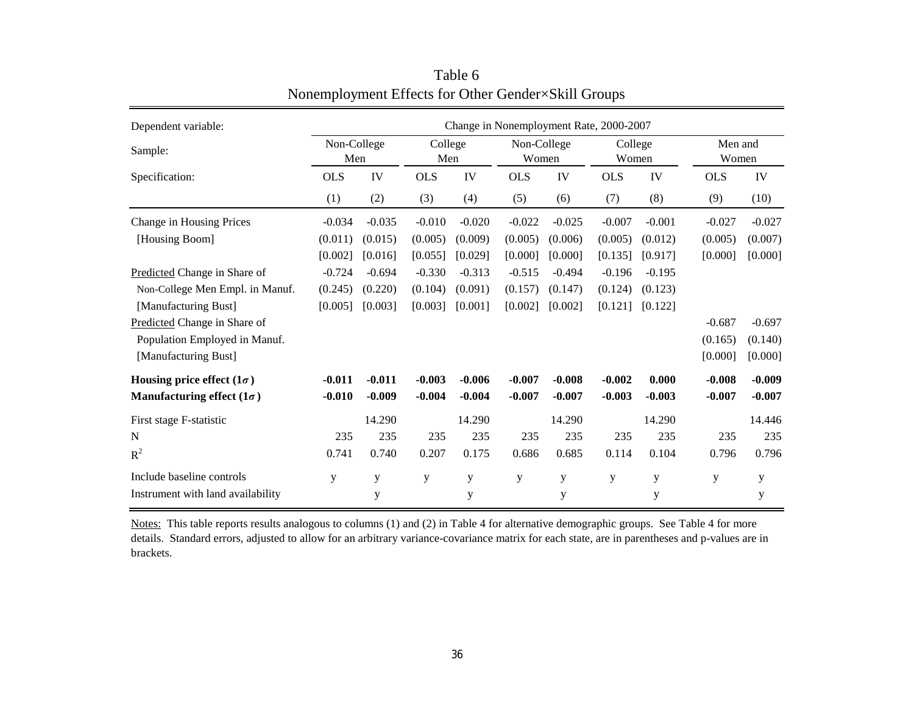| Dependent variable:               | Change in Nonemployment Rate, 2000-2007 |          |            |                |             |                      |            |                  |                  |          |  |
|-----------------------------------|-----------------------------------------|----------|------------|----------------|-------------|----------------------|------------|------------------|------------------|----------|--|
| Sample:                           | Non-College<br>Men                      |          |            | College<br>Men |             | Non-College<br>Women |            | College<br>Women | Men and<br>Women |          |  |
| Specification:                    | <b>OLS</b>                              | IV       | <b>OLS</b> | IV             | <b>OLS</b>  | IV                   | <b>OLS</b> | IV               | <b>OLS</b>       | IV       |  |
|                                   | (1)                                     | (2)      | (3)        | (4)            | (5)         | (6)                  | (7)        | (8)              | (9)              | (10)     |  |
| Change in Housing Prices          | $-0.034$                                | $-0.035$ | $-0.010$   | $-0.020$       | $-0.022$    | $-0.025$             | $-0.007$   | $-0.001$         | $-0.027$         | $-0.027$ |  |
| [Housing Boom]                    | (0.011)                                 | (0.015)  | (0.005)    | (0.009)        | (0.005)     | (0.006)              | (0.005)    | (0.012)          | (0.005)          | (0.007)  |  |
|                                   | [0.002]                                 | [0.016]  | [0.055]    | [0.029]        | [0.000]     | [0.000]              | [0.135]    | [0.917]          | [0.000]          | [0.000]  |  |
| Predicted Change in Share of      | $-0.724$                                | $-0.694$ | $-0.330$   | $-0.313$       | $-0.515$    | $-0.494$             | $-0.196$   | $-0.195$         |                  |          |  |
| Non-College Men Empl. in Manuf.   | (0.245)                                 | (0.220)  | (0.104)    | (0.091)        | (0.157)     | (0.147)              | (0.124)    | (0.123)          |                  |          |  |
| [Manufacturing Bust]              | [0.005]                                 | [0.003]  | [0.003]    | [0.001]        | [0.002]     | [0.002]              | [0.121]    | [0.122]          |                  |          |  |
| Predicted Change in Share of      |                                         |          |            |                |             |                      |            |                  | $-0.687$         | $-0.697$ |  |
| Population Employed in Manuf.     |                                         |          |            |                |             |                      |            |                  | (0.165)          | (0.140)  |  |
| [Manufacturing Bust]              |                                         |          |            |                |             |                      |            |                  | [0.000]          | [0.000]  |  |
| Housing price effect $(1\sigma)$  | $-0.011$                                | $-0.011$ | $-0.003$   | $-0.006$       | $-0.007$    | $-0.008$             | $-0.002$   | 0.000            | $-0.008$         | $-0.009$ |  |
| Manufacturing effect $(1\sigma)$  | $-0.010$                                | $-0.009$ | $-0.004$   | $-0.004$       | $-0.007$    | $-0.007$             | $-0.003$   | $-0.003$         | $-0.007$         | $-0.007$ |  |
| First stage F-statistic           |                                         | 14.290   |            | 14.290         |             | 14.290               |            | 14.290           |                  | 14.446   |  |
| N                                 | 235                                     | 235      | 235        | 235            | 235         | 235                  | 235        | 235              | 235              | 235      |  |
| $R^2$                             | 0.741                                   | 0.740    | 0.207      | 0.175          | 0.686       | 0.685                | 0.114      | 0.104            | 0.796            | 0.796    |  |
| Include baseline controls         | y                                       | y        | y          | y              | $\mathbf y$ | $\mathbf y$          | y          | ${\bf y}$        | y                | y        |  |
| Instrument with land availability |                                         | y        |            | y              |             | y                    |            | у                |                  | y        |  |

Table 6 Nonemployment Effects for Other Gender×Skill Groups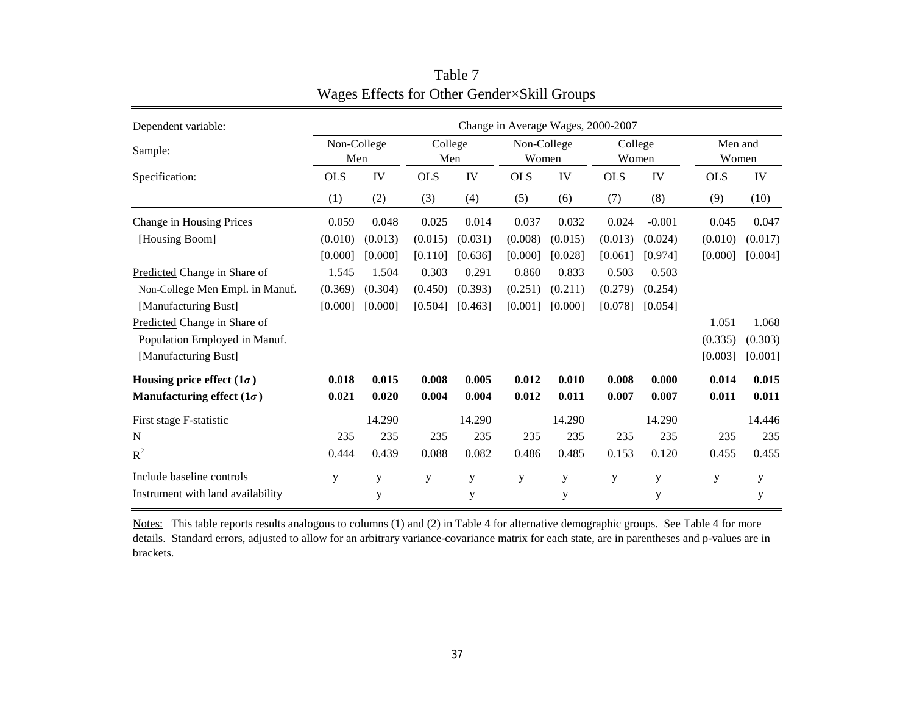| Dependent variable:               | Change in Average Wages, 2000-2007 |             |            |                |            |                      |            |                  |            |                  |  |
|-----------------------------------|------------------------------------|-------------|------------|----------------|------------|----------------------|------------|------------------|------------|------------------|--|
| Sample:                           | Non-College<br>Men                 |             |            | College<br>Men |            | Non-College<br>Women |            | College<br>Women |            | Men and<br>Women |  |
| Specification:                    | <b>OLS</b>                         | IV          | <b>OLS</b> | IV             | <b>OLS</b> | IV                   | <b>OLS</b> | IV               | <b>OLS</b> | IV               |  |
|                                   | (1)                                | (2)         | (3)        | (4)            | (5)        | (6)                  | (7)        | (8)              | (9)        | (10)             |  |
| Change in Housing Prices          | 0.059                              | 0.048       | 0.025      | 0.014          | 0.037      | 0.032                | 0.024      | $-0.001$         | 0.045      | 0.047            |  |
| [Housing Boom]                    | (0.010)                            | (0.013)     | (0.015)    | (0.031)        | (0.008)    | (0.015)              | (0.013)    | (0.024)          | (0.010)    | (0.017)          |  |
|                                   | [0.000]                            | [0.000]     | [0.110]    | [0.636]        | [0.000]    | [0.028]              | [0.061]    | [0.974]          | [0.000]    | [0.004]          |  |
| Predicted Change in Share of      | 1.545                              | 1.504       | 0.303      | 0.291          | 0.860      | 0.833                | 0.503      | 0.503            |            |                  |  |
| Non-College Men Empl. in Manuf.   | (0.369)                            | (0.304)     | (0.450)    | (0.393)        | (0.251)    | (0.211)              | (0.279)    | (0.254)          |            |                  |  |
| [Manufacturing Bust]              | [0.000]                            | [0.000]     | [0.504]    | [0.463]        | [0.001]    | [0.000]              | [0.078]    | [0.054]          |            |                  |  |
| Predicted Change in Share of      |                                    |             |            |                |            |                      |            |                  | 1.051      | 1.068            |  |
| Population Employed in Manuf.     |                                    |             |            |                |            |                      |            |                  | (0.335)    | (0.303)          |  |
| [Manufacturing Bust]              |                                    |             |            |                |            |                      |            |                  | [0.003]    | [0.001]          |  |
| Housing price effect $(1\sigma)$  | 0.018                              | 0.015       | 0.008      | 0.005          | 0.012      | 0.010                | 0.008      | 0.000            | 0.014      | 0.015            |  |
| Manufacturing effect $(1\sigma)$  | 0.021                              | 0.020       | 0.004      | 0.004          | 0.012      | 0.011                | 0.007      | 0.007            | 0.011      | 0.011            |  |
| First stage F-statistic           |                                    | 14.290      |            | 14.290         |            | 14.290               |            | 14.290           |            | 14.446           |  |
| N                                 | 235                                | 235         | 235        | 235            | 235        | 235                  | 235        | 235              | 235        | 235              |  |
| $R^2$                             | 0.444                              | 0.439       | 0.088      | 0.082          | 0.486      | 0.485                | 0.153      | 0.120            | 0.455      | 0.455            |  |
| Include baseline controls         | y                                  | $\mathbf y$ | y          | y              | y          | y                    | y          | ${\bf y}$        | y          | y                |  |
| Instrument with land availability |                                    | y           |            | y              |            | y                    |            | y                |            | y                |  |

Table 7 Wages Effects for Other Gender×Skill Groups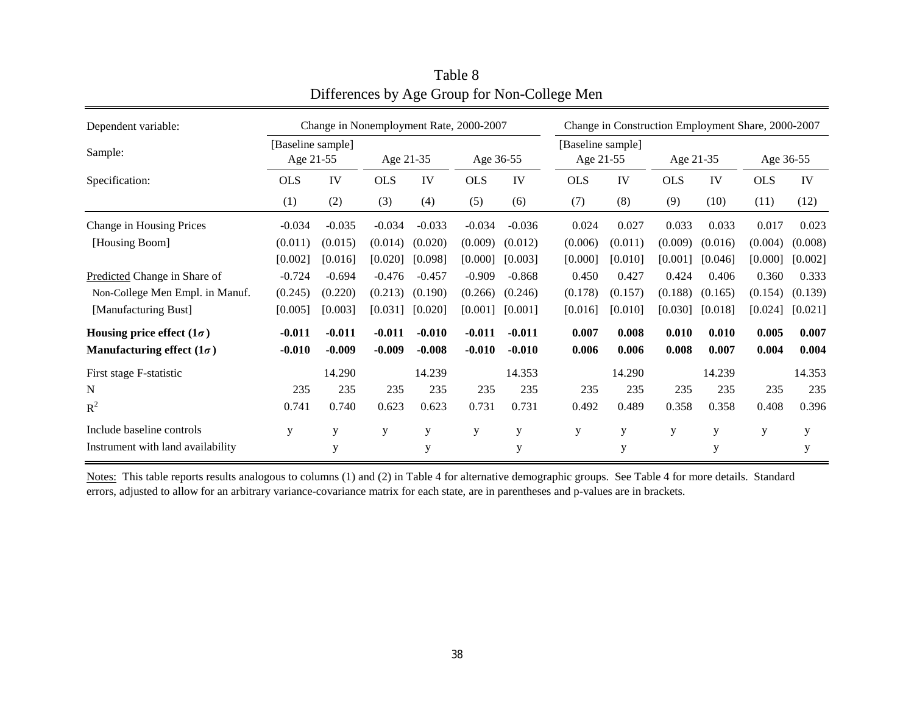| Dependent variable:               |                                | Change in Nonemployment Rate, 2000-2007 |            |          |            |          | Change in Construction Employment Share, 2000-2007 |                                |            |           |            |           |  |
|-----------------------------------|--------------------------------|-----------------------------------------|------------|----------|------------|----------|----------------------------------------------------|--------------------------------|------------|-----------|------------|-----------|--|
| Sample:                           | [Baseline sample]<br>Age 21-55 |                                         | Age 21-35  |          | Age 36-55  |          |                                                    | [Baseline sample]<br>Age 21-55 |            | Age 21-35 |            | Age 36-55 |  |
| Specification:                    | <b>OLS</b>                     | IV                                      | <b>OLS</b> | IV       | <b>OLS</b> | IV       | <b>OLS</b>                                         | IV                             | <b>OLS</b> | IV        | <b>OLS</b> | IV        |  |
|                                   | (1)                            | (2)                                     | (3)        | (4)      | (5)        | (6)      | (7)                                                | (8)                            | (9)        | (10)      | (11)       | (12)      |  |
| Change in Housing Prices          | $-0.034$                       | $-0.035$                                | $-0.034$   | $-0.033$ | $-0.034$   | $-0.036$ | 0.024                                              | 0.027                          | 0.033      | 0.033     | 0.017      | 0.023     |  |
| [Housing Boom]                    | (0.011)                        | (0.015)                                 | (0.014)    | (0.020)  | (0.009)    | (0.012)  | (0.006)                                            | (0.011)                        | (0.009)    | (0.016)   | (0.004)    | (0.008)   |  |
|                                   | [0.002]                        | [0.016]                                 | [0.020]    | [0.098]  | [0.000]    | [0.003]  | [0.000]                                            | [0.010]                        | [0.001]    | [0.046]   | [0.000]    | [0.002]   |  |
| Predicted Change in Share of      | $-0.724$                       | $-0.694$                                | $-0.476$   | $-0.457$ | $-0.909$   | $-0.868$ | 0.450                                              | 0.427                          | 0.424      | 0.406     | 0.360      | 0.333     |  |
| Non-College Men Empl. in Manuf.   | (0.245)                        | (0.220)                                 | (0.213)    | (0.190)  | (0.266)    | (0.246)  | (0.178)                                            | (0.157)                        | (0.188)    | (0.165)   | (0.154)    | (0.139)   |  |
| [Manufacturing Bust]              | [0.005]                        | [0.003]                                 | [0.031]    | [0.020]  | [0.001]    | [0.001]  | [0.016]                                            | [0.010]                        | [0.030]    | [0.018]   | [0.024]    | [0.021]   |  |
| Housing price effect $(1\sigma)$  | $-0.011$                       | $-0.011$                                | $-0.011$   | $-0.010$ | $-0.011$   | $-0.011$ | 0.007                                              | 0.008                          | 0.010      | 0.010     | 0.005      | 0.007     |  |
| Manufacturing effect $(1\sigma)$  | $-0.010$                       | $-0.009$                                | $-0.009$   | $-0.008$ | $-0.010$   | $-0.010$ | 0.006                                              | 0.006                          | 0.008      | 0.007     | 0.004      | 0.004     |  |
| First stage F-statistic           |                                | 14.290                                  |            | 14.239   |            | 14.353   |                                                    | 14.290                         |            | 14.239    |            | 14.353    |  |
| N                                 | 235                            | 235                                     | 235        | 235      | 235        | 235      | 235                                                | 235                            | 235        | 235       | 235        | 235       |  |
| $R^2$                             | 0.741                          | 0.740                                   | 0.623      | 0.623    | 0.731      | 0.731    | 0.492                                              | 0.489                          | 0.358      | 0.358     | 0.408      | 0.396     |  |
| Include baseline controls         | y                              | y                                       | У          | y        | У          | y        | y                                                  | y                              | y          | У         | y          | y         |  |
| Instrument with land availability |                                | y                                       |            | y        |            | y        |                                                    | y                              |            | y         |            | y         |  |

Table 8 Differences by Age Group for Non-College Men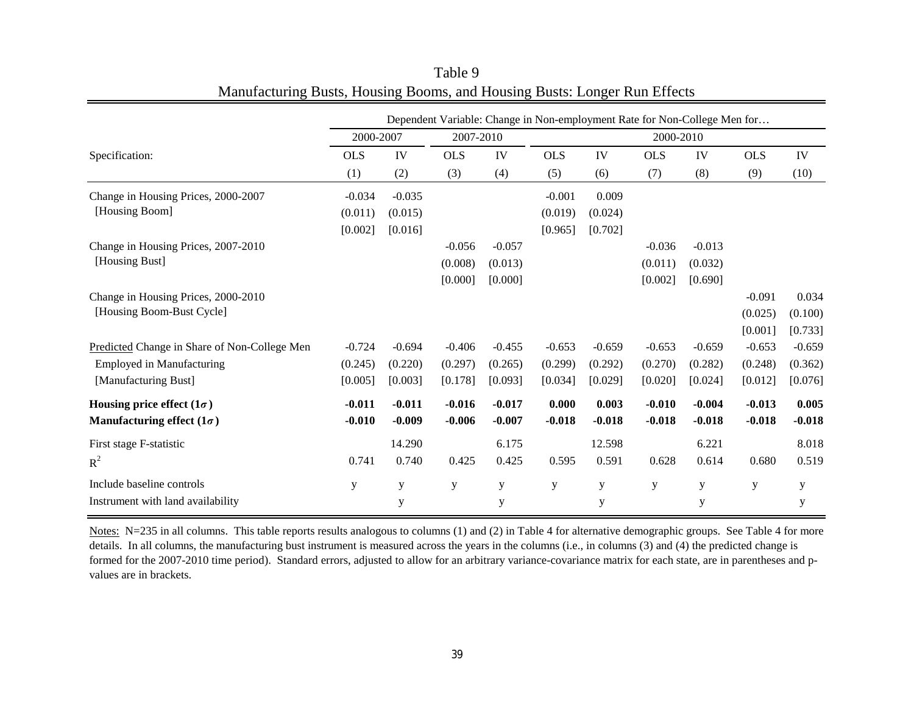|                                              | Dependent Variable: Change in Non-employment Rate for Non-College Men for |             |            |           |            |           |            |          |             |             |  |
|----------------------------------------------|---------------------------------------------------------------------------|-------------|------------|-----------|------------|-----------|------------|----------|-------------|-------------|--|
|                                              | 2000-2007                                                                 |             |            | 2007-2010 |            | 2000-2010 |            |          |             |             |  |
| Specification:                               | <b>OLS</b>                                                                | IV          | <b>OLS</b> | IV        | <b>OLS</b> | IV        | <b>OLS</b> | IV       | <b>OLS</b>  | IV          |  |
|                                              | (1)                                                                       | (2)         | (3)        | (4)       | (5)        | (6)       | (7)        | (8)      | (9)         | (10)        |  |
| Change in Housing Prices, 2000-2007          | $-0.034$                                                                  | $-0.035$    |            |           | $-0.001$   | 0.009     |            |          |             |             |  |
| [Housing Boom]                               | (0.011)                                                                   | (0.015)     |            |           | (0.019)    | (0.024)   |            |          |             |             |  |
|                                              | [0.002]                                                                   | [0.016]     |            |           | [0.965]    | [0.702]   |            |          |             |             |  |
| Change in Housing Prices, 2007-2010          |                                                                           |             | $-0.056$   | $-0.057$  |            |           | $-0.036$   | $-0.013$ |             |             |  |
| [Housing Bust]                               |                                                                           |             | (0.008)    | (0.013)   |            |           | (0.011)    | (0.032)  |             |             |  |
|                                              |                                                                           |             | [0.000]    | [0.000]   |            |           | [0.002]    | [0.690]  |             |             |  |
| Change in Housing Prices, 2000-2010          |                                                                           |             |            |           |            |           |            |          | $-0.091$    | 0.034       |  |
| [Housing Boom-Bust Cycle]                    |                                                                           |             |            |           |            |           |            |          | (0.025)     | (0.100)     |  |
|                                              |                                                                           |             |            |           |            |           |            |          | [0.001]     | [0.733]     |  |
| Predicted Change in Share of Non-College Men | $-0.724$                                                                  | $-0.694$    | $-0.406$   | $-0.455$  | $-0.653$   | $-0.659$  | $-0.653$   | $-0.659$ | $-0.653$    | $-0.659$    |  |
| <b>Employed in Manufacturing</b>             | (0.245)                                                                   | (0.220)     | (0.297)    | (0.265)   | (0.299)    | (0.292)   | (0.270)    | (0.282)  | (0.248)     | (0.362)     |  |
| [Manufacturing Bust]                         | [0.005]                                                                   | [0.003]     | [0.178]    | [0.093]   | [0.034]    | [0.029]   | [0.020]    | [0.024]  | [0.012]     | [0.076]     |  |
| Housing price effect $(1\sigma)$             | $-0.011$                                                                  | $-0.011$    | $-0.016$   | $-0.017$  | 0.000      | 0.003     | $-0.010$   | $-0.004$ | $-0.013$    | 0.005       |  |
| Manufacturing effect $(1\sigma)$             | $-0.010$                                                                  | $-0.009$    | $-0.006$   | $-0.007$  | $-0.018$   | $-0.018$  | $-0.018$   | $-0.018$ | $-0.018$    | $-0.018$    |  |
| First stage F-statistic                      |                                                                           | 14.290      |            | 6.175     |            | 12.598    |            | 6.221    |             | 8.018       |  |
| $R^2$                                        | 0.741                                                                     | 0.740       | 0.425      | 0.425     | 0.595      | 0.591     | 0.628      | 0.614    | 0.680       | 0.519       |  |
| Include baseline controls                    | y                                                                         | $\mathbf y$ | y          | y         | y          | ${\bf y}$ | ${\bf y}$  | y        | $\mathbf y$ | $\mathbf y$ |  |
| Instrument with land availability            |                                                                           | y           |            | y         |            | y         |            | y        |             | $\mathbf y$ |  |

Table 9 Manufacturing Busts, Housing Booms, and Housing Busts: Longer Run Effects

Notes: N=235 in all columns. This table reports results analogous to columns (1) and (2) in Table 4 for alternative demographic groups. See Table 4 for more details. In all columns, the manufacturing bust instrument is measured across the years in the columns (i.e., in columns (3) and (4) the predicted change is formed for the 2007-2010 time period). Standard errors, adjusted to allow for an arbitrary variance-covariance matrix for each state, are in parentheses and pvalues are in brackets.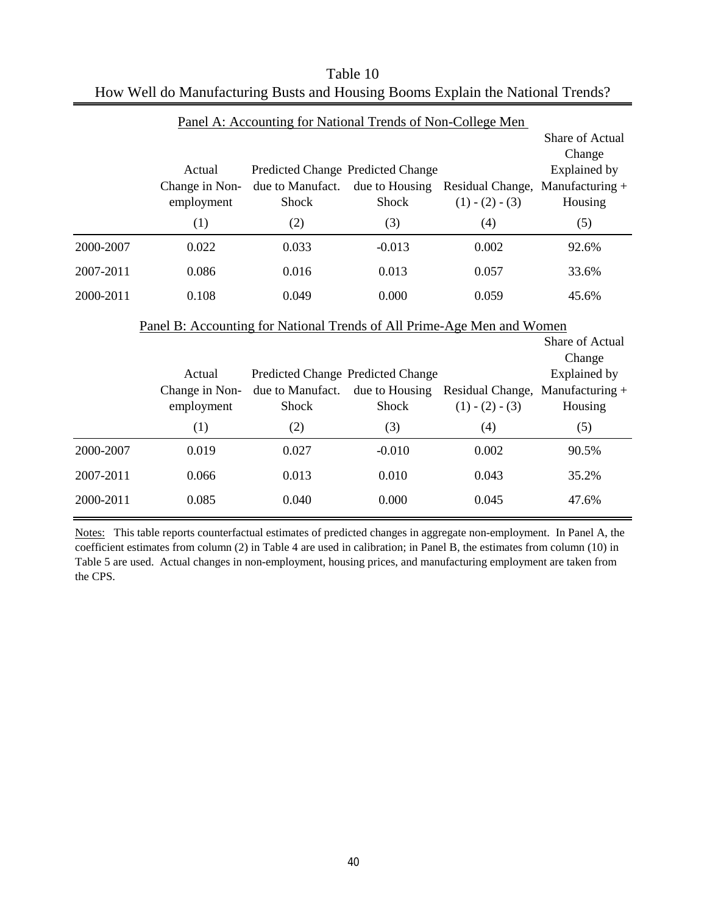|                                                                        |                                               | Panel A: Accounting for National Trends of Non-College Men            |                         |                                                             |                                                                                         |  |  |  |  |  |
|------------------------------------------------------------------------|-----------------------------------------------|-----------------------------------------------------------------------|-------------------------|-------------------------------------------------------------|-----------------------------------------------------------------------------------------|--|--|--|--|--|
|                                                                        | Actual<br>Change in Non-<br>employment<br>(1) | Predicted Change Predicted Change<br>due to Manufact.<br>Shock<br>(2) | Shock<br>(3)            | due to Housing Residual Change,<br>$(1) - (2) - (3)$<br>(4) | Share of Actual<br>Change<br><b>Explained by</b><br>Manufacturing $+$<br>Housing<br>(5) |  |  |  |  |  |
| 2000-2007                                                              | 0.022                                         | 0.033                                                                 | $-0.013$                | 0.002                                                       | 92.6%                                                                                   |  |  |  |  |  |
| 2007-2011                                                              | 0.086                                         | 0.016                                                                 | 0.013                   | 0.057                                                       | 33.6%                                                                                   |  |  |  |  |  |
| 2000-2011                                                              | 0.108                                         | 0.049                                                                 | 0.000                   | 0.059                                                       | 45.6%                                                                                   |  |  |  |  |  |
| Panel B: Accounting for National Trends of All Prime-Age Men and Women |                                               |                                                                       |                         |                                                             |                                                                                         |  |  |  |  |  |
|                                                                        |                                               |                                                                       |                         |                                                             |                                                                                         |  |  |  |  |  |
|                                                                        | Actual                                        | Predicted Change Predicted Change                                     |                         |                                                             | <b>Share of Actual</b><br>Change<br>Explained by                                        |  |  |  |  |  |
|                                                                        | Change in Non-<br>employment                  | due to Manufact.<br>Shock                                             | due to Housing<br>Shock | Residual Change, Manufacturing +<br>$(1) - (2) - (3)$       | Housing                                                                                 |  |  |  |  |  |
|                                                                        | (1)                                           | (2)                                                                   | (3)                     | (4)                                                         | (5)                                                                                     |  |  |  |  |  |
| 2000-2007                                                              | 0.019                                         | 0.027                                                                 | $-0.010$                | 0.002                                                       | 90.5%                                                                                   |  |  |  |  |  |
| 2007-2011                                                              | 0.066                                         | 0.013                                                                 | 0.010                   | 0.043                                                       | 35.2%                                                                                   |  |  |  |  |  |

| Table 10                                                                       |
|--------------------------------------------------------------------------------|
| How Well do Manufacturing Busts and Housing Booms Explain the National Trends? |

Notes: This table reports counterfactual estimates of predicted changes in aggregate non-employment. In Panel A, the coefficient estimates from column (2) in Table 4 are used in calibration; in Panel B, the estimates from column (10) in Table 5 are used. Actual changes in non-employment, housing prices, and manufacturing employment are taken from the CPS.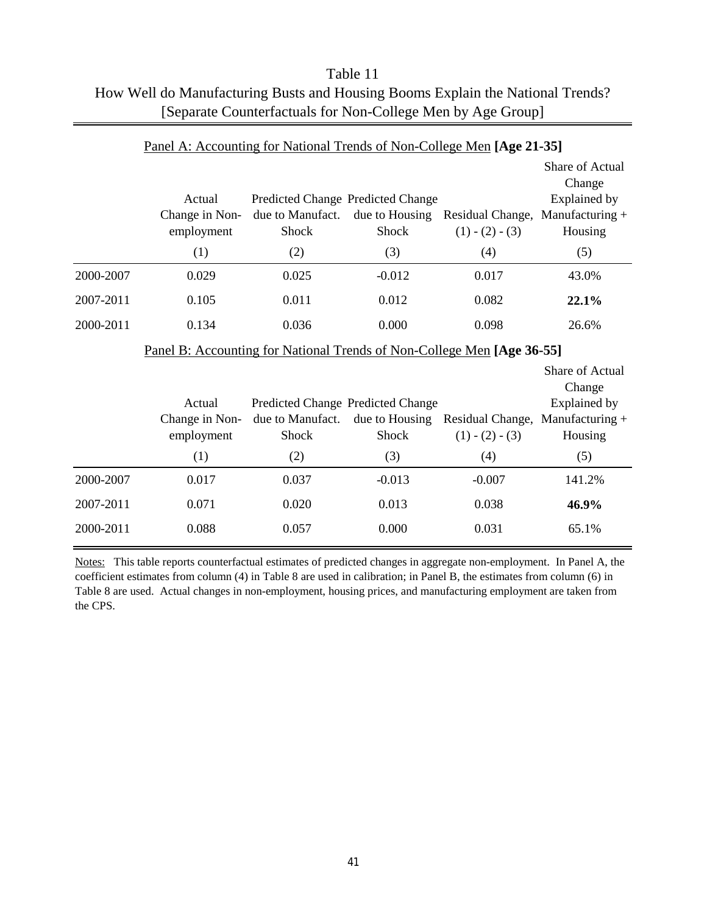|           | Actual<br>Change in Non-<br>employment<br>(1)                          | Predicted Change Predicted Change<br>due to Manufact.<br>Shock<br>(2) | due to Housing<br>Shock<br>(3) | Residual Change,<br>$(1) - (2) - (3)$<br>(4)          | Share of Actual<br>Change<br>Explained by<br>Manufacturing +<br>Housing<br>(5) |
|-----------|------------------------------------------------------------------------|-----------------------------------------------------------------------|--------------------------------|-------------------------------------------------------|--------------------------------------------------------------------------------|
| 2000-2007 | 0.029                                                                  | 0.025                                                                 | $-0.012$                       | 0.017                                                 | 43.0%                                                                          |
| 2007-2011 | 0.105                                                                  | 0.011                                                                 | 0.012                          | 0.082                                                 | 22.1%                                                                          |
| 2000-2011 | 0.134                                                                  | 0.036                                                                 | 0.000                          | 0.098                                                 | 26.6%                                                                          |
|           | Panel B: Accounting for National Trends of Non-College Men [Age 36-55] |                                                                       |                                |                                                       |                                                                                |
|           | Actual                                                                 | Predicted Change Predicted Change                                     |                                |                                                       | Share of Actual<br>Change<br><b>Explained by</b>                               |
|           | Change in Non-<br>employment                                           | due to Manufact.<br>Shock                                             | due to Housing<br><b>Shock</b> | Residual Change, Manufacturing +<br>$(1) - (2) - (3)$ | Housing                                                                        |
|           | (1)                                                                    | (2)                                                                   | (3)                            | (4)                                                   | (5)                                                                            |
| 2000-2007 | 0.017                                                                  | 0.037                                                                 | $-0.013$                       | $-0.007$                                              | 141.2%                                                                         |
| 2007-2011 | 0.071                                                                  | 0.020                                                                 | 0.013                          | 0.038                                                 | 46.9%                                                                          |
| 2000-2011 | 0.088                                                                  | 0.057                                                                 | 0.000                          | 0.031                                                 | 65.1%                                                                          |

| Table 11                                                                       |
|--------------------------------------------------------------------------------|
| How Well do Manufacturing Busts and Housing Booms Explain the National Trends? |
| [Separate Counterfactuals for Non-College Men by Age Group]                    |

#### Panel A: Accounting for National Trends of Non-College Men **[Age 21-35]**

Notes: This table reports counterfactual estimates of predicted changes in aggregate non-employment. In Panel A, the coefficient estimates from column (4) in Table 8 are used in calibration; in Panel B, the estimates from column (6) in Table 8 are used. Actual changes in non-employment, housing prices, and manufacturing employment are taken from the CPS.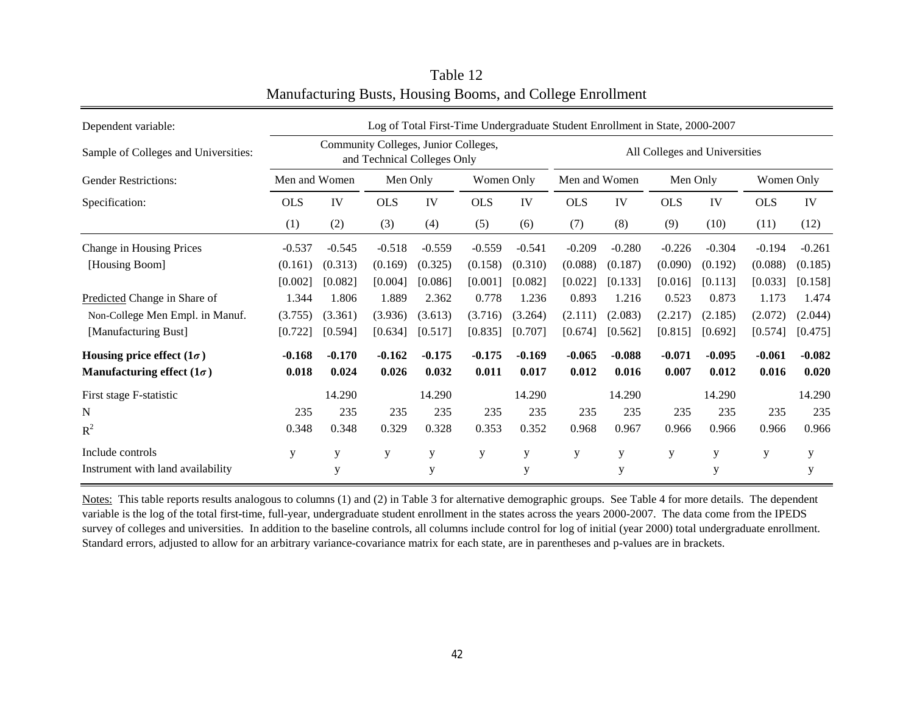| Dependent variable:                  | Log of Total First-Time Undergraduate Student Enrollment in State, 2000-2007 |                                                                     |            |          |            |             |               |                               |            |          |            |          |  |  |
|--------------------------------------|------------------------------------------------------------------------------|---------------------------------------------------------------------|------------|----------|------------|-------------|---------------|-------------------------------|------------|----------|------------|----------|--|--|
| Sample of Colleges and Universities: |                                                                              | Community Colleges, Junior Colleges,<br>and Technical Colleges Only |            |          |            |             |               | All Colleges and Universities |            |          |            |          |  |  |
| <b>Gender Restrictions:</b>          | Men and Women                                                                |                                                                     | Men Only   |          | Women Only |             | Men and Women |                               | Men Only   |          | Women Only |          |  |  |
| Specification:                       | <b>OLS</b>                                                                   | IV                                                                  | <b>OLS</b> | IV       | <b>OLS</b> | IV          | <b>OLS</b>    | IV                            | <b>OLS</b> | IV       | <b>OLS</b> | IV       |  |  |
|                                      | (1)                                                                          | (2)                                                                 | (3)        | (4)      | (5)        | (6)         | (7)           | (8)                           | (9)        | (10)     | (11)       | (12)     |  |  |
| Change in Housing Prices             | $-0.537$                                                                     | $-0.545$                                                            | $-0.518$   | $-0.559$ | $-0.559$   | $-0.541$    | $-0.209$      | $-0.280$                      | $-0.226$   | $-0.304$ | $-0.194$   | $-0.261$ |  |  |
| [Housing Boom]                       | (0.161)                                                                      | (0.313)                                                             | (0.169)    | (0.325)  | (0.158)    | (0.310)     | (0.088)       | (0.187)                       | (0.090)    | (0.192)  | (0.088)    | (0.185)  |  |  |
|                                      | [0.002]                                                                      | [0.082]                                                             | [0.004]    | [0.086]  | [0.001]    | [0.082]     | [0.022]       | [0.133]                       | [0.016]    | [0.113]  | [0.033]    | [0.158]  |  |  |
| Predicted Change in Share of         | 1.344                                                                        | 1.806                                                               | 1.889      | 2.362    | 0.778      | 1.236       | 0.893         | 1.216                         | 0.523      | 0.873    | 1.173      | 1.474    |  |  |
| Non-College Men Empl. in Manuf.      | (3.755)                                                                      | (3.361)                                                             | (3.936)    | (3.613)  | (3.716)    | (3.264)     | (2.111)       | (2.083)                       | (2.217)    | (2.185)  | (2.072)    | (2.044)  |  |  |
| [Manufacturing Bust]                 | [0.722]                                                                      | [0.594]                                                             | [0.634]    | [0.517]  | [0.835]    | [0.707]     | [0.674]       | [0.562]                       | [0.815]    | [0.692]  | [0.574]    | [0.475]  |  |  |
| Housing price effect $(1\sigma)$     | $-0.168$                                                                     | $-0.170$                                                            | $-0.162$   | $-0.175$ | $-0.175$   | $-0.169$    | $-0.065$      | $-0.088$                      | $-0.071$   | $-0.095$ | $-0.061$   | $-0.082$ |  |  |
| Manufacturing effect $(1\sigma)$     | 0.018                                                                        | 0.024                                                               | 0.026      | 0.032    | 0.011      | 0.017       | 0.012         | 0.016                         | 0.007      | 0.012    | 0.016      | 0.020    |  |  |
| First stage F-statistic              |                                                                              | 14.290                                                              |            | 14.290   |            | 14.290      |               | 14.290                        |            | 14.290   |            | 14.290   |  |  |
| N                                    | 235                                                                          | 235                                                                 | 235        | 235      | 235        | 235         | 235           | 235                           | 235        | 235      | 235        | 235      |  |  |
| $R^2$                                | 0.348                                                                        | 0.348                                                               | 0.329      | 0.328    | 0.353      | 0.352       | 0.968         | 0.967                         | 0.966      | 0.966    | 0.966      | 0.966    |  |  |
| Include controls                     | y                                                                            | y                                                                   | y          | y        | y          | $\mathbf y$ | y             | y                             | y          | y        | y          | y        |  |  |
| Instrument with land availability    |                                                                              | y                                                                   |            | y        |            | y           |               | y                             |            | y        |            | y        |  |  |

Table 12 Manufacturing Busts, Housing Booms, and College Enrollment

Notes: This table reports results analogous to columns (1) and (2) in Table 3 for alternative demographic groups. See Table 4 for more details. The dependent variable is the log of the total first-time, full-year, undergraduate student enrollment in the states across the years 2000-2007. The data come from the IPEDS survey of colleges and universities. In addition to the baseline controls, all columns include control for log of initial (year 2000) total undergraduate enrollment. Standard errors, adjusted to allow for an arbitrary variance-covariance matrix for each state, are in parentheses and p-values are in brackets.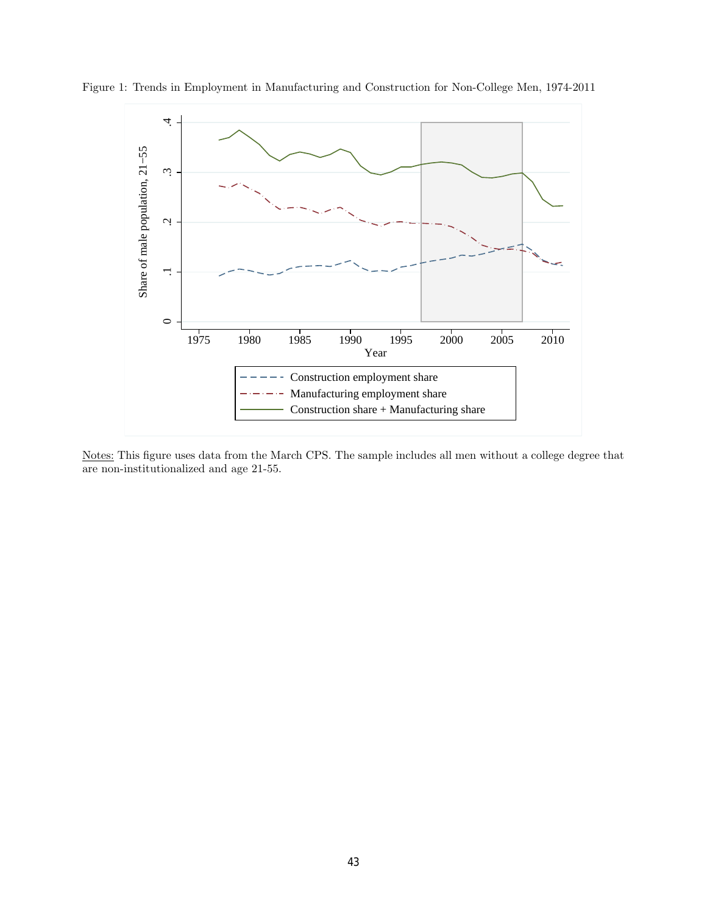

Figure 1: Trends in Employment in Manufacturing and Construction for Non-College Men, 1974-2011

Notes: This figure uses data from the March CPS. The sample includes all men without a college degree that are non-institutionalized and age 21-55.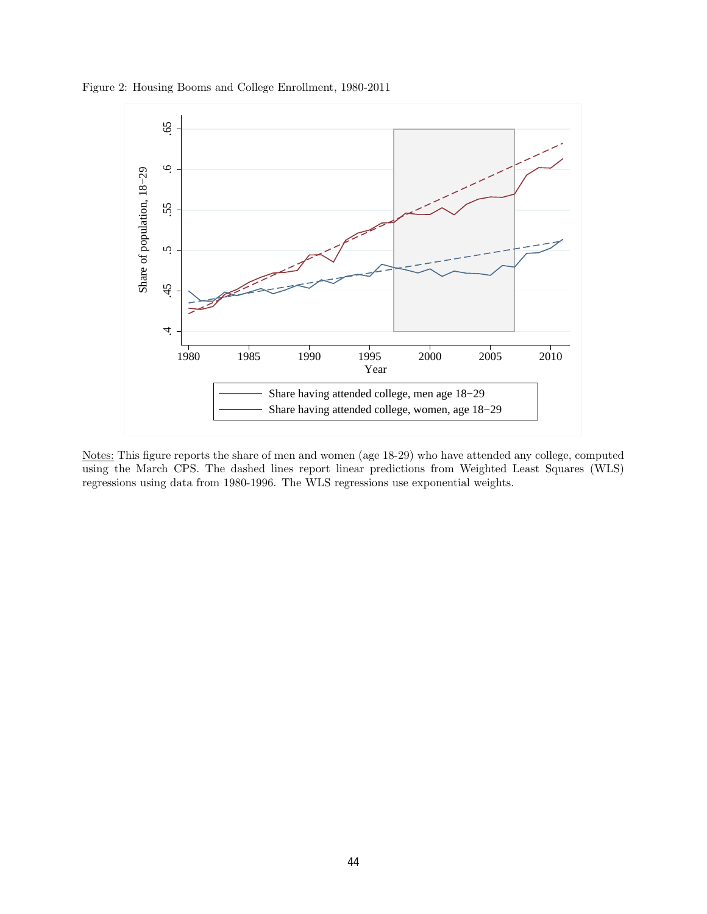Figure 2: Housing Booms and College Enrollment, 1980-2011



Notes: This figure reports the share of men and women (age 18-29) who have attended any college, computed using the March CPS. The dashed lines report linear predictions from Weighted Least Squares (WLS) regressions using data from 1980-1996. The WLS regressions use exponential weights.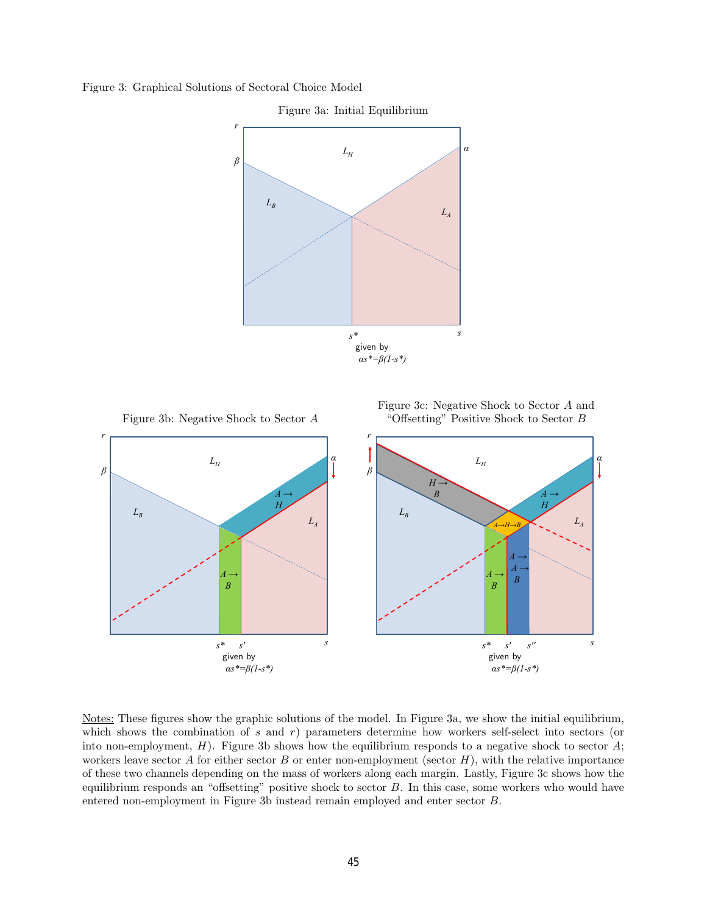Figure 3: Graphical Solutions of Sectoral Choice Model



Figure 3a: Initial Equilibrium

Figure 3c: Negative Shock to Sector A and Figure 3b: Negative Shock to Sector A "Offsetting" Positive Shock to Sector B



Notes: These figures show the graphic solutions of the model. In Figure 3a, we show the initial equilibrium, which shows the combination of s and r) parameters determine how workers self-select into sectors (or into non-employment,  $H$ ). Figure 3b shows how the equilibrium responds to a negative shock to sector  $A$ ; workers leave sector  $A$  for either sector  $B$  or enter non-employment (sector  $H$ ), with the relative importance of these two channels depending on the mass of workers along each margin. Lastly, Figure 3c shows how the equilibrium responds an "offsetting" positive shock to sector B. In this case, some workers who would have entered non-employment in Figure 3b instead remain employed and enter sector B.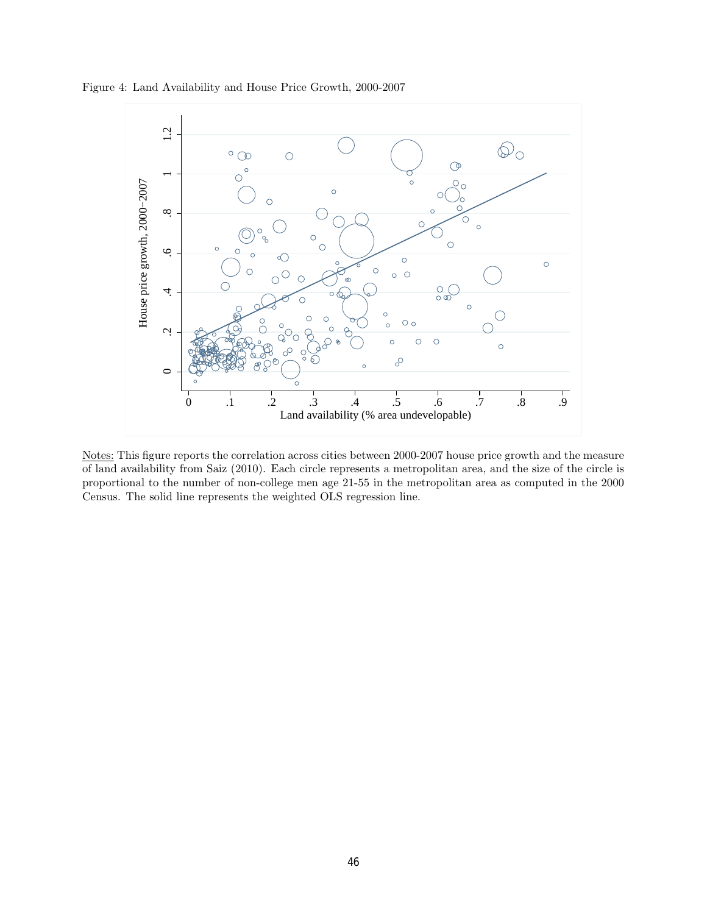



Notes: This figure reports the correlation across cities between 2000-2007 house price growth and the measure of land availability from Saiz (2010). Each circle represents a metropolitan area, and the size of the circle is proportional to the number of non-college men age 21-55 in the metropolitan area as computed in the 2000 Census. The solid line represents the weighted OLS regression line.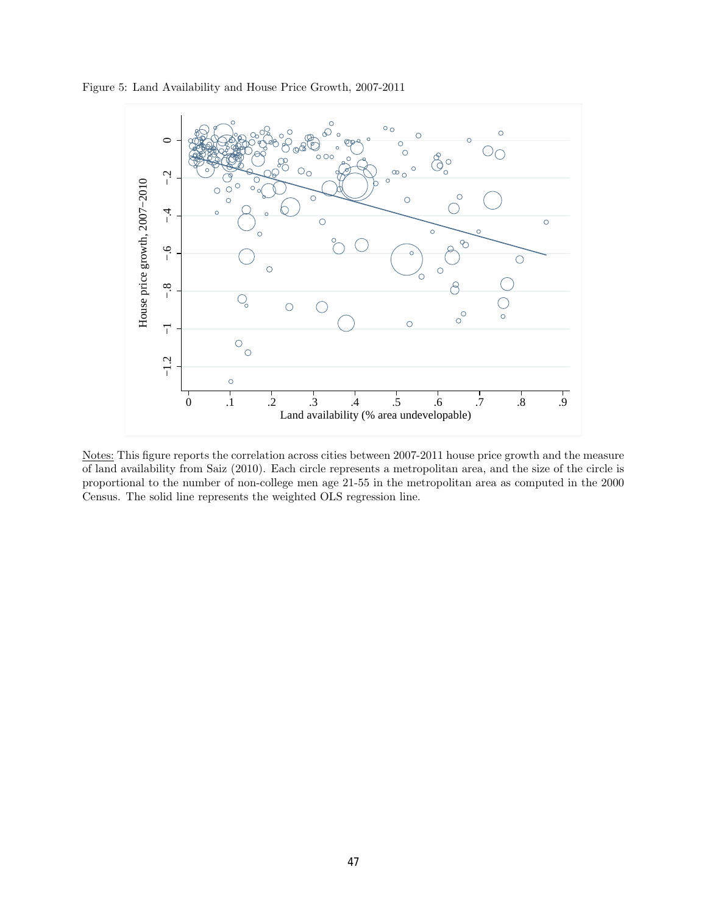

Figure 5: Land Availability and House Price Growth, 2007-2011

Notes: This figure reports the correlation across cities between 2007-2011 house price growth and the measure of land availability from Saiz (2010). Each circle represents a metropolitan area, and the size of the circle is proportional to the number of non-college men age 21-55 in the metropolitan area as computed in the 2000 Census. The solid line represents the weighted OLS regression line.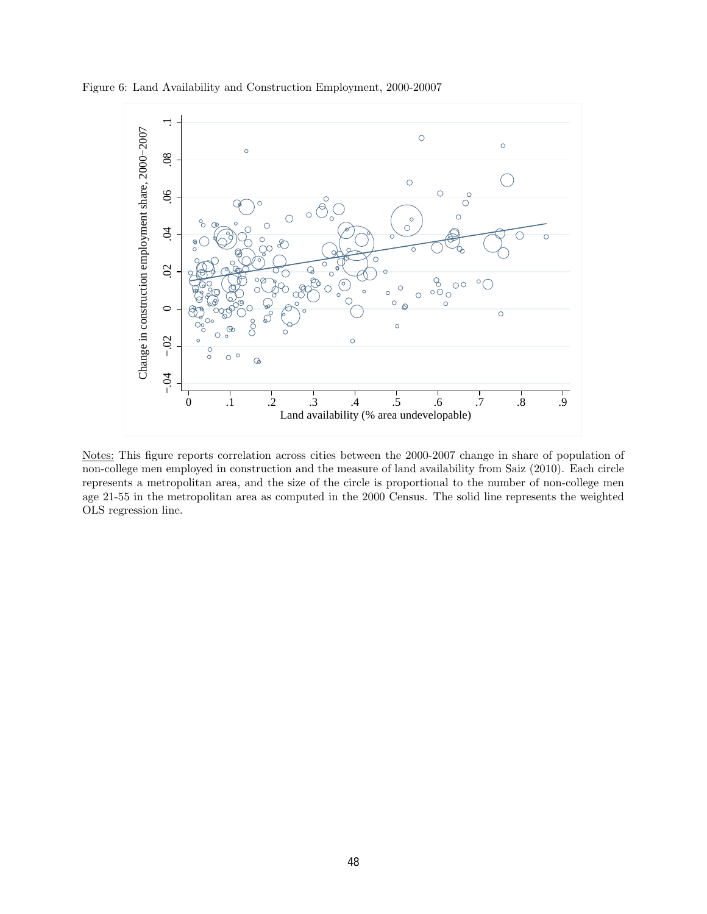



Notes: This figure reports correlation across cities between the 2000-2007 change in share of population of non-college men employed in construction and the measure of land availability from Saiz (2010). Each circle represents a metropolitan area, and the size of the circle is proportional to the number of non-college men age 21-55 in the metropolitan area as computed in the 2000 Census. The solid line represents the weighted OLS regression line.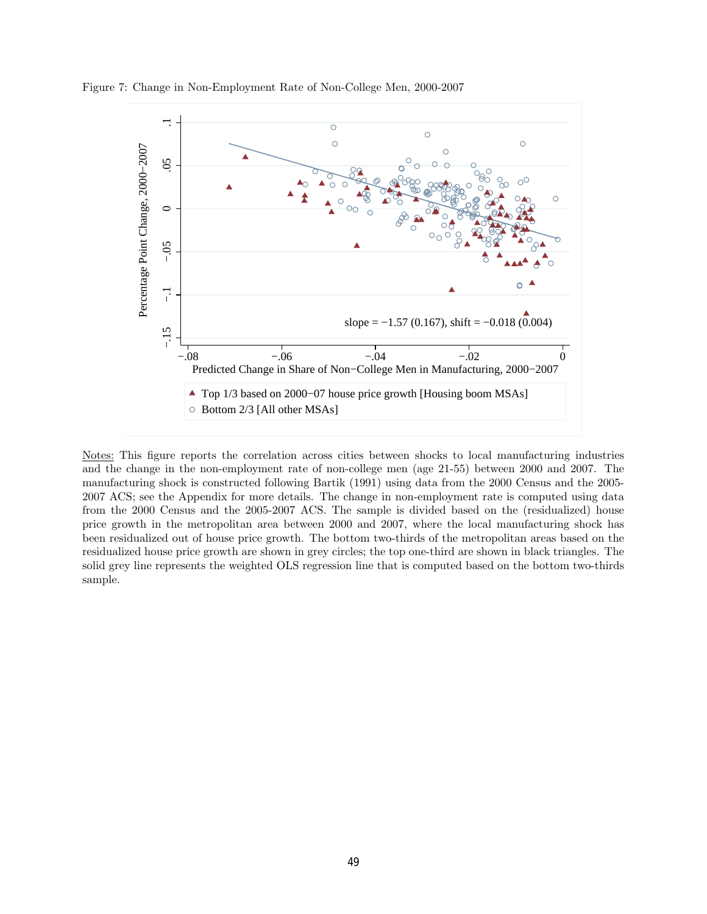



Notes: This figure reports the correlation across cities between shocks to local manufacturing industries and the change in the non-employment rate of non-college men (age 21-55) between 2000 and 2007. The manufacturing shock is constructed following Bartik (1991) using data from the 2000 Census and the 2005- 2007 ACS; see the Appendix for more details. The change in non-employment rate is computed using data from the 2000 Census and the 2005-2007 ACS. The sample is divided based on the (residualized) house price growth in the metropolitan area between 2000 and 2007, where the local manufacturing shock has been residualized out of house price growth. The bottom two-thirds of the metropolitan areas based on the residualized house price growth are shown in grey circles; the top one-third are shown in black triangles. The solid grey line represents the weighted OLS regression line that is computed based on the bottom two-thirds sample.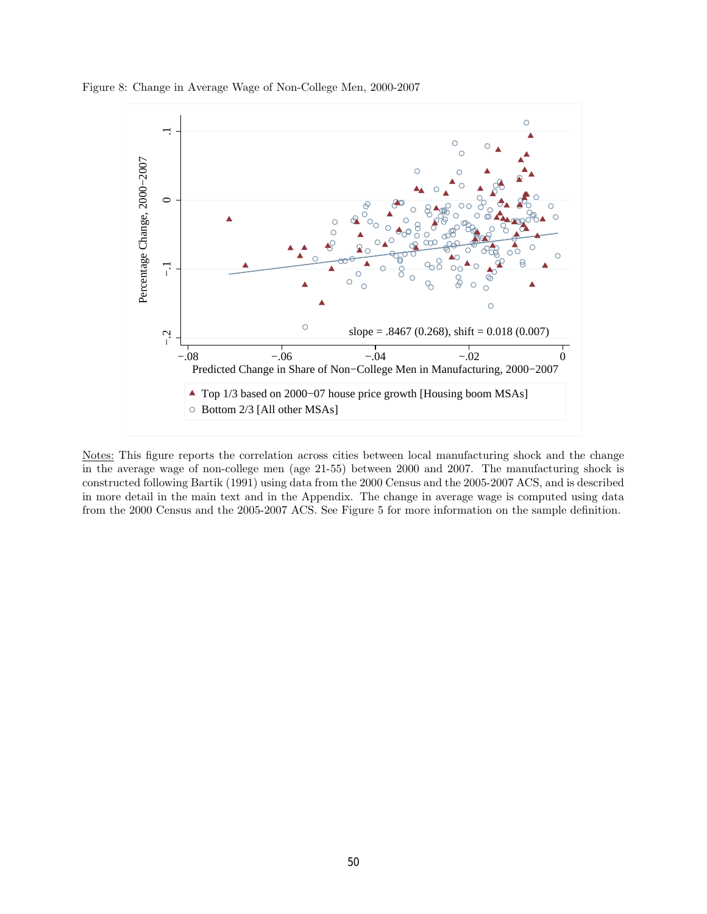Figure 8: Change in Average Wage of Non-College Men, 2000-2007



Notes: This figure reports the correlation across cities between local manufacturing shock and the change in the average wage of non-college men (age 21-55) between 2000 and 2007. The manufacturing shock is constructed following Bartik (1991) using data from the 2000 Census and the 2005-2007 ACS, and is described in more detail in the main text and in the Appendix. The change in average wage is computed using data from the 2000 Census and the 2005-2007 ACS. See Figure 5 for more information on the sample definition.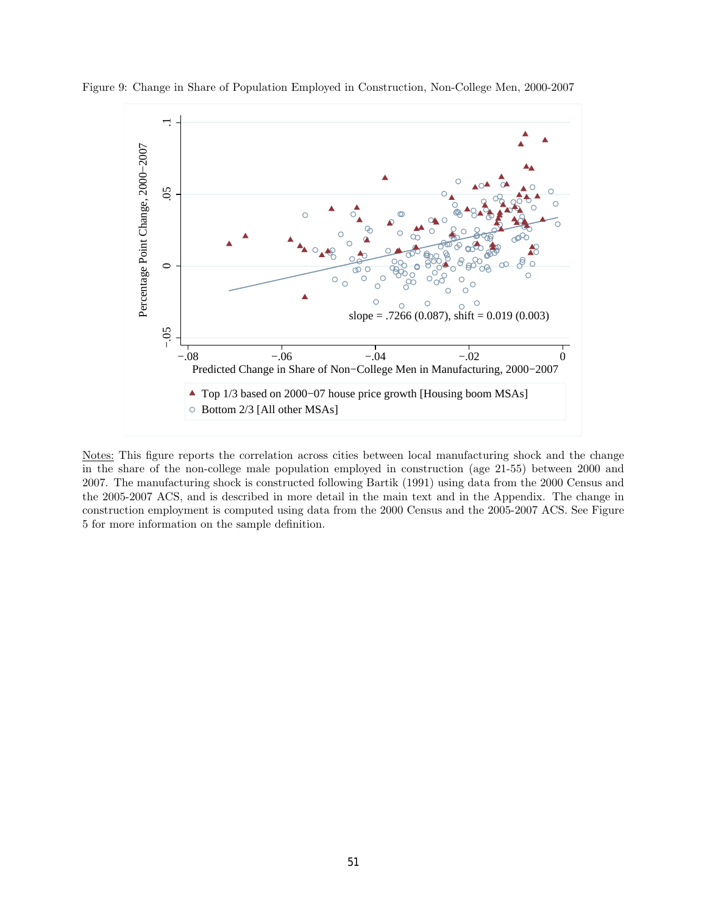

Figure 9: Change in Share of Population Employed in Construction, Non-College Men, 2000-2007

Notes: This figure reports the correlation across cities between local manufacturing shock and the change in the share of the non-college male population employed in construction (age 21-55) between 2000 and 2007. The manufacturing shock is constructed following Bartik (1991) using data from the 2000 Census and the 2005-2007 ACS, and is described in more detail in the main text and in the Appendix. The change in construction employment is computed using data from the 2000 Census and the 2005-2007 ACS. See Figure 5 for more information on the sample definition.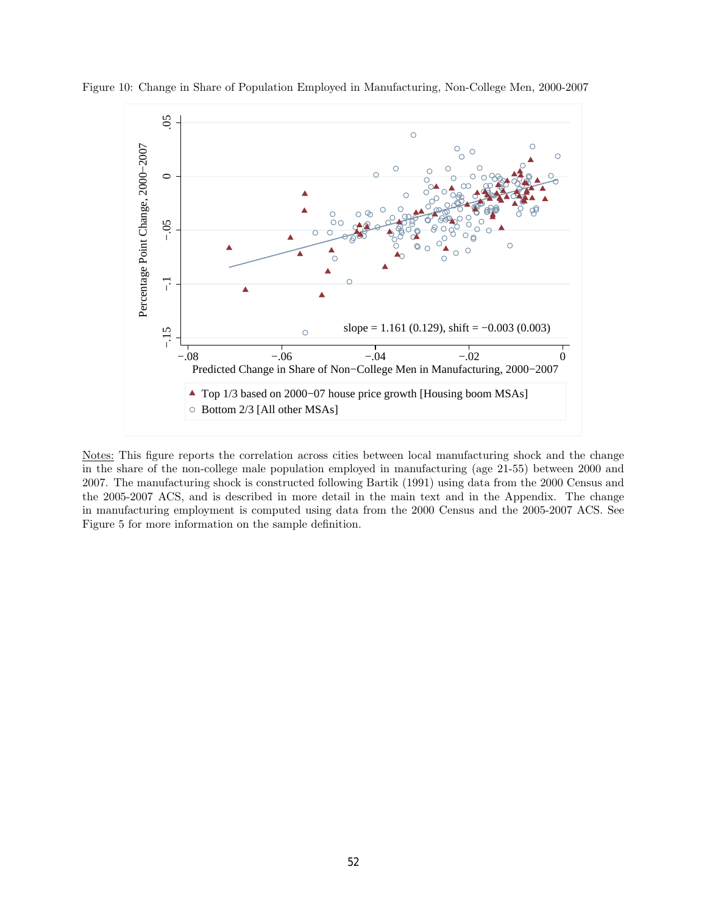

Figure 10: Change in Share of Population Employed in Manufacturing, Non-College Men, 2000-2007

Notes: This figure reports the correlation across cities between local manufacturing shock and the change in the share of the non-college male population employed in manufacturing (age 21-55) between 2000 and 2007. The manufacturing shock is constructed following Bartik (1991) using data from the 2000 Census and the 2005-2007 ACS, and is described in more detail in the main text and in the Appendix. The change in manufacturing employment is computed using data from the 2000 Census and the 2005-2007 ACS. See Figure 5 for more information on the sample definition.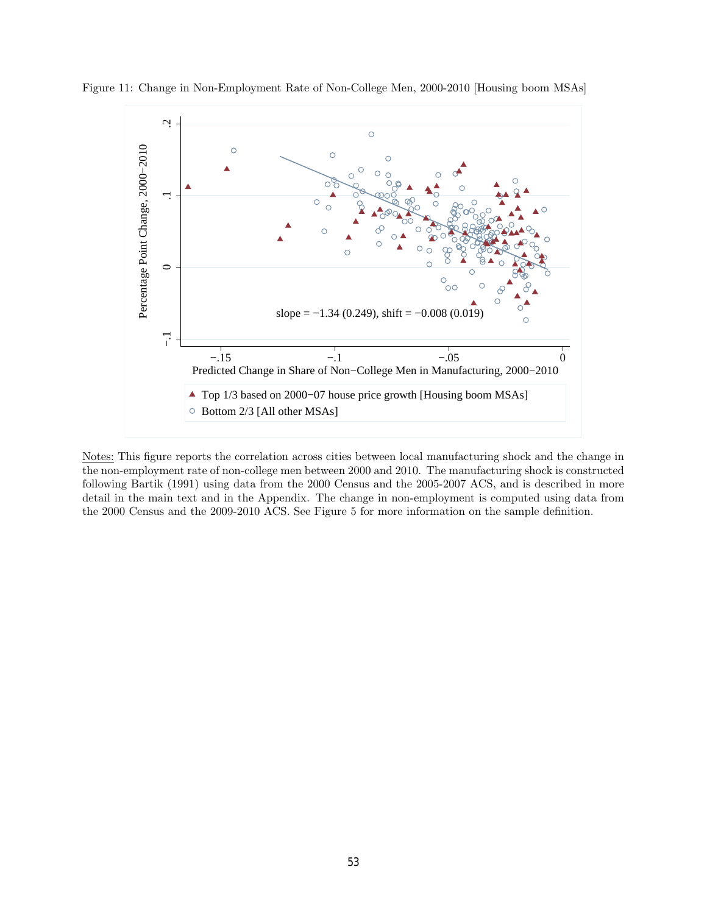

Figure 11: Change in Non-Employment Rate of Non-College Men, 2000-2010 [Housing boom MSAs]

Notes: This figure reports the correlation across cities between local manufacturing shock and the change in the non-employment rate of non-college men between 2000 and 2010. The manufacturing shock is constructed following Bartik (1991) using data from the 2000 Census and the 2005-2007 ACS, and is described in more detail in the main text and in the Appendix. The change in non-employment is computed using data from the 2000 Census and the 2009-2010 ACS. See Figure 5 for more information on the sample definition.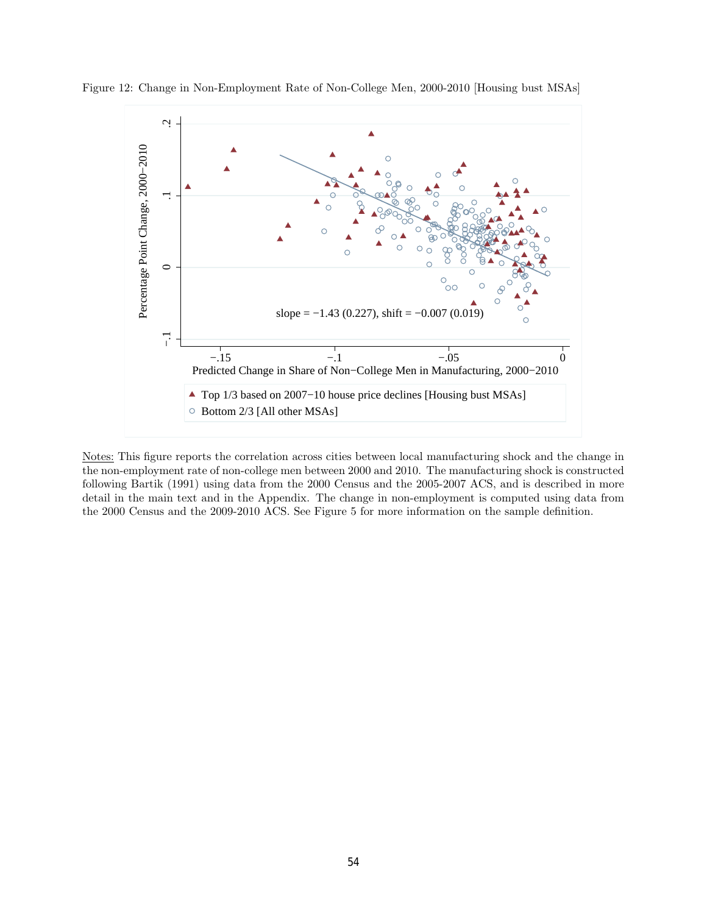

Figure 12: Change in Non-Employment Rate of Non-College Men, 2000-2010 [Housing bust MSAs]

Notes: This figure reports the correlation across cities between local manufacturing shock and the change in the non-employment rate of non-college men between 2000 and 2010. The manufacturing shock is constructed following Bartik (1991) using data from the 2000 Census and the 2005-2007 ACS, and is described in more detail in the main text and in the Appendix. The change in non-employment is computed using data from the 2000 Census and the 2009-2010 ACS. See Figure 5 for more information on the sample definition.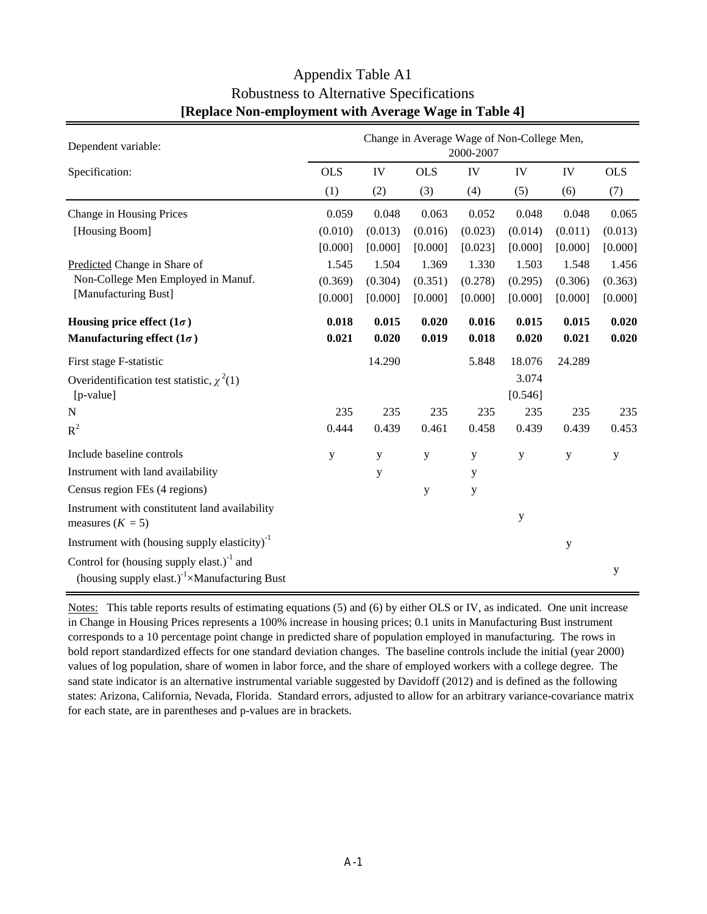| Dependent variable:                                                                                                  | Change in Average Wage of Non-College Men,<br>2000-2007 |         |            |         |                  |             |             |  |
|----------------------------------------------------------------------------------------------------------------------|---------------------------------------------------------|---------|------------|---------|------------------|-------------|-------------|--|
| Specification:                                                                                                       | <b>OLS</b>                                              | IV      | <b>OLS</b> | IV      | IV               | IV          | <b>OLS</b>  |  |
|                                                                                                                      | (1)                                                     | (2)     | (3)        | (4)     | (5)              | (6)         | (7)         |  |
| Change in Housing Prices                                                                                             | 0.059                                                   | 0.048   | 0.063      | 0.052   | 0.048            | 0.048       | 0.065       |  |
| [Housing Boom]                                                                                                       | (0.010)                                                 | (0.013) | (0.016)    | (0.023) | (0.014)          | (0.011)     | (0.013)     |  |
|                                                                                                                      | [0.000]                                                 | [0.000] | [0.000]    | [0.023] | [0.000]          | [0.000]     | [0.000]     |  |
| Predicted Change in Share of                                                                                         | 1.545                                                   | 1.504   | 1.369      | 1.330   | 1.503            | 1.548       | 1.456       |  |
| Non-College Men Employed in Manuf.                                                                                   | (0.369)                                                 | (0.304) | (0.351)    | (0.278) | (0.295)          | (0.306)     | (0.363)     |  |
| [Manufacturing Bust]                                                                                                 | [0.000]                                                 | [0.000] | [0.000]    | [0.000] | [0.000]          | [0.000]     | [0.000]     |  |
| Housing price effect $(1\sigma)$                                                                                     | 0.018                                                   | 0.015   | 0.020      | 0.016   | 0.015            | 0.015       | 0.020       |  |
| Manufacturing effect $(1\sigma)$                                                                                     | 0.021                                                   | 0.020   | 0.019      | 0.018   | 0.020            | 0.021       | 0.020       |  |
| First stage F-statistic                                                                                              |                                                         | 14.290  |            | 5.848   | 18.076           | 24.289      |             |  |
| Overidentification test statistic, $\chi^2(1)$<br>[p-value]                                                          |                                                         |         |            |         | 3.074<br>[0.546] |             |             |  |
| N                                                                                                                    | 235                                                     | 235     | 235        | 235     | 235              | 235         | 235         |  |
| $R^2$                                                                                                                | 0.444                                                   | 0.439   | 0.461      | 0.458   | 0.439            | 0.439       | 0.453       |  |
| Include baseline controls                                                                                            | y                                                       | y       | y          | y       | y                | y           | $\mathbf y$ |  |
| Instrument with land availability                                                                                    |                                                         | y       |            | y       |                  |             |             |  |
| Census region FEs (4 regions)                                                                                        |                                                         |         | y          | y       |                  |             |             |  |
| Instrument with constitutent land availability<br>measures $(K = 5)$                                                 |                                                         |         |            |         | у                |             |             |  |
| Instrument with (housing supply elasticity) <sup>-1</sup>                                                            |                                                         |         |            |         |                  | $\mathbf y$ |             |  |
| Control for (housing supply elast.) $^{-1}$ and<br>(housing supply elast.) <sup>-1</sup> $\times$ Manufacturing Bust |                                                         |         |            |         |                  |             | y           |  |

# Appendix Table A1 Robustness to Alternative Specifications **[Replace Non-employment with Average Wage in Table 4]**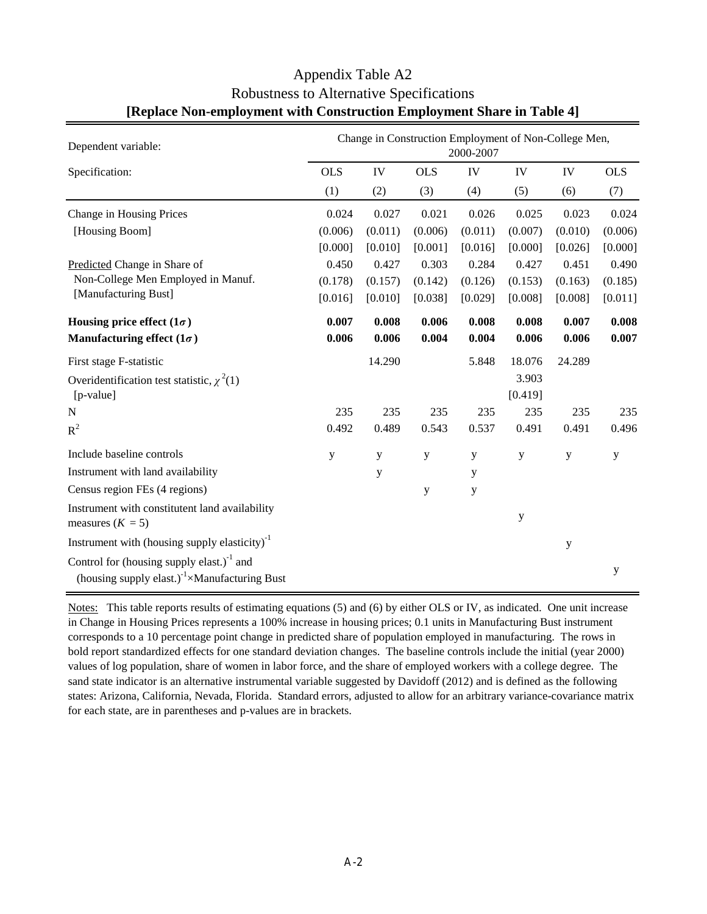| Dependent variable:                                                                                                  | Change in Construction Employment of Non-College Men,<br>2000-2007 |         |            |         |         |         |             |  |  |
|----------------------------------------------------------------------------------------------------------------------|--------------------------------------------------------------------|---------|------------|---------|---------|---------|-------------|--|--|
| Specification:                                                                                                       | <b>OLS</b>                                                         | IV      | <b>OLS</b> | IV      | IV      | IV      | <b>OLS</b>  |  |  |
|                                                                                                                      | (1)                                                                | (2)     | (3)        | (4)     | (5)     | (6)     | (7)         |  |  |
| Change in Housing Prices                                                                                             | 0.024                                                              | 0.027   | 0.021      | 0.026   | 0.025   | 0.023   | 0.024       |  |  |
| [Housing Boom]                                                                                                       | (0.006)                                                            | (0.011) | (0.006)    | (0.011) | (0.007) | (0.010) | (0.006)     |  |  |
|                                                                                                                      | [0.000]                                                            | [0.010] | [0.001]    | [0.016] | [0.000] | [0.026] | [0.000]     |  |  |
| Predicted Change in Share of                                                                                         | 0.450                                                              | 0.427   | 0.303      | 0.284   | 0.427   | 0.451   | 0.490       |  |  |
| Non-College Men Employed in Manuf.                                                                                   | (0.178)                                                            | (0.157) | (0.142)    | (0.126) | (0.153) | (0.163) | (0.185)     |  |  |
| [Manufacturing Bust]                                                                                                 | [0.016]                                                            | [0.010] | [0.038]    | [0.029] | [0.008] | [0.008] | [0.011]     |  |  |
| Housing price effect $(1\sigma)$                                                                                     | 0.007                                                              | 0.008   | 0.006      | 0.008   | 0.008   | 0.007   | 0.008       |  |  |
| Manufacturing effect $(1\sigma)$                                                                                     | 0.006                                                              | 0.006   | 0.004      | 0.004   | 0.006   | 0.006   | 0.007       |  |  |
| First stage F-statistic                                                                                              |                                                                    | 14.290  |            | 5.848   | 18.076  | 24.289  |             |  |  |
| Overidentification test statistic, $\chi^2(1)$                                                                       |                                                                    |         |            |         | 3.903   |         |             |  |  |
| [p-value]                                                                                                            |                                                                    |         |            |         | [0.419] |         |             |  |  |
| $\mathbf N$                                                                                                          | 235                                                                | 235     | 235        | 235     | 235     | 235     | 235         |  |  |
| $R^2$                                                                                                                | 0.492                                                              | 0.489   | 0.543      | 0.537   | 0.491   | 0.491   | 0.496       |  |  |
| Include baseline controls                                                                                            | y                                                                  | y       | y          | y       | y       | y       | $\mathbf y$ |  |  |
| Instrument with land availability                                                                                    |                                                                    | y       |            | y       |         |         |             |  |  |
| Census region FEs (4 regions)                                                                                        |                                                                    |         | y          | y       |         |         |             |  |  |
| Instrument with constitutent land availability<br>measures $(K = 5)$                                                 |                                                                    |         |            |         | y       |         |             |  |  |
| Instrument with (housing supply elasticity) $^{-1}$                                                                  |                                                                    |         |            |         |         | y       |             |  |  |
| Control for (housing supply elast.) $^{-1}$ and<br>(housing supply elast.) <sup>-1</sup> $\times$ Manufacturing Bust |                                                                    |         |            |         |         |         | y           |  |  |

## Appendix Table A2 Robustness to Alternative Specifications **[Replace Non-employment with Construction Employment Share in Table 4]**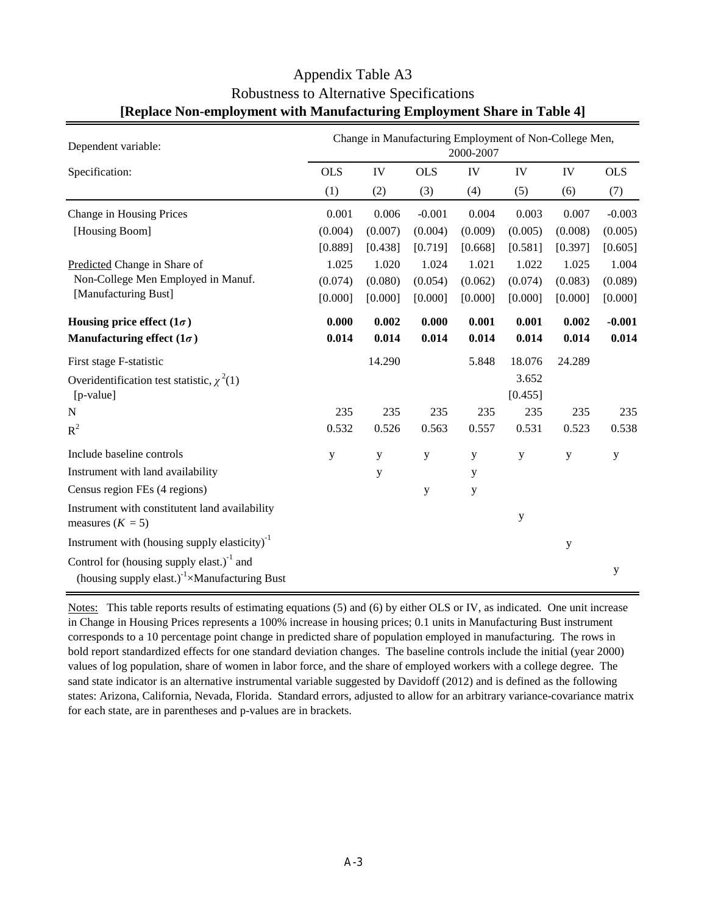| Dependent variable:                                                                                              | Change in Manufacturing Employment of Non-College Men,<br>2000-2007 |         |            |         |         |         |             |  |  |
|------------------------------------------------------------------------------------------------------------------|---------------------------------------------------------------------|---------|------------|---------|---------|---------|-------------|--|--|
| Specification:                                                                                                   | <b>OLS</b>                                                          | IV      | <b>OLS</b> | IV      | IV      | IV      | <b>OLS</b>  |  |  |
|                                                                                                                  | (1)                                                                 | (2)     | (3)        | (4)     | (5)     | (6)     | (7)         |  |  |
| Change in Housing Prices                                                                                         | 0.001                                                               | 0.006   | $-0.001$   | 0.004   | 0.003   | 0.007   | $-0.003$    |  |  |
| [Housing Boom]                                                                                                   | (0.004)                                                             | (0.007) | (0.004)    | (0.009) | (0.005) | (0.008) | (0.005)     |  |  |
|                                                                                                                  | [0.889]                                                             | [0.438] | [0.719]    | [0.668] | [0.581] | [0.397] | [0.605]     |  |  |
| Predicted Change in Share of                                                                                     | 1.025                                                               | 1.020   | 1.024      | 1.021   | 1.022   | 1.025   | 1.004       |  |  |
| Non-College Men Employed in Manuf.                                                                               | (0.074)                                                             | (0.080) | (0.054)    | (0.062) | (0.074) | (0.083) | (0.089)     |  |  |
| [Manufacturing Bust]                                                                                             | [0.000]                                                             | [0.000] | [0.000]    | [0.000] | [0.000] | [0.000] | [0.000]     |  |  |
| Housing price effect $(1\sigma)$                                                                                 | 0.000                                                               | 0.002   | 0.000      | 0.001   | 0.001   | 0.002   | $-0.001$    |  |  |
| Manufacturing effect $(1\sigma)$                                                                                 | 0.014                                                               | 0.014   | 0.014      | 0.014   | 0.014   | 0.014   | 0.014       |  |  |
| First stage F-statistic                                                                                          |                                                                     | 14.290  |            | 5.848   | 18.076  | 24.289  |             |  |  |
| Overidentification test statistic, $\chi^2(1)$                                                                   |                                                                     |         |            |         | 3.652   |         |             |  |  |
| [p-value]                                                                                                        |                                                                     |         |            |         | [0.455] |         |             |  |  |
| N                                                                                                                | 235                                                                 | 235     | 235        | 235     | 235     | 235     | 235         |  |  |
| $R^2$                                                                                                            | 0.532                                                               | 0.526   | 0.563      | 0.557   | 0.531   | 0.523   | 0.538       |  |  |
| Include baseline controls                                                                                        | y                                                                   | y       | y          | y       | y       | y       | $\mathbf y$ |  |  |
| Instrument with land availability                                                                                |                                                                     | y       |            | y       |         |         |             |  |  |
| Census region FEs (4 regions)                                                                                    |                                                                     |         | y          | y       |         |         |             |  |  |
| Instrument with constitutent land availability<br>measures $(K = 5)$                                             |                                                                     |         |            |         | y       |         |             |  |  |
| Instrument with (housing supply elasticity) $^{-1}$                                                              |                                                                     |         |            |         |         | y       |             |  |  |
| Control for (housing supply elast.) $1$ and<br>(housing supply elast.) <sup>-1</sup> $\times$ Manufacturing Bust |                                                                     |         |            |         |         |         | y           |  |  |

#### Appendix Table A3 Robustness to Alternative Specifications **[Replace Non-employment with Manufacturing Employment Share in Table 4]**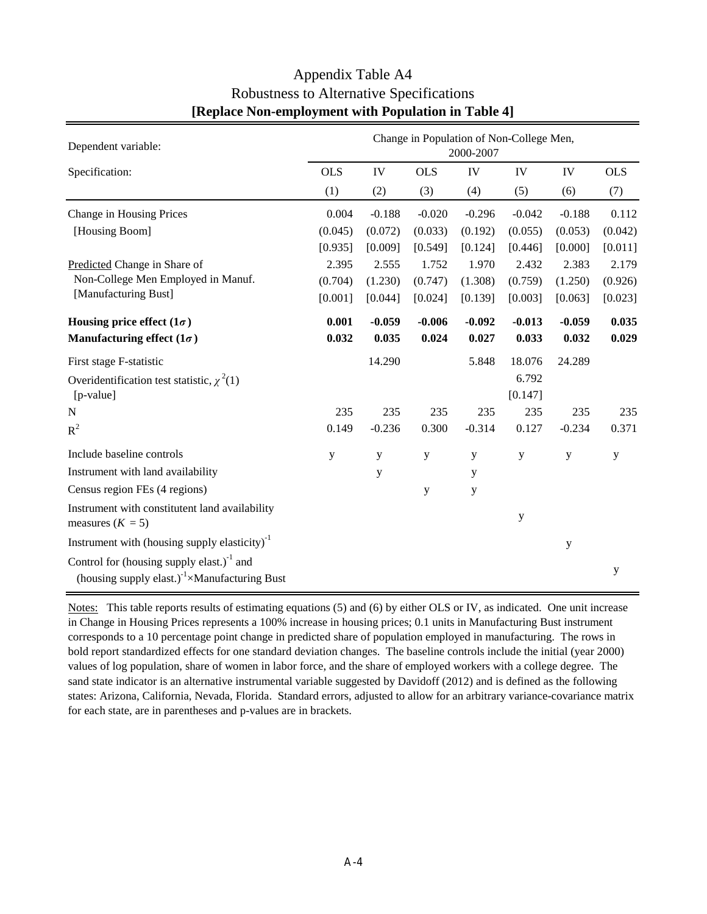| Dependent variable:                                                                                                  | Change in Population of Non-College Men,<br>2000-2007 |          |            |             |           |             |             |  |  |  |
|----------------------------------------------------------------------------------------------------------------------|-------------------------------------------------------|----------|------------|-------------|-----------|-------------|-------------|--|--|--|
| Specification:                                                                                                       | <b>OLS</b>                                            | IV       | <b>OLS</b> | IV          | IV        | IV          | <b>OLS</b>  |  |  |  |
|                                                                                                                      | (1)                                                   | (2)      | (3)        | (4)         | (5)       | (6)         | (7)         |  |  |  |
| Change in Housing Prices                                                                                             | 0.004                                                 | $-0.188$ | $-0.020$   | $-0.296$    | $-0.042$  | $-0.188$    | 0.112       |  |  |  |
| [Housing Boom]                                                                                                       | (0.045)                                               | (0.072)  | (0.033)    | (0.192)     | (0.055)   | (0.053)     | (0.042)     |  |  |  |
|                                                                                                                      | [0.935]                                               | [0.009]  | [0.549]    | [0.124]     | [0.446]   | [0.000]     | [0.011]     |  |  |  |
| Predicted Change in Share of                                                                                         | 2.395                                                 | 2.555    | 1.752      | 1.970       | 2.432     | 2.383       | 2.179       |  |  |  |
| Non-College Men Employed in Manuf.                                                                                   | (0.704)                                               | (1.230)  | (0.747)    | (1.308)     | (0.759)   | (1.250)     | (0.926)     |  |  |  |
| [Manufacturing Bust]                                                                                                 | [0.001]                                               | [0.044]  | [0.024]    | [0.139]     | [0.003]   | [0.063]     | [0.023]     |  |  |  |
| Housing price effect $(1\sigma)$                                                                                     | 0.001                                                 | $-0.059$ | $-0.006$   | $-0.092$    | $-0.013$  | $-0.059$    | 0.035       |  |  |  |
| Manufacturing effect $(1\sigma)$                                                                                     | 0.032                                                 | 0.035    | 0.024      | 0.027       | 0.033     | 0.032       | 0.029       |  |  |  |
| First stage F-statistic                                                                                              |                                                       | 14.290   |            | 5.848       | 18.076    | 24.289      |             |  |  |  |
| Overidentification test statistic, $\chi^2(1)$                                                                       |                                                       |          |            |             | 6.792     |             |             |  |  |  |
| [p-value]                                                                                                            |                                                       |          |            |             | [0.147]   |             |             |  |  |  |
| $\mathbf N$                                                                                                          | 235                                                   | 235      | 235        | 235         | 235       | 235         | 235         |  |  |  |
| $R^2$                                                                                                                | 0.149                                                 | $-0.236$ | 0.300      | $-0.314$    | 0.127     | $-0.234$    | 0.371       |  |  |  |
| Include baseline controls                                                                                            | y                                                     | y        | y          | y           | y         | y           | $\mathbf y$ |  |  |  |
| Instrument with land availability                                                                                    |                                                       | y        |            | y           |           |             |             |  |  |  |
| Census region FEs (4 regions)                                                                                        |                                                       |          | y          | $\mathbf y$ |           |             |             |  |  |  |
| Instrument with constitutent land availability<br>measures $(K = 5)$                                                 |                                                       |          |            |             | ${\bf y}$ |             |             |  |  |  |
| Instrument with (housing supply elasticity) <sup>-1</sup>                                                            |                                                       |          |            |             |           | $\mathbf y$ |             |  |  |  |
| Control for (housing supply elast.) $^{-1}$ and<br>(housing supply elast.) <sup>-1</sup> $\times$ Manufacturing Bust |                                                       |          |            |             |           |             | y           |  |  |  |

# Appendix Table A4 Robustness to Alternative Specifications **[Replace Non-employment with Population in Table 4]**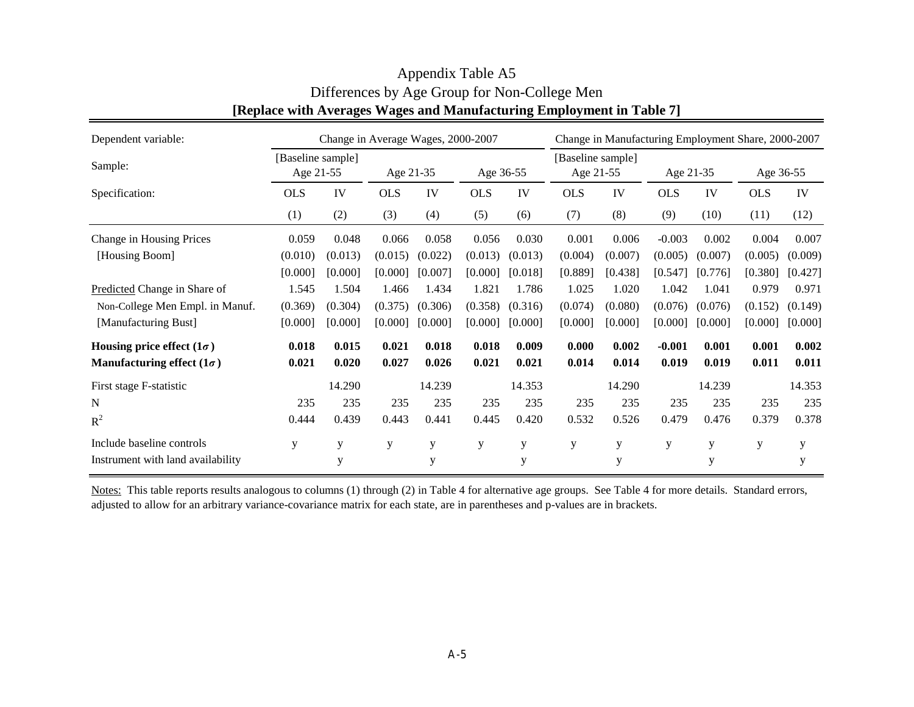| Dependent variable:               | Change in Average Wages, 2000-2007 |         |            |         |            |         |                                | Change in Manufacturing Employment Share, 2000-2007 |            |         |            |         |
|-----------------------------------|------------------------------------|---------|------------|---------|------------|---------|--------------------------------|-----------------------------------------------------|------------|---------|------------|---------|
| Sample:                           | [Baseline sample]<br>Age 21-55     |         | Age 21-35  |         | Age 36-55  |         | [Baseline sample]<br>Age 21-55 |                                                     | Age 21-35  |         | Age 36-55  |         |
| Specification:                    | <b>OLS</b>                         | IV      | <b>OLS</b> | IV      | <b>OLS</b> | IV      | <b>OLS</b>                     | IV                                                  | <b>OLS</b> | IV      | <b>OLS</b> | IV      |
|                                   | (1)                                | (2)     | (3)        | (4)     | (5)        | (6)     | (7)                            | (8)                                                 | (9)        | (10)    | (11)       | (12)    |
| Change in Housing Prices          | 0.059                              | 0.048   | 0.066      | 0.058   | 0.056      | 0.030   | 0.001                          | 0.006                                               | $-0.003$   | 0.002   | 0.004      | 0.007   |
| [Housing Boom]                    | (0.010)                            | (0.013) | (0.015)    | (0.022) | (0.013)    | (0.013) | (0.004)                        | (0.007)                                             | (0.005)    | (0.007) | (0.005)    | (0.009) |
|                                   | [0.000]                            | [0.000] | [0.000]    | [0.007] | [0.000]    | [0.018] | [0.889]                        | [0.438]                                             | [0.547]    | [0.776] | [0.380]    | [0.427] |
| Predicted Change in Share of      | 1.545                              | 1.504   | 1.466      | 1.434   | 1.821      | 1.786   | 1.025                          | 1.020                                               | 1.042      | 1.041   | 0.979      | 0.971   |
| Non-College Men Empl. in Manuf.   | (0.369)                            | (0.304) | (0.375)    | (0.306) | (0.358)    | (0.316) | (0.074)                        | (0.080)                                             | (0.076)    | (0.076) | (0.152)    | (0.149) |
| [Manufacturing Bust]              | [0.000]                            | [0.000] | [0.000]    | [0.000] | [0.000]    | [0.000] | [0.000]                        | [0.000]                                             | [0.000]    | [0.000] | [0.000]    | [0.000] |
| Housing price effect $(1\sigma)$  | 0.018                              | 0.015   | 0.021      | 0.018   | 0.018      | 0.009   | 0.000                          | 0.002                                               | $-0.001$   | 0.001   | 0.001      | 0.002   |
| Manufacturing effect $(1\sigma)$  | 0.021                              | 0.020   | 0.027      | 0.026   | 0.021      | 0.021   | 0.014                          | 0.014                                               | 0.019      | 0.019   | 0.011      | 0.011   |
| First stage F-statistic           |                                    | 14.290  |            | 14.239  |            | 14.353  |                                | 14.290                                              |            | 14.239  |            | 14.353  |
| N                                 | 235                                | 235     | 235        | 235     | 235        | 235     | 235                            | 235                                                 | 235        | 235     | 235        | 235     |
| $R^2$                             | 0.444                              | 0.439   | 0.443      | 0.441   | 0.445      | 0.420   | 0.532                          | 0.526                                               | 0.479      | 0.476   | 0.379      | 0.378   |
| Include baseline controls         | y                                  | y       | y          | У       | у          | y       | y                              | y                                                   | y          | y       | у          | y       |
| Instrument with land availability |                                    | y       |            | y       |            | У       |                                | y                                                   |            | y       |            | у       |

# Appendix Table A5 Differences by Age Group for Non-College Men **[Replace with Averages Wages and Manufacturing Employment in Table 7]**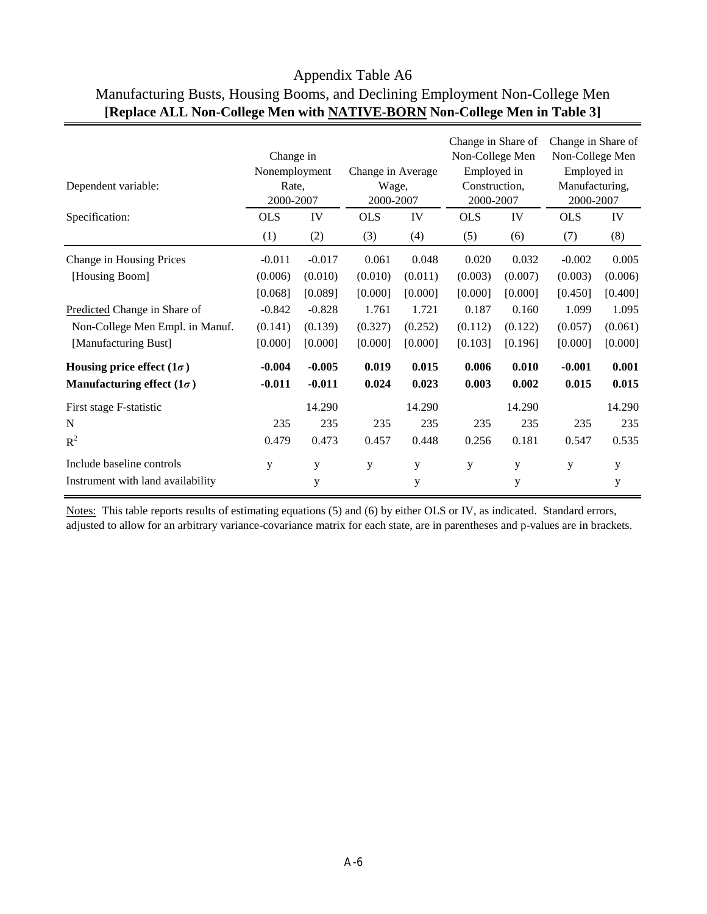| Dependent variable:               | Change in<br>Nonemployment<br>Rate,<br>2000-2007 |          | Change in Average<br>Wage,<br>2000-2007 | Change in Share of<br>Non-College Men<br>Employed in<br>Construction.<br>2000-2007 |            |         | Change in Share of<br>Non-College Men<br>Employed in<br>Manufacturing,<br>2000-2007 |         |  |
|-----------------------------------|--------------------------------------------------|----------|-----------------------------------------|------------------------------------------------------------------------------------|------------|---------|-------------------------------------------------------------------------------------|---------|--|
| Specification:                    | <b>OLS</b>                                       | IV       | <b>OLS</b>                              | IV                                                                                 | <b>OLS</b> | IV      | <b>OLS</b>                                                                          | IV      |  |
|                                   | (1)                                              | (2)      | (3)                                     | (4)                                                                                | (5)        | (6)     | (7)                                                                                 | (8)     |  |
| Change in Housing Prices          | $-0.011$                                         | $-0.017$ | 0.061                                   | 0.048                                                                              | 0.020      | 0.032   | $-0.002$                                                                            | 0.005   |  |
| [Housing Boom]                    | (0.006)                                          | (0.010)  | (0.010)                                 | (0.011)                                                                            | (0.003)    | (0.007) | (0.003)                                                                             | (0.006) |  |
|                                   | [0.068]                                          | [0.089]  | [0.000]                                 | [0.000]                                                                            | [0.000]    | [0.000] | [0.450]                                                                             | [0.400] |  |
| Predicted Change in Share of      | $-0.842$                                         | $-0.828$ | 1.761                                   | 1.721                                                                              | 0.187      | 0.160   | 1.099                                                                               | 1.095   |  |
| Non-College Men Empl. in Manuf.   | (0.141)                                          | (0.139)  | (0.327)                                 | (0.252)                                                                            | (0.112)    | (0.122) | (0.057)                                                                             | (0.061) |  |
| [Manufacturing Bust]              | [0.000]                                          | [0.000]  | [0.000]                                 | [0.000]                                                                            | [0.103]    | [0.196] | [0.000]                                                                             | [0.000] |  |
| Housing price effect $(1\sigma)$  | $-0.004$                                         | $-0.005$ | 0.019                                   | 0.015                                                                              | 0.006      | 0.010   | $-0.001$                                                                            | 0.001   |  |
| Manufacturing effect $(1\sigma)$  | $-0.011$                                         | $-0.011$ | 0.024                                   | 0.023                                                                              | 0.003      | 0.002   | 0.015                                                                               | 0.015   |  |
| First stage F-statistic           |                                                  | 14.290   |                                         | 14.290                                                                             |            | 14.290  |                                                                                     | 14.290  |  |
| N                                 | 235                                              | 235      | 235                                     | 235                                                                                | 235        | 235     | 235                                                                                 | 235     |  |
| $R^2$                             | 0.479                                            | 0.473    | 0.457                                   | 0.448                                                                              | 0.256      | 0.181   | 0.547                                                                               | 0.535   |  |
| Include baseline controls         | y                                                | y        | y                                       | y                                                                                  | y          | y       | y                                                                                   | y       |  |
| Instrument with land availability |                                                  | y        |                                         | y                                                                                  |            | y       |                                                                                     | у       |  |

# Appendix Table A6 Manufacturing Busts, Housing Booms, and Declining Employment Non-College Men **[Replace ALL Non-College Men with NATIVE-BORN Non-College Men in Table 3]**

Notes: This table reports results of estimating equations (5) and (6) by either OLS or IV, as indicated. Standard errors, adjusted to allow for an arbitrary variance-covariance matrix for each state, are in parentheses and p-values are in brackets.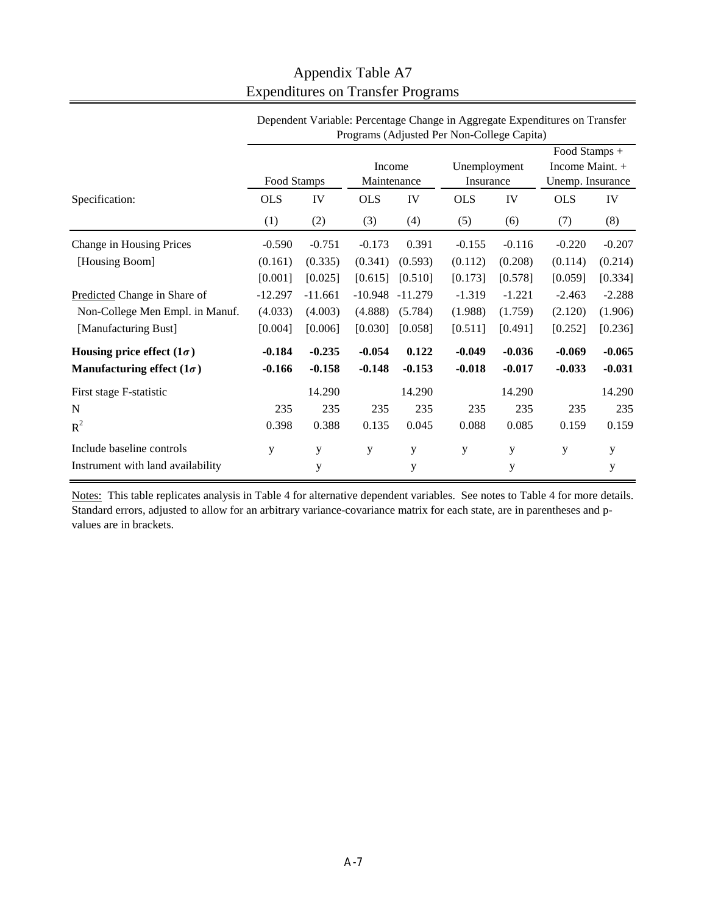|                                   | Programs (Adjusted Per Non-College Capita) |           |                       |           |                           |          |                                                      |          |
|-----------------------------------|--------------------------------------------|-----------|-----------------------|-----------|---------------------------|----------|------------------------------------------------------|----------|
|                                   | Food Stamps                                |           | Income<br>Maintenance |           | Unemployment<br>Insurance |          | Food Stamps +<br>Income Maint. +<br>Unemp. Insurance |          |
| Specification:                    | <b>OLS</b>                                 | IV        | <b>OLS</b>            | IV        | <b>OLS</b>                | IV       | <b>OLS</b>                                           | IV       |
|                                   | (1)                                        | (2)       | (3)                   | (4)       | (5)                       | (6)      | (7)                                                  | (8)      |
| Change in Housing Prices          | $-0.590$                                   | $-0.751$  | $-0.173$              | 0.391     | $-0.155$                  | $-0.116$ | $-0.220$                                             | $-0.207$ |
| [Housing Boom]                    | (0.161)                                    | (0.335)   | (0.341)               | (0.593)   | (0.112)                   | (0.208)  | (0.114)                                              | (0.214)  |
|                                   | [0.001]                                    | [0.025]   | [0.615]               | [0.510]   | [0.173]                   | [0.578]  | [0.059]                                              | [0.334]  |
| Predicted Change in Share of      | $-12.297$                                  | $-11.661$ | $-10.948$             | $-11.279$ | $-1.319$                  | $-1.221$ | $-2.463$                                             | $-2.288$ |
| Non-College Men Empl. in Manuf.   | (4.033)                                    | (4.003)   | (4.888)               | (5.784)   | (1.988)                   | (1.759)  | (2.120)                                              | (1.906)  |
| [Manufacturing Bust]              | [0.004]                                    | [0.006]   | [0.030]               | [0.058]   | [0.511]                   | [0.491]  | [0.252]                                              | [0.236]  |
| Housing price effect $(1\sigma)$  | $-0.184$                                   | $-0.235$  | $-0.054$              | 0.122     | $-0.049$                  | $-0.036$ | $-0.069$                                             | $-0.065$ |
| Manufacturing effect $(1\sigma)$  | $-0.166$                                   | $-0.158$  | $-0.148$              | $-0.153$  | $-0.018$                  | $-0.017$ | $-0.033$                                             | $-0.031$ |
| First stage F-statistic           |                                            | 14.290    |                       | 14.290    |                           | 14.290   |                                                      | 14.290   |
| N                                 | 235                                        | 235       | 235                   | 235       | 235                       | 235      | 235                                                  | 235      |
| $R^2$                             | 0.398                                      | 0.388     | 0.135                 | 0.045     | 0.088                     | 0.085    | 0.159                                                | 0.159    |
| Include baseline controls         | y                                          | y         | y                     | y         | y                         | y        | y                                                    | y        |
| Instrument with land availability |                                            | y         |                       | y         |                           | у        |                                                      | у        |

# Appendix Table A7 Expenditures on Transfer Programs

Dependent Variable: Percentage Change in Aggregate Expenditures on Transfer

Notes: This table replicates analysis in Table 4 for alternative dependent variables. See notes to Table 4 for more details. Standard errors, adjusted to allow for an arbitrary variance-covariance matrix for each state, are in parentheses and pvalues are in brackets.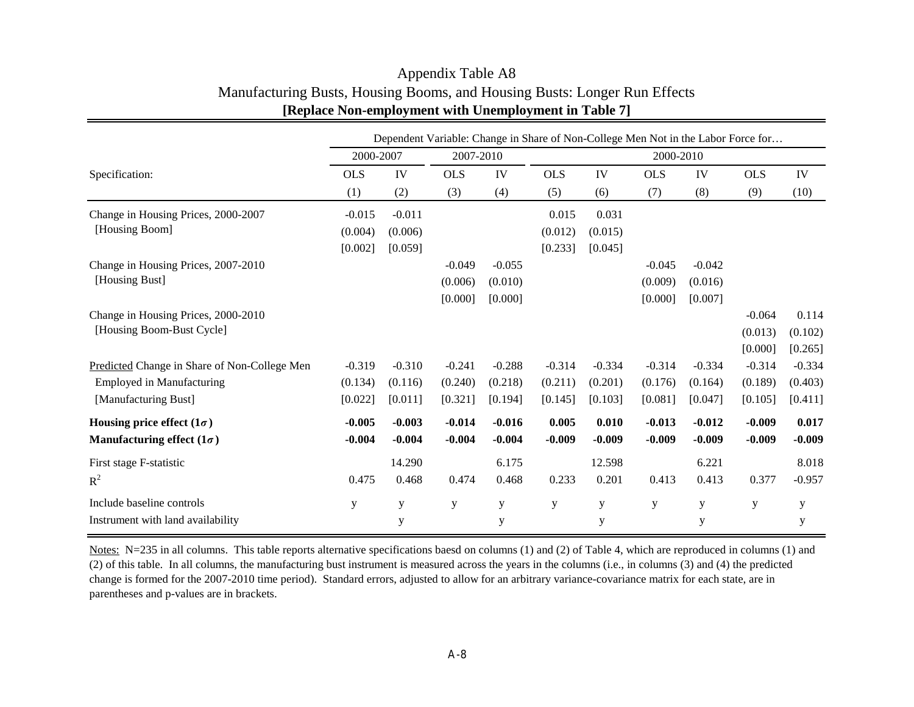|                                              |            |             |            |             |            |             |            |           | Dependent Variable: Change in Share of Non-College Men Not in the Labor Force for |             |
|----------------------------------------------|------------|-------------|------------|-------------|------------|-------------|------------|-----------|-----------------------------------------------------------------------------------|-------------|
|                                              | 2000-2007  |             | 2007-2010  |             |            |             | 2000-2010  |           |                                                                                   |             |
| Specification:                               | <b>OLS</b> | IV          | <b>OLS</b> | IV          | <b>OLS</b> | IV          | <b>OLS</b> | IV        | <b>OLS</b>                                                                        | IV          |
|                                              | (1)        | (2)         | (3)        | (4)         | (5)        | (6)         | (7)        | (8)       | (9)                                                                               | (10)        |
| Change in Housing Prices, 2000-2007          | $-0.015$   | $-0.011$    |            |             | 0.015      | 0.031       |            |           |                                                                                   |             |
| [Housing Boom]                               | (0.004)    | (0.006)     |            |             | (0.012)    | (0.015)     |            |           |                                                                                   |             |
|                                              | [0.002]    | [0.059]     |            |             | [0.233]    | [0.045]     |            |           |                                                                                   |             |
| Change in Housing Prices, 2007-2010          |            |             | $-0.049$   | $-0.055$    |            |             | $-0.045$   | $-0.042$  |                                                                                   |             |
| [Housing Bust]                               |            |             | (0.006)    | (0.010)     |            |             | (0.009)    | (0.016)   |                                                                                   |             |
|                                              |            |             | [0.000]    | [0.000]     |            |             | [0.000]    | [0.007]   |                                                                                   |             |
| Change in Housing Prices, 2000-2010          |            |             |            |             |            |             |            |           | $-0.064$                                                                          | 0.114       |
| [Housing Boom-Bust Cycle]                    |            |             |            |             |            |             |            |           | (0.013)                                                                           | (0.102)     |
|                                              |            |             |            |             |            |             |            |           | [0.000]                                                                           | [0.265]     |
| Predicted Change in Share of Non-College Men | $-0.319$   | $-0.310$    | $-0.241$   | $-0.288$    | $-0.314$   | $-0.334$    | $-0.314$   | $-0.334$  | $-0.314$                                                                          | $-0.334$    |
| <b>Employed in Manufacturing</b>             | (0.134)    | (0.116)     | (0.240)    | (0.218)     | (0.211)    | (0.201)     | (0.176)    | (0.164)   | (0.189)                                                                           | (0.403)     |
| [Manufacturing Bust]                         | [0.022]    | [0.011]     | [0.321]    | [0.194]     | [0.145]    | [0.103]     | [0.081]    | [0.047]   | [0.105]                                                                           | [0.411]     |
| Housing price effect $(1\sigma)$             | $-0.005$   | $-0.003$    | $-0.014$   | $-0.016$    | 0.005      | 0.010       | $-0.013$   | $-0.012$  | $-0.009$                                                                          | 0.017       |
| Manufacturing effect $(1\sigma)$             | $-0.004$   | $-0.004$    | $-0.004$   | $-0.004$    | $-0.009$   | $-0.009$    | $-0.009$   | $-0.009$  | $-0.009$                                                                          | $-0.009$    |
| First stage F-statistic                      |            | 14.290      |            | 6.175       |            | 12.598      |            | 6.221     |                                                                                   | 8.018       |
| $R^2$                                        | 0.475      | 0.468       | 0.474      | 0.468       | 0.233      | 0.201       | 0.413      | 0.413     | 0.377                                                                             | $-0.957$    |
| Include baseline controls                    | y          | $\mathbf y$ | y          | $\mathbf y$ | y          | $\mathbf y$ | y          | ${\bf y}$ | $\mathbf y$                                                                       | $\mathbf y$ |
| Instrument with land availability            |            | y           |            | y           |            | y           |            | y         |                                                                                   | y           |

### Appendix Table A8 Manufacturing Busts, Housing Booms, and Housing Busts: Longer Run Effects **[Replace Non-employment with Unemployment in Table 7]**

Notes: N=235 in all columns. This table reports alternative specifications baesd on columns (1) and (2) of Table 4, which are reproduced in columns (1) and (2) of this table. In all columns, the manufacturing bust instrument is measured across the years in the columns (i.e., in columns (3) and (4) the predicted change is formed for the 2007-2010 time period). Standard errors, adjusted to allow for an arbitrary variance-covariance matrix for each state, are in parentheses and p-values are in brackets.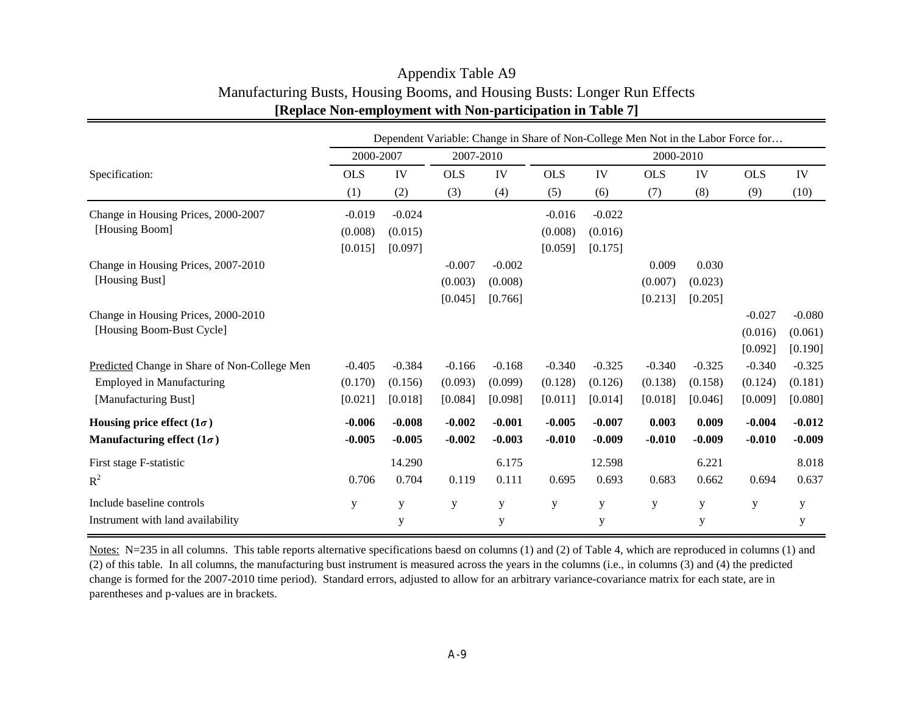|                                              |            |             |            |             |            |             |            |           | Dependent Variable: Change in Share of Non-College Men Not in the Labor Force for |             |
|----------------------------------------------|------------|-------------|------------|-------------|------------|-------------|------------|-----------|-----------------------------------------------------------------------------------|-------------|
|                                              | 2000-2007  |             | 2007-2010  |             |            |             | 2000-2010  |           |                                                                                   |             |
| Specification:                               | <b>OLS</b> | IV          | <b>OLS</b> | IV          | <b>OLS</b> | IV          | <b>OLS</b> | IV        | <b>OLS</b>                                                                        | IV          |
|                                              | (1)        | (2)         | (3)        | (4)         | (5)        | (6)         | (7)        | (8)       | (9)                                                                               | (10)        |
| Change in Housing Prices, 2000-2007          | $-0.019$   | $-0.024$    |            |             | $-0.016$   | $-0.022$    |            |           |                                                                                   |             |
| [Housing Boom]                               | (0.008)    | (0.015)     |            |             | (0.008)    | (0.016)     |            |           |                                                                                   |             |
|                                              | [0.015]    | [0.097]     |            |             | [0.059]    | [0.175]     |            |           |                                                                                   |             |
| Change in Housing Prices, 2007-2010          |            |             | $-0.007$   | $-0.002$    |            |             | 0.009      | 0.030     |                                                                                   |             |
| [Housing Bust]                               |            |             | (0.003)    | (0.008)     |            |             | (0.007)    | (0.023)   |                                                                                   |             |
|                                              |            |             | [0.045]    | [0.766]     |            |             | [0.213]    | [0.205]   |                                                                                   |             |
| Change in Housing Prices, 2000-2010          |            |             |            |             |            |             |            |           | $-0.027$                                                                          | $-0.080$    |
| [Housing Boom-Bust Cycle]                    |            |             |            |             |            |             |            |           | (0.016)                                                                           | (0.061)     |
|                                              |            |             |            |             |            |             |            |           | [0.092]                                                                           | [0.190]     |
| Predicted Change in Share of Non-College Men | $-0.405$   | $-0.384$    | $-0.166$   | $-0.168$    | $-0.340$   | $-0.325$    | $-0.340$   | $-0.325$  | $-0.340$                                                                          | $-0.325$    |
| <b>Employed in Manufacturing</b>             | (0.170)    | (0.156)     | (0.093)    | (0.099)     | (0.128)    | (0.126)     | (0.138)    | (0.158)   | (0.124)                                                                           | (0.181)     |
| [Manufacturing Bust]                         | [0.021]    | [0.018]     | [0.084]    | [0.098]     | [0.011]    | [0.014]     | [0.018]    | [0.046]   | [0.009]                                                                           | [0.080]     |
| Housing price effect $(1\sigma)$             | $-0.006$   | $-0.008$    | $-0.002$   | $-0.001$    | $-0.005$   | $-0.007$    | 0.003      | 0.009     | $-0.004$                                                                          | $-0.012$    |
| Manufacturing effect $(1\sigma)$             | $-0.005$   | $-0.005$    | $-0.002$   | $-0.003$    | $-0.010$   | $-0.009$    | $-0.010$   | $-0.009$  | $-0.010$                                                                          | $-0.009$    |
| First stage F-statistic                      |            | 14.290      |            | 6.175       |            | 12.598      |            | 6.221     |                                                                                   | 8.018       |
| $R^2$                                        | 0.706      | 0.704       | 0.119      | 0.111       | 0.695      | 0.693       | 0.683      | 0.662     | 0.694                                                                             | 0.637       |
| Include baseline controls                    | y          | $\mathbf y$ | y          | $\mathbf y$ | y          | $\mathbf y$ | y          | ${\bf y}$ | $\mathbf y$                                                                       | $\mathbf y$ |
| Instrument with land availability            |            | y           |            | y           |            | y           |            | y         |                                                                                   | y           |

### Appendix Table A9 Manufacturing Busts, Housing Booms, and Housing Busts: Longer Run Effects **[Replace Non-employment with Non-participation in Table 7]**

Notes: N=235 in all columns. This table reports alternative specifications baesd on columns (1) and (2) of Table 4, which are reproduced in columns (1) and (2) of this table. In all columns, the manufacturing bust instrument is measured across the years in the columns (i.e., in columns (3) and (4) the predicted change is formed for the 2007-2010 time period). Standard errors, adjusted to allow for an arbitrary variance-covariance matrix for each state, are in parentheses and p-values are in brackets.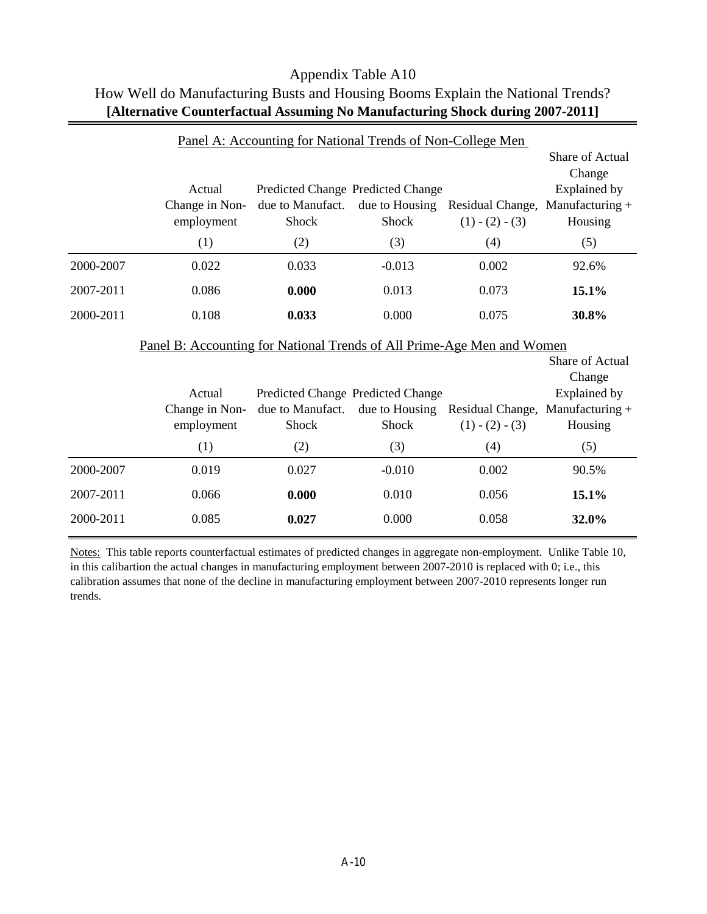|           |                                                                               | Panel A: Accounting for National Trends of Non-College Men |                                                              |                                       |                                                                                |
|-----------|-------------------------------------------------------------------------------|------------------------------------------------------------|--------------------------------------------------------------|---------------------------------------|--------------------------------------------------------------------------------|
|           | Actual<br>Change in Non-<br>employment                                        | due to Manufact.<br><b>Shock</b>                           | Predicted Change Predicted Change<br>due to Housing<br>Shock | Residual Change,<br>$(1) - (2) - (3)$ | Share of Actual<br>Change<br><b>Explained by</b><br>Manufacturing +<br>Housing |
|           | (1)                                                                           | (2)                                                        | (3)                                                          | (4)                                   | (5)                                                                            |
| 2000-2007 | 0.022                                                                         | 0.033                                                      | $-0.013$                                                     | 0.002                                 | 92.6%                                                                          |
| 2007-2011 | 0.086                                                                         | 0.000                                                      | 0.013                                                        | 0.073                                 | 15.1%                                                                          |
| 2000-2011 | 0.108                                                                         | 0.033                                                      | 0.000                                                        | 0.075                                 | 30.8%                                                                          |
|           | <u>Panel B: Accounting for National Trends of All Prime-Age Men and Women</u> |                                                            |                                                              |                                       |                                                                                |
|           |                                                                               |                                                            |                                                              |                                       |                                                                                |
|           |                                                                               |                                                            |                                                              |                                       | Share of Actual                                                                |
|           |                                                                               |                                                            |                                                              |                                       | Change                                                                         |
|           | Actual                                                                        | Predicted Change Predicted Change                          |                                                              |                                       | Explained by                                                                   |
|           | Change in Non-                                                                | due to Manufact.                                           | due to Housing                                               | Residual Change, Manufacturing +      |                                                                                |
|           | employment                                                                    | Shock                                                      | Shock                                                        | $(1) - (2) - (3)$                     | Housing                                                                        |
|           | (1)                                                                           | (2)                                                        | (3)                                                          | (4)                                   | (5)                                                                            |
| 2000-2007 | 0.019                                                                         | 0.027                                                      | $-0.010$                                                     | 0.002                                 | 90.5%                                                                          |
| 2007-2011 | 0.066                                                                         | 0.000                                                      | 0.010                                                        | 0.056                                 | 15.1%                                                                          |

# Appendix Table A10 How Well do Manufacturing Busts and Housing Booms Explain the National Trends? **[Alternative Counterfactual Assuming No Manufacturing Shock during 2007-2011]**

Notes: This table reports counterfactual estimates of predicted changes in aggregate non-employment. Unlike Table 10, in this calibartion the actual changes in manufacturing employment between 2007-2010 is replaced with 0; i.e., this calibration assumes that none of the decline in manufacturing employment between 2007-2010 represents longer run trends.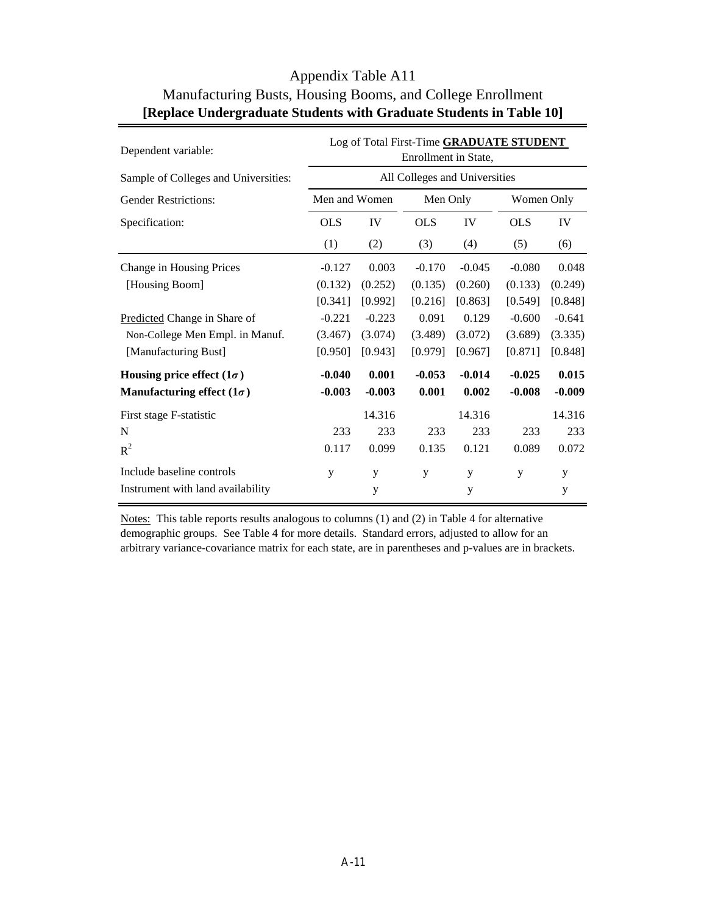| Dependent variable:                  | Log of Total First-Time GRADUATE STUDENT<br>Enrollment in State, |          |            |           |            |          |  |  |  |
|--------------------------------------|------------------------------------------------------------------|----------|------------|-----------|------------|----------|--|--|--|
| Sample of Colleges and Universities: | All Colleges and Universities                                    |          |            |           |            |          |  |  |  |
| <b>Gender Restrictions:</b>          | Men and Women                                                    |          | Men Only   |           | Women Only |          |  |  |  |
| Specification:                       | <b>OLS</b><br>IV                                                 |          | <b>OLS</b> | <b>IV</b> | <b>OLS</b> | IV       |  |  |  |
|                                      | (1)                                                              | (2)      | (3)        | (4)       | (5)        | (6)      |  |  |  |
| Change in Housing Prices             | $-0.127$                                                         | 0.003    | $-0.170$   | $-0.045$  | $-0.080$   | 0.048    |  |  |  |
| [Housing Boom]                       | (0.132)                                                          | (0.252)  | (0.135)    | (0.260)   | (0.133)    | (0.249)  |  |  |  |
|                                      | [0.341]                                                          | [0.992]  | [0.216]    | [0.863]   | [0.549]    | [0.848]  |  |  |  |
| Predicted Change in Share of         | $-0.221$                                                         | $-0.223$ | 0.091      | 0.129     | $-0.600$   | $-0.641$ |  |  |  |
| Non-College Men Empl. in Manuf.      | (3.467)                                                          | (3.074)  | (3.489)    | (3.072)   | (3.689)    | (3.335)  |  |  |  |
| [Manufacturing Bust]                 | [0.950]                                                          | [0.943]  | [0.979]    | [0.967]   | [0.871]    | [0.848]  |  |  |  |
| Housing price effect $(1\sigma)$     | $-0.040$                                                         | 0.001    | $-0.053$   | $-0.014$  | $-0.025$   | 0.015    |  |  |  |
| Manufacturing effect $(1\sigma)$     | $-0.003$                                                         | $-0.003$ | 0.001      | 0.002     | $-0.008$   | $-0.009$ |  |  |  |
| First stage F-statistic              |                                                                  | 14.316   |            | 14.316    |            | 14.316   |  |  |  |
| N                                    | 233                                                              | 233      | 233        | 233       | 233        | 233      |  |  |  |
| $R^2$                                | 0.117                                                            | 0.099    | 0.135      | 0.121     | 0.089      | 0.072    |  |  |  |
| Include baseline controls            | y                                                                | y        | y          | y         | y          | y        |  |  |  |
| Instrument with land availability    |                                                                  | y        |            | y         |            | y        |  |  |  |

### Appendix Table A11 Manufacturing Busts, Housing Booms, and College Enrollment **[Replace Undergraduate Students with Graduate Students in Table 10]**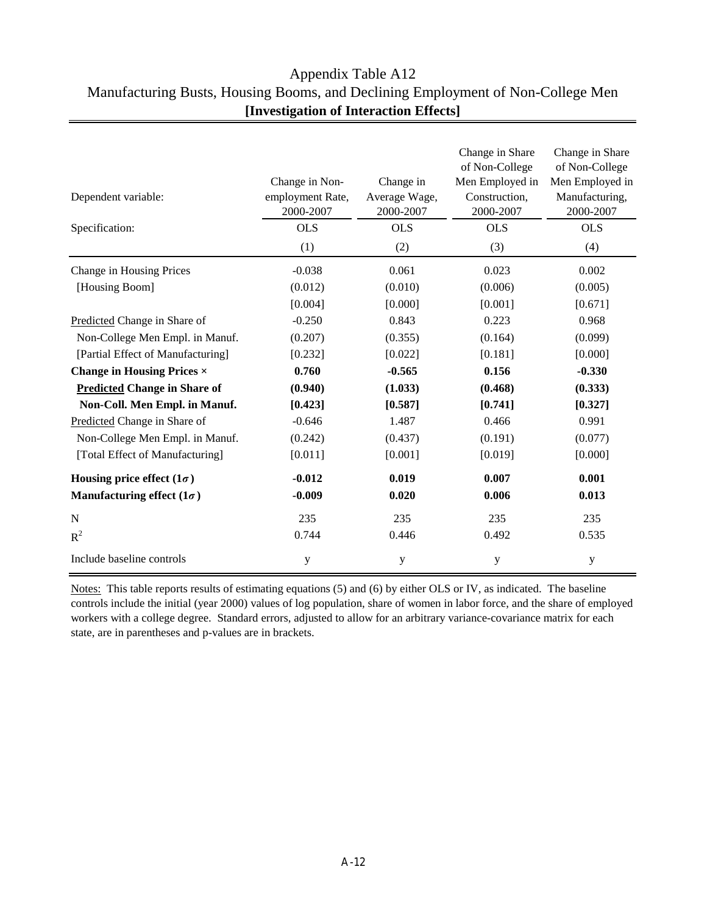### Appendix Table A12 Manufacturing Busts, Housing Booms, and Declining Employment of Non-College Men **[Investigation of Interaction Effects]**

| Dependent variable:<br>Specification: | Change in Non-<br>employment Rate,<br>2000-2007<br><b>OLS</b><br>(1) | Change in<br>Average Wage,<br>2000-2007<br><b>OLS</b><br>(2) | Change in Share<br>of Non-College<br>Men Employed in<br>Construction,<br>2000-2007<br><b>OLS</b><br>(3) | Change in Share<br>of Non-College<br>Men Employed in<br>Manufacturing,<br>2000-2007<br><b>OLS</b><br>(4) |
|---------------------------------------|----------------------------------------------------------------------|--------------------------------------------------------------|---------------------------------------------------------------------------------------------------------|----------------------------------------------------------------------------------------------------------|
| Change in Housing Prices              | $-0.038$                                                             | 0.061                                                        | 0.023                                                                                                   | 0.002                                                                                                    |
| [Housing Boom]                        | (0.012)                                                              | (0.010)                                                      | (0.006)                                                                                                 | (0.005)                                                                                                  |
|                                       | [0.004]                                                              | [0.000]                                                      | [0.001]                                                                                                 | [0.671]                                                                                                  |
| Predicted Change in Share of          | $-0.250$                                                             | 0.843                                                        | 0.223                                                                                                   | 0.968                                                                                                    |
| Non-College Men Empl. in Manuf.       | (0.207)                                                              | (0.355)                                                      | (0.164)                                                                                                 | (0.099)                                                                                                  |
| [Partial Effect of Manufacturing]     | [0.232]                                                              | [0.022]                                                      | [0.181]                                                                                                 | [0.000]                                                                                                  |
| <b>Change in Housing Prices ×</b>     | 0.760                                                                | $-0.565$                                                     | 0.156                                                                                                   | $-0.330$                                                                                                 |
| <b>Predicted Change in Share of</b>   | (0.940)                                                              | (1.033)                                                      | (0.468)                                                                                                 | (0.333)                                                                                                  |
| Non-Coll. Men Empl. in Manuf.         | [0.423]                                                              | [0.587]                                                      | [0.741]                                                                                                 | [0.327]                                                                                                  |
| Predicted Change in Share of          | $-0.646$                                                             | 1.487                                                        | 0.466                                                                                                   | 0.991                                                                                                    |
| Non-College Men Empl. in Manuf.       | (0.242)                                                              | (0.437)                                                      | (0.191)                                                                                                 | (0.077)                                                                                                  |
| [Total Effect of Manufacturing]       | [0.011]                                                              | [0.001]                                                      | [0.019]                                                                                                 | [0.000]                                                                                                  |
| Housing price effect $(1\sigma)$      | $-0.012$                                                             | 0.019                                                        | 0.007                                                                                                   | 0.001                                                                                                    |
| Manufacturing effect $(1\sigma)$      | $-0.009$                                                             | 0.020                                                        | 0.006                                                                                                   | 0.013                                                                                                    |
| N                                     | 235                                                                  | 235                                                          | 235                                                                                                     | 235                                                                                                      |
| $R^2$                                 | 0.744                                                                | 0.446                                                        | 0.492                                                                                                   | 0.535                                                                                                    |
| Include baseline controls             | y                                                                    | y                                                            | y                                                                                                       | y                                                                                                        |

Notes: This table reports results of estimating equations (5) and (6) by either OLS or IV, as indicated. The baseline controls include the initial (year 2000) values of log population, share of women in labor force, and the share of employed workers with a college degree. Standard errors, adjusted to allow for an arbitrary variance-covariance matrix for each state, are in parentheses and p-values are in brackets.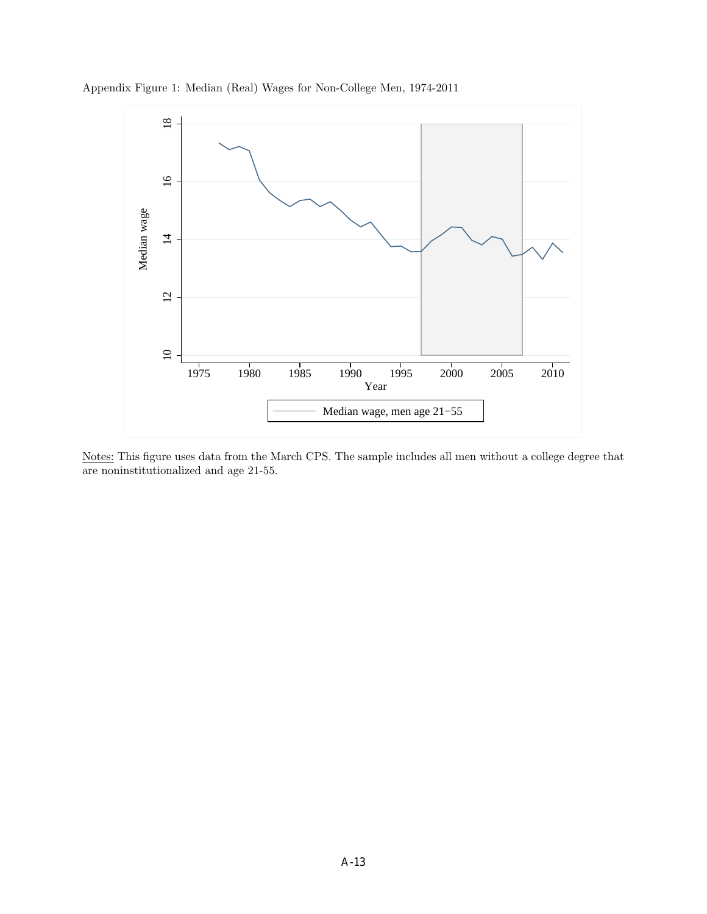



Notes: This figure uses data from the March CPS. The sample includes all men without a college degree that are noninstitutionalized and age 21-55.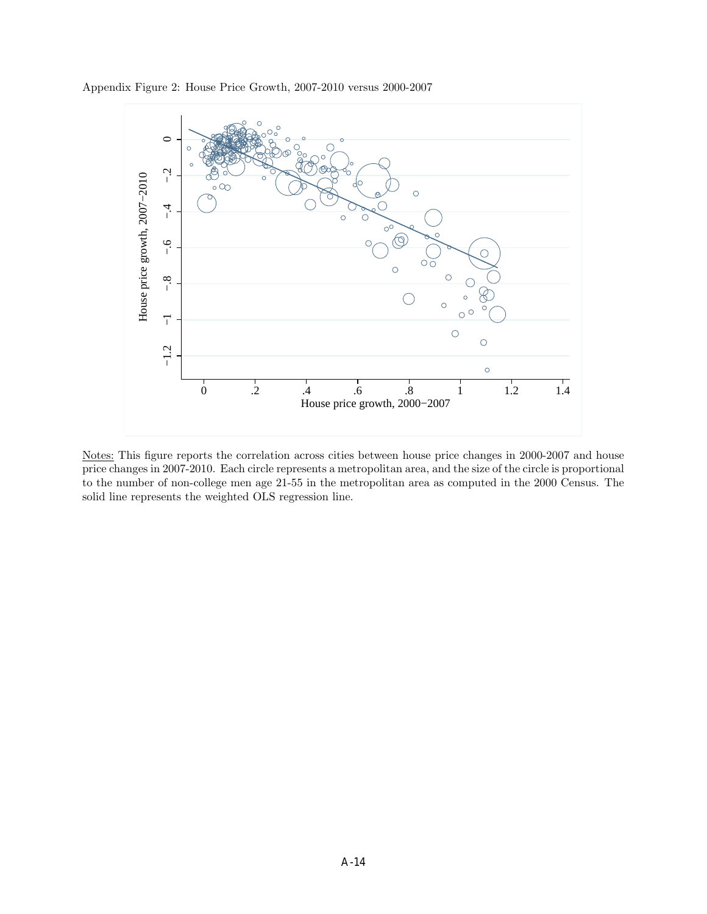



Notes: This figure reports the correlation across cities between house price changes in 2000-2007 and house price changes in 2007-2010. Each circle represents a metropolitan area, and the size of the circle is proportional to the number of non-college men age 21-55 in the metropolitan area as computed in the 2000 Census. The solid line represents the weighted OLS regression line.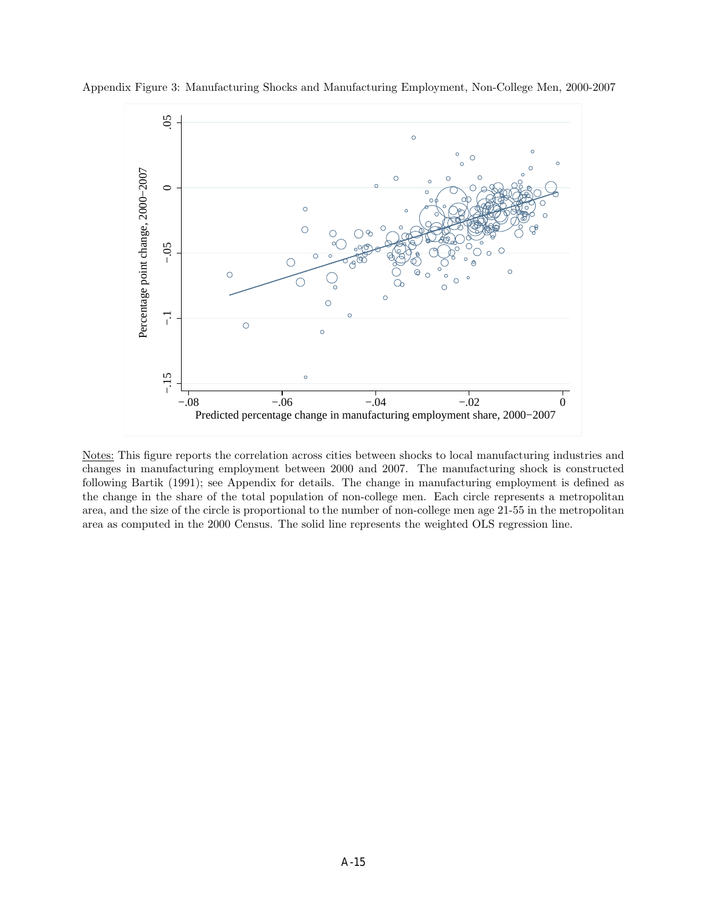

Appendix Figure 3: Manufacturing Shocks and Manufacturing Employment, Non-College Men, 2000-2007

Notes: This figure reports the correlation across cities between shocks to local manufacturing industries and changes in manufacturing employment between 2000 and 2007. The manufacturing shock is constructed following Bartik (1991); see Appendix for details. The change in manufacturing employment is defined as the change in the share of the total population of non-college men. Each circle represents a metropolitan area, and the size of the circle is proportional to the number of non-college men age 21-55 in the metropolitan area as computed in the 2000 Census. The solid line represents the weighted OLS regression line.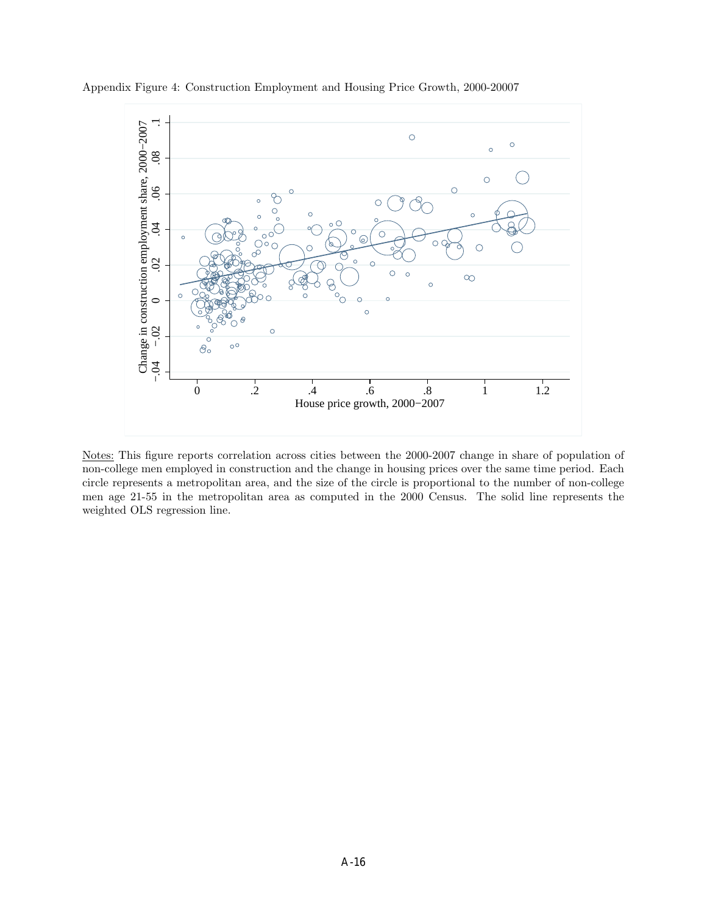

Appendix Figure 4: Construction Employment and Housing Price Growth, 2000-20007

Notes: This figure reports correlation across cities between the 2000-2007 change in share of population of non-college men employed in construction and the change in housing prices over the same time period. Each circle represents a metropolitan area, and the size of the circle is proportional to the number of non-college men age 21-55 in the metropolitan area as computed in the 2000 Census. The solid line represents the weighted OLS regression line.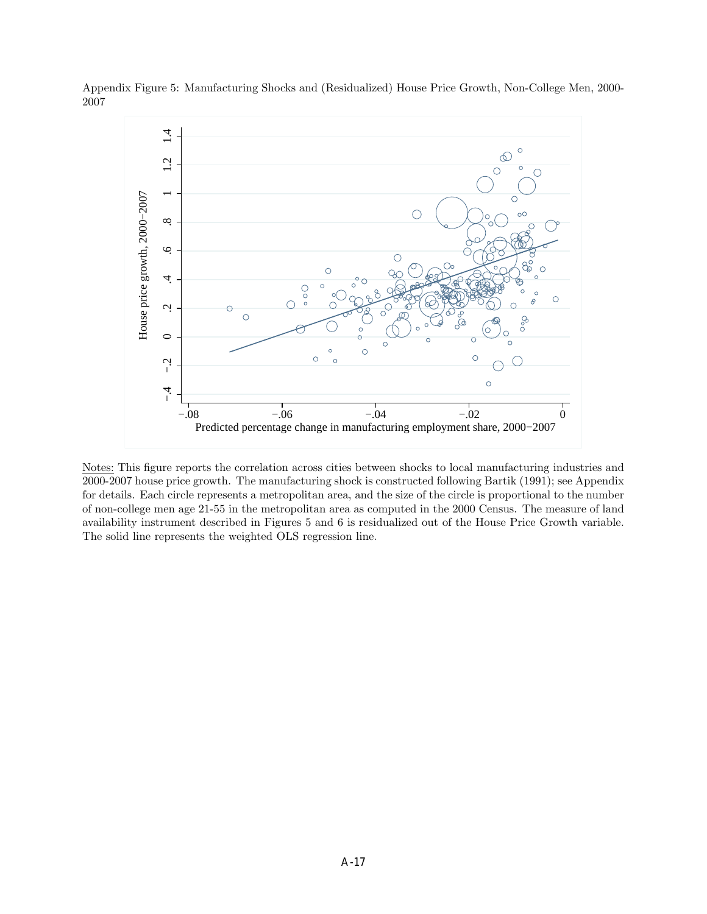

Appendix Figure 5: Manufacturing Shocks and (Residualized) House Price Growth, Non-College Men, 2000- 2007

Notes: This figure reports the correlation across cities between shocks to local manufacturing industries and 2000-2007 house price growth. The manufacturing shock is constructed following Bartik (1991); see Appendix for details. Each circle represents a metropolitan area, and the size of the circle is proportional to the number of non-college men age 21-55 in the metropolitan area as computed in the 2000 Census. The measure of land availability instrument described in Figures 5 and 6 is residualized out of the House Price Growth variable. The solid line represents the weighted OLS regression line.